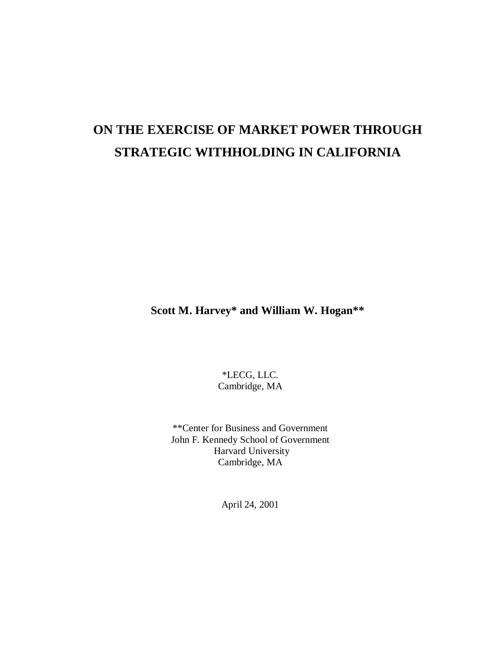# **ON THE EXERCISE OF MARKET POWER THROUGH STRATEGIC WITHHOLDING IN CALIFORNIA**

**Scott M. Harvey\* and William W. Hogan\*\***

\*LECG, LLC. Cambridge, MA

\*\*Center for Business and Government John F. Kennedy School of Government Harvard University Cambridge, MA

April 24, 2001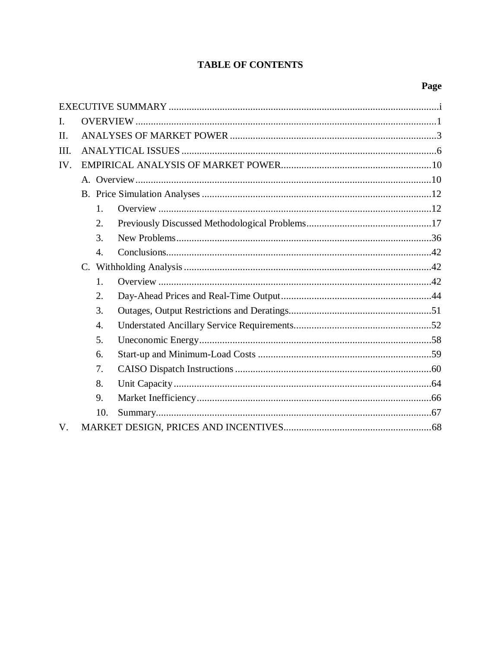# **TABLE OF CONTENTS**

# Page

| I.          |  |                  |  |  |  |  |  |  |
|-------------|--|------------------|--|--|--|--|--|--|
| II.         |  |                  |  |  |  |  |  |  |
| III.        |  |                  |  |  |  |  |  |  |
| IV.         |  |                  |  |  |  |  |  |  |
|             |  |                  |  |  |  |  |  |  |
|             |  |                  |  |  |  |  |  |  |
|             |  | 1.               |  |  |  |  |  |  |
|             |  | 2.               |  |  |  |  |  |  |
|             |  | 3.               |  |  |  |  |  |  |
|             |  | 4.               |  |  |  |  |  |  |
|             |  |                  |  |  |  |  |  |  |
|             |  | 1.               |  |  |  |  |  |  |
|             |  | 2.               |  |  |  |  |  |  |
|             |  | 3.               |  |  |  |  |  |  |
|             |  | $\overline{4}$ . |  |  |  |  |  |  |
|             |  | 5.               |  |  |  |  |  |  |
|             |  | 6.               |  |  |  |  |  |  |
|             |  | 7.               |  |  |  |  |  |  |
|             |  | 8.               |  |  |  |  |  |  |
|             |  | 9.               |  |  |  |  |  |  |
|             |  | 10.              |  |  |  |  |  |  |
| $V_{\cdot}$ |  |                  |  |  |  |  |  |  |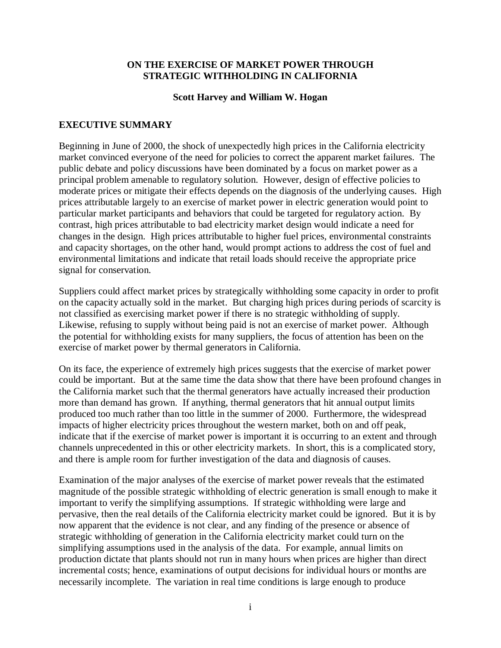#### **ON THE EXERCISE OF MARKET POWER THROUGH STRATEGIC WITHHOLDING IN CALIFORNIA**

#### **Scott Harvey and William W. Hogan**

#### **EXECUTIVE SUMMARY**

Beginning in June of 2000, the shock of unexpectedly high prices in the California electricity market convinced everyone of the need for policies to correct the apparent market failures. The public debate and policy discussions have been dominated by a focus on market power as a principal problem amenable to regulatory solution. However, design of effective policies to moderate prices or mitigate their effects depends on the diagnosis of the underlying causes. High prices attributable largely to an exercise of market power in electric generation would point to particular market participants and behaviors that could be targeted for regulatory action. By contrast, high prices attributable to bad electricity market design would indicate a need for changes in the design. High prices attributable to higher fuel prices, environmental constraints and capacity shortages, on the other hand, would prompt actions to address the cost of fuel and environmental limitations and indicate that retail loads should receive the appropriate price signal for conservation.

Suppliers could affect market prices by strategically withholding some capacity in order to profit on the capacity actually sold in the market. But charging high prices during periods of scarcity is not classified as exercising market power if there is no strategic withholding of supply. Likewise, refusing to supply without being paid is not an exercise of market power. Although the potential for withholding exists for many suppliers, the focus of attention has been on the exercise of market power by thermal generators in California.

On its face, the experience of extremely high prices suggests that the exercise of market power could be important. But at the same time the data show that there have been profound changes in the California market such that the thermal generators have actually increased their production more than demand has grown. If anything, thermal generators that hit annual output limits produced too much rather than too little in the summer of 2000. Furthermore, the widespread impacts of higher electricity prices throughout the western market, both on and off peak, indicate that if the exercise of market power is important it is occurring to an extent and through channels unprecedented in this or other electricity markets. In short, this is a complicated story, and there is ample room for further investigation of the data and diagnosis of causes.

Examination of the major analyses of the exercise of market power reveals that the estimated magnitude of the possible strategic withholding of electric generation is small enough to make it important to verify the simplifying assumptions. If strategic withholding were large and pervasive, then the real details of the California electricity market could be ignored. But it is by now apparent that the evidence is not clear, and any finding of the presence or absence of strategic withholding of generation in the California electricity market could turn on the simplifying assumptions used in the analysis of the data. For example, annual limits on production dictate that plants should not run in many hours when prices are higher than direct incremental costs; hence, examinations of output decisions for individual hours or months are necessarily incomplete. The variation in real time conditions is large enough to produce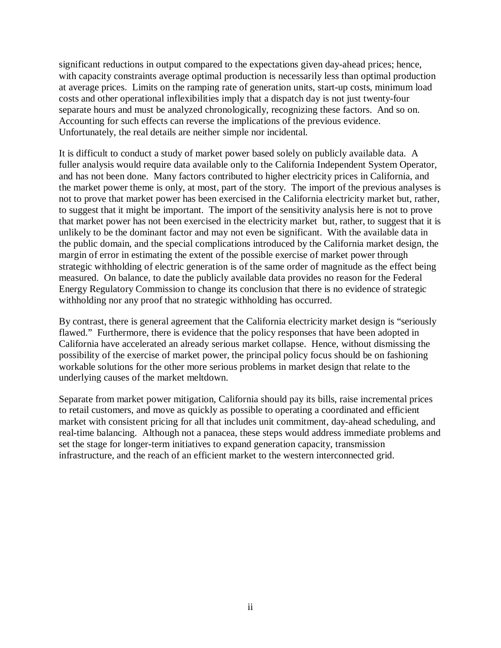significant reductions in output compared to the expectations given day-ahead prices; hence, with capacity constraints average optimal production is necessarily less than optimal production at average prices. Limits on the ramping rate of generation units, start-up costs, minimum load costs and other operational inflexibilities imply that a dispatch day is not just twenty-four separate hours and must be analyzed chronologically, recognizing these factors. And so on. Accounting for such effects can reverse the implications of the previous evidence. Unfortunately, the real details are neither simple nor incidental.

It is difficult to conduct a study of market power based solely on publicly available data. A fuller analysis would require data available only to the California Independent System Operator, and has not been done. Many factors contributed to higher electricity prices in California, and the market power theme is only, at most, part of the story. The import of the previous analyses is not to prove that market power has been exercised in the California electricity market but, rather, to suggest that it might be important. The import of the sensitivity analysis here is not to prove that market power has not been exercised in the electricity market but, rather, to suggest that it is unlikely to be the dominant factor and may not even be significant. With the available data in the public domain, and the special complications introduced by the California market design, the margin of error in estimating the extent of the possible exercise of market power through strategic withholding of electric generation is of the same order of magnitude as the effect being measured. On balance, to date the publicly available data provides no reason for the Federal Energy Regulatory Commission to change its conclusion that there is no evidence of strategic withholding nor any proof that no strategic withholding has occurred.

By contrast, there is general agreement that the California electricity market design is "seriously flawed." Furthermore, there is evidence that the policy responses that have been adopted in California have accelerated an already serious market collapse. Hence, without dismissing the possibility of the exercise of market power, the principal policy focus should be on fashioning workable solutions for the other more serious problems in market design that relate to the underlying causes of the market meltdown.

Separate from market power mitigation, California should pay its bills, raise incremental prices to retail customers, and move as quickly as possible to operating a coordinated and efficient market with consistent pricing for all that includes unit commitment, day-ahead scheduling, and real-time balancing. Although not a panacea, these steps would address immediate problems and set the stage for longer-term initiatives to expand generation capacity, transmission infrastructure, and the reach of an efficient market to the western interconnected grid.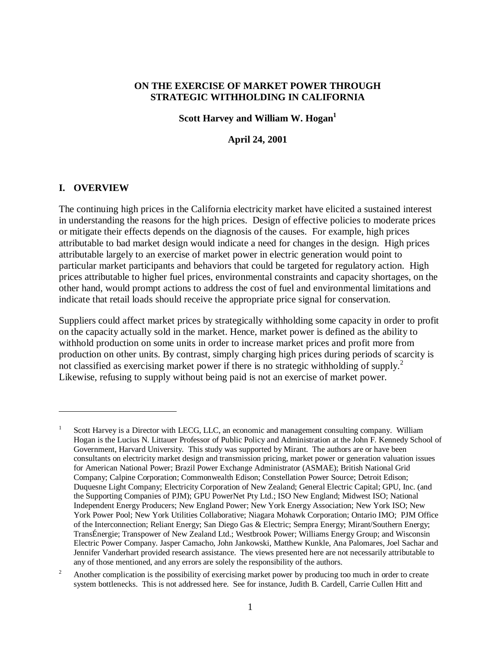#### **ON THE EXERCISE OF MARKET POWER THROUGH STRATEGIC WITHHOLDING IN CALIFORNIA**

#### **Scott Harvey and William W. Hogan**<sup>1</sup>

#### **April 24, 2001**

#### **I. OVERVIEW**

 $\overline{a}$ 

The continuing high prices in the California electricity market have elicited a sustained interest in understanding the reasons for the high prices. Design of effective policies to moderate prices or mitigate their effects depends on the diagnosis of the causes. For example, high prices attributable to bad market design would indicate a need for changes in the design. High prices attributable largely to an exercise of market power in electric generation would point to particular market participants and behaviors that could be targeted for regulatory action. High prices attributable to higher fuel prices, environmental constraints and capacity shortages, on the other hand, would prompt actions to address the cost of fuel and environmental limitations and indicate that retail loads should receive the appropriate price signal for conservation.

Suppliers could affect market prices by strategically withholding some capacity in order to profit on the capacity actually sold in the market. Hence, market power is defined as the ability to withhold production on some units in order to increase market prices and profit more from production on other units. By contrast, simply charging high prices during periods of scarcity is not classified as exercising market power if there is no strategic withholding of supply.<sup>2</sup> Likewise, refusing to supply without being paid is not an exercise of market power.

<sup>1</sup> Scott Harvey is a Director with LECG, LLC, an economic and management consulting company. William Hogan is the Lucius N. Littauer Professor of Public Policy and Administration at the John F. Kennedy School of Government, Harvard University. This study was supported by Mirant. The authors are or have been consultants on electricity market design and transmission pricing, market power or generation valuation issues for American National Power; Brazil Power Exchange Administrator (ASMAE); British National Grid Company; Calpine Corporation; Commonwealth Edison; Constellation Power Source; Detroit Edison; Duquesne Light Company; Electricity Corporation of New Zealand; General Electric Capital; GPU, Inc. (and the Supporting Companies of PJM); GPU PowerNet Pty Ltd.; ISO New England; Midwest ISO; National Independent Energy Producers; New England Power; New York Energy Association; New York ISO; New York Power Pool; New York Utilities Collaborative; Niagara Mohawk Corporation; Ontario IMO; PJM Office of the Interconnection; Reliant Energy; San Diego Gas & Electric; Sempra Energy; Mirant/Southern Energy; TransÉnergie; Transpower of New Zealand Ltd.; Westbrook Power; Williams Energy Group; and Wisconsin Electric Power Company. Jasper Camacho, John Jankowski, Matthew Kunkle, Ana Palomares, Joel Sachar and Jennifer Vanderhart provided research assistance. The views presented here are not necessarily attributable to any of those mentioned, and any errors are solely the responsibility of the authors.

<sup>2</sup> Another complication is the possibility of exercising market power by producing too much in order to create system bottlenecks. This is not addressed here. See for instance, Judith B. Cardell, Carrie Cullen Hitt and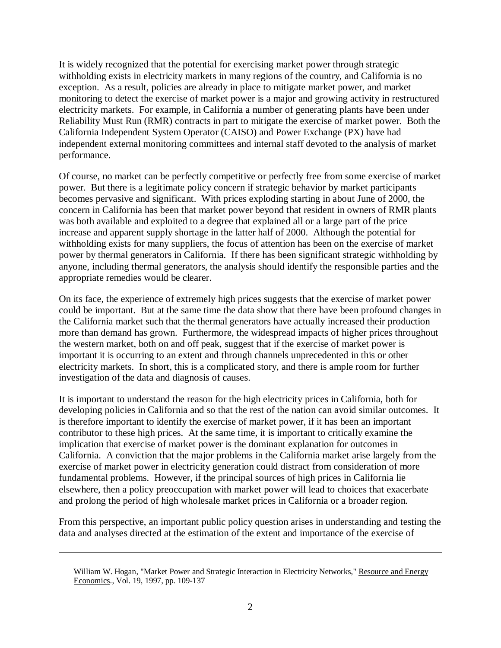It is widely recognized that the potential for exercising market power through strategic withholding exists in electricity markets in many regions of the country, and California is no exception. As a result, policies are already in place to mitigate market power, and market monitoring to detect the exercise of market power is a major and growing activity in restructured electricity markets. For example, in California a number of generating plants have been under Reliability Must Run (RMR) contracts in part to mitigate the exercise of market power. Both the California Independent System Operator (CAISO) and Power Exchange (PX) have had independent external monitoring committees and internal staff devoted to the analysis of market performance.

Of course, no market can be perfectly competitive or perfectly free from some exercise of market power. But there is a legitimate policy concern if strategic behavior by market participants becomes pervasive and significant. With prices exploding starting in about June of 2000, the concern in California has been that market power beyond that resident in owners of RMR plants was both available and exploited to a degree that explained all or a large part of the price increase and apparent supply shortage in the latter half of 2000. Although the potential for withholding exists for many suppliers, the focus of attention has been on the exercise of market power by thermal generators in California. If there has been significant strategic withholding by anyone, including thermal generators, the analysis should identify the responsible parties and the appropriate remedies would be clearer.

On its face, the experience of extremely high prices suggests that the exercise of market power could be important. But at the same time the data show that there have been profound changes in the California market such that the thermal generators have actually increased their production more than demand has grown. Furthermore, the widespread impacts of higher prices throughout the western market, both on and off peak, suggest that if the exercise of market power is important it is occurring to an extent and through channels unprecedented in this or other electricity markets. In short, this is a complicated story, and there is ample room for further investigation of the data and diagnosis of causes.

It is important to understand the reason for the high electricity prices in California, both for developing policies in California and so that the rest of the nation can avoid similar outcomes. It is therefore important to identify the exercise of market power, if it has been an important contributor to these high prices. At the same time, it is important to critically examine the implication that exercise of market power is the dominant explanation for outcomes in California. A conviction that the major problems in the California market arise largely from the exercise of market power in electricity generation could distract from consideration of more fundamental problems. However, if the principal sources of high prices in California lie elsewhere, then a policy preoccupation with market power will lead to choices that exacerbate and prolong the period of high wholesale market prices in California or a broader region.

From this perspective, an important public policy question arises in understanding and testing the data and analyses directed at the estimation of the extent and importance of the exercise of

William W. Hogan, "Market Power and Strategic Interaction in Electricity Networks," Resource and Energy Economics., Vol. 19, 1997, pp. 109-137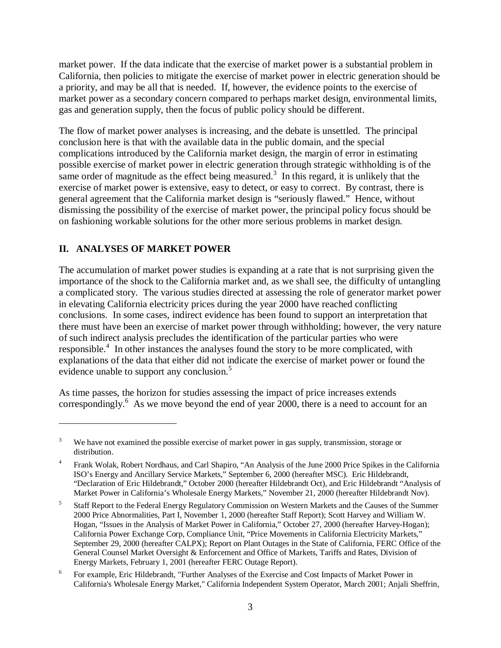market power. If the data indicate that the exercise of market power is a substantial problem in California, then policies to mitigate the exercise of market power in electric generation should be a priority, and may be all that is needed. If, however, the evidence points to the exercise of market power as a secondary concern compared to perhaps market design, environmental limits, gas and generation supply, then the focus of public policy should be different.

The flow of market power analyses is increasing, and the debate is unsettled. The principal conclusion here is that with the available data in the public domain, and the special complications introduced by the California market design, the margin of error in estimating possible exercise of market power in electric generation through strategic withholding is of the same order of magnitude as the effect being measured.<sup>3</sup> In this regard, it is unlikely that the exercise of market power is extensive, easy to detect, or easy to correct. By contrast, there is general agreement that the California market design is "seriously flawed." Hence, without dismissing the possibility of the exercise of market power, the principal policy focus should be on fashioning workable solutions for the other more serious problems in market design.

## **II. ANALYSES OF MARKET POWER**

 $\overline{a}$ 

The accumulation of market power studies is expanding at a rate that is not surprising given the importance of the shock to the California market and, as we shall see, the difficulty of untangling a complicated story. The various studies directed at assessing the role of generator market power in elevating California electricity prices during the year 2000 have reached conflicting conclusions. In some cases, indirect evidence has been found to support an interpretation that there must have been an exercise of market power through withholding; however, the very nature of such indirect analysis precludes the identification of the particular parties who were responsible.<sup>4</sup> In other instances the analyses found the story to be more complicated, with explanations of the data that either did not indicate the exercise of market power or found the evidence unable to support any conclusion.<sup>5</sup>

As time passes, the horizon for studies assessing the impact of price increases extends correspondingly.<sup>6</sup> As we move beyond the end of year 2000, there is a need to account for an

<sup>3</sup> We have not examined the possible exercise of market power in gas supply, transmission, storage or distribution.

<sup>4</sup> Frank Wolak, Robert Nordhaus, and Carl Shapiro, "An Analysis of the June 2000 Price Spikes in the California ISO's Energy and Ancillary Service Markets," September 6, 2000 (hereafter MSC). Eric Hildebrandt, "Declaration of Eric Hildebrandt," October 2000 (hereafter Hildebrandt Oct), and Eric Hildebrandt "Analysis of Market Power in California's Wholesale Energy Markets," November 21, 2000 (hereafter Hildebrandt Nov).

<sup>5</sup> Staff Report to the Federal Energy Regulatory Commission on Western Markets and the Causes of the Summer 2000 Price Abnormalities, Part I, November 1, 2000 (hereafter Staff Report); Scott Harvey and William W. Hogan, "Issues in the Analysis of Market Power in California," October 27, 2000 (hereafter Harvey-Hogan); California Power Exchange Corp, Compliance Unit, "Price Movements in California Electricity Markets," September 29, 2000 (hereafter CALPX); Report on Plant Outages in the State of California, FERC Office of the General Counsel Market Oversight & Enforcement and Office of Markets, Tariffs and Rates, Division of Energy Markets, February 1, 2001 (hereafter FERC Outage Report).

<sup>6</sup> For example, Eric Hildebrandt, "Further Analyses of the Exercise and Cost Impacts of Market Power in California's Wholesale Energy Market," California Independent System Operator, March 2001; Anjali Sheffrin,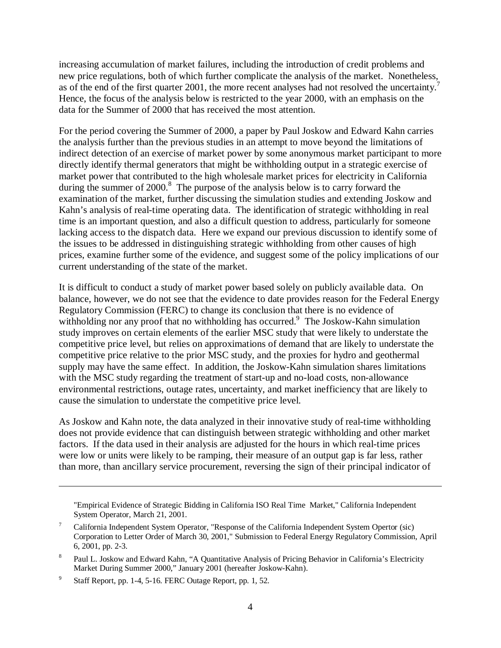increasing accumulation of market failures, including the introduction of credit problems and new price regulations, both of which further complicate the analysis of the market. Nonetheless, as of the end of the first quarter 2001, the more recent analyses had not resolved the uncertainty.<sup>7</sup> Hence, the focus of the analysis below is restricted to the year 2000, with an emphasis on the data for the Summer of 2000 that has received the most attention.

For the period covering the Summer of 2000, a paper by Paul Joskow and Edward Kahn carries the analysis further than the previous studies in an attempt to move beyond the limitations of indirect detection of an exercise of market power by some anonymous market participant to more directly identify thermal generators that might be withholding output in a strategic exercise of market power that contributed to the high wholesale market prices for electricity in California during the summer of 2000.<sup>8</sup> The purpose of the analysis below is to carry forward the examination of the market, further discussing the simulation studies and extending Joskow and Kahn's analysis of real-time operating data. The identification of strategic withholding in real time is an important question, and also a difficult question to address, particularly for someone lacking access to the dispatch data. Here we expand our previous discussion to identify some of the issues to be addressed in distinguishing strategic withholding from other causes of high prices, examine further some of the evidence, and suggest some of the policy implications of our current understanding of the state of the market.

It is difficult to conduct a study of market power based solely on publicly available data. On balance, however, we do not see that the evidence to date provides reason for the Federal Energy Regulatory Commission (FERC) to change its conclusion that there is no evidence of withholding nor any proof that no withholding has occurred.<sup>9</sup> The Joskow-Kahn simulation study improves on certain elements of the earlier MSC study that were likely to understate the competitive price level, but relies on approximations of demand that are likely to understate the competitive price relative to the prior MSC study, and the proxies for hydro and geothermal supply may have the same effect. In addition, the Joskow-Kahn simulation shares limitations with the MSC study regarding the treatment of start-up and no-load costs, non-allowance environmental restrictions, outage rates, uncertainty, and market inefficiency that are likely to cause the simulation to understate the competitive price level.

As Joskow and Kahn note, the data analyzed in their innovative study of real-time withholding does not provide evidence that can distinguish between strategic withholding and other market factors. If the data used in their analysis are adjusted for the hours in which real-time prices were low or units were likely to be ramping, their measure of an output gap is far less, rather than more, than ancillary service procurement, reversing the sign of their principal indicator of

"Empirical Evidence of Strategic Bidding in California ISO Real Time Market," California Independent System Operator, March 21, 2001.

<sup>7</sup> California Independent System Operator, "Response of the California Independent System Opertor (sic) Corporation to Letter Order of March 30, 2001," Submission to Federal Energy Regulatory Commission, April 6, 2001, pp. 2-3.

<sup>8</sup> Paul L. Joskow and Edward Kahn, "A Quantitative Analysis of Pricing Behavior in California's Electricity Market During Summer 2000," January 2001 (hereafter Joskow-Kahn).

<sup>9</sup> Staff Report, pp. 1-4, 5-16. FERC Outage Report, pp. 1, 52.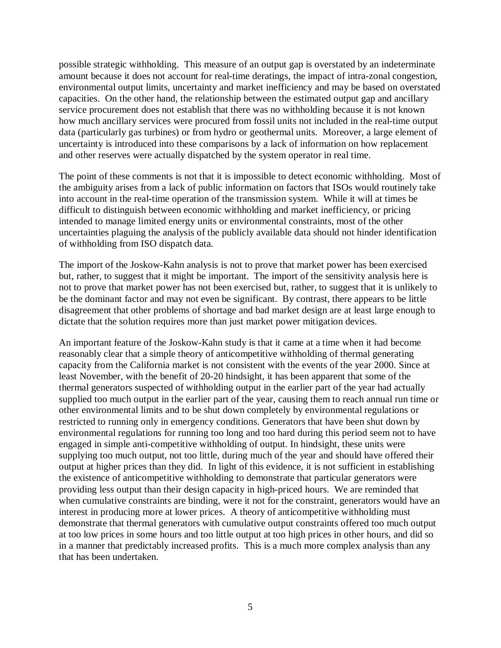possible strategic withholding. This measure of an output gap is overstated by an indeterminate amount because it does not account for real-time deratings, the impact of intra-zonal congestion, environmental output limits, uncertainty and market inefficiency and may be based on overstated capacities. On the other hand, the relationship between the estimated output gap and ancillary service procurement does not establish that there was no withholding because it is not known how much ancillary services were procured from fossil units not included in the real-time output data (particularly gas turbines) or from hydro or geothermal units. Moreover, a large element of uncertainty is introduced into these comparisons by a lack of information on how replacement and other reserves were actually dispatched by the system operator in real time.

The point of these comments is not that it is impossible to detect economic withholding. Most of the ambiguity arises from a lack of public information on factors that ISOs would routinely take into account in the real-time operation of the transmission system. While it will at times be difficult to distinguish between economic withholding and market inefficiency, or pricing intended to manage limited energy units or environmental constraints, most of the other uncertainties plaguing the analysis of the publicly available data should not hinder identification of withholding from ISO dispatch data.

The import of the Joskow-Kahn analysis is not to prove that market power has been exercised but, rather, to suggest that it might be important. The import of the sensitivity analysis here is not to prove that market power has not been exercised but, rather, to suggest that it is unlikely to be the dominant factor and may not even be significant. By contrast, there appears to be little disagreement that other problems of shortage and bad market design are at least large enough to dictate that the solution requires more than just market power mitigation devices.

An important feature of the Joskow-Kahn study is that it came at a time when it had become reasonably clear that a simple theory of anticompetitive withholding of thermal generating capacity from the California market is not consistent with the events of the year 2000. Since at least November, with the benefit of 20-20 hindsight, it has been apparent that some of the thermal generators suspected of withholding output in the earlier part of the year had actually supplied too much output in the earlier part of the year, causing them to reach annual run time or other environmental limits and to be shut down completely by environmental regulations or restricted to running only in emergency conditions. Generators that have been shut down by environmental regulations for running too long and too hard during this period seem not to have engaged in simple anti-competitive withholding of output. In hindsight, these units were supplying too much output, not too little, during much of the year and should have offered their output at higher prices than they did. In light of this evidence, it is not sufficient in establishing the existence of anticompetitive withholding to demonstrate that particular generators were providing less output than their design capacity in high-priced hours. We are reminded that when cumulative constraints are binding, were it not for the constraint, generators would have an interest in producing more at lower prices. A theory of anticompetitive withholding must demonstrate that thermal generators with cumulative output constraints offered too much output at too low prices in some hours and too little output at too high prices in other hours, and did so in a manner that predictably increased profits. This is a much more complex analysis than any that has been undertaken.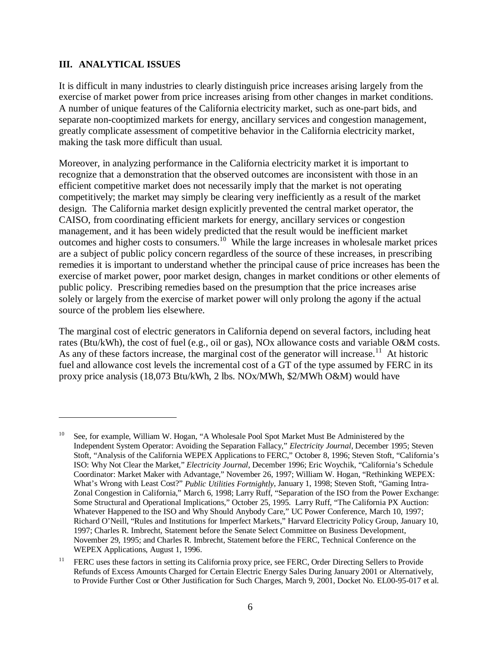#### **III. ANALYTICAL ISSUES**

 $\overline{a}$ 

It is difficult in many industries to clearly distinguish price increases arising largely from the exercise of market power from price increases arising from other changes in market conditions. A number of unique features of the California electricity market, such as one-part bids, and separate non-cooptimized markets for energy, ancillary services and congestion management, greatly complicate assessment of competitive behavior in the California electricity market, making the task more difficult than usual.

Moreover, in analyzing performance in the California electricity market it is important to recognize that a demonstration that the observed outcomes are inconsistent with those in an efficient competitive market does not necessarily imply that the market is not operating competitively; the market may simply be clearing very inefficiently as a result of the market design. The California market design explicitly prevented the central market operator, the CAISO, from coordinating efficient markets for energy, ancillary services or congestion management, and it has been widely predicted that the result would be inefficient market outcomes and higher costs to consumers.10 While the large increases in wholesale market prices are a subject of public policy concern regardless of the source of these increases, in prescribing remedies it is important to understand whether the principal cause of price increases has been the exercise of market power, poor market design, changes in market conditions or other elements of public policy. Prescribing remedies based on the presumption that the price increases arise solely or largely from the exercise of market power will only prolong the agony if the actual source of the problem lies elsewhere.

The marginal cost of electric generators in California depend on several factors, including heat rates (Btu/kWh), the cost of fuel (e.g., oil or gas), NOx allowance costs and variable O&M costs. As any of these factors increase, the marginal cost of the generator will increase.<sup>11</sup> At historic fuel and allowance cost levels the incremental cost of a GT of the type assumed by FERC in its proxy price analysis (18,073 Btu/kWh, 2 lbs. NOx/MWh, \$2/MWh O&M) would have

<sup>10</sup> See, for example, William W. Hogan, "A Wholesale Pool Spot Market Must Be Administered by the Independent System Operator: Avoiding the Separation Fallacy," *Electricity Journal*, December 1995; Steven Stoft, "Analysis of the California WEPEX Applications to FERC," October 8, 1996; Steven Stoft, "California's ISO: Why Not Clear the Market," *Electricity Journal*, December 1996; Eric Woychik, "California's Schedule Coordinator: Market Maker with Advantage," November 26, 1997; William W. Hogan, "Rethinking WEPEX: What's Wrong with Least Cost?" *Public Utilities Fortnightly*, January 1, 1998; Steven Stoft, "Gaming Intra-Zonal Congestion in California," March 6, 1998; Larry Ruff, "Separation of the ISO from the Power Exchange: Some Structural and Operational Implications," October 25, 1995. Larry Ruff, "The California PX Auction: Whatever Happened to the ISO and Why Should Anybody Care," UC Power Conference, March 10, 1997; Richard O'Neill, "Rules and Institutions for Imperfect Markets," Harvard Electricity Policy Group, January 10, 1997; Charles R. Imbrecht, Statement before the Senate Select Committee on Business Development, November 29, 1995; and Charles R. Imbrecht, Statement before the FERC, Technical Conference on the WEPEX Applications, August 1, 1996.

<sup>&</sup>lt;sup>11</sup> FERC uses these factors in setting its California proxy price, see FERC, Order Directing Sellers to Provide Refunds of Excess Amounts Charged for Certain Electric Energy Sales During January 2001 or Alternatively, to Provide Further Cost or Other Justification for Such Charges, March 9, 2001, Docket No. EL00-95-017 et al.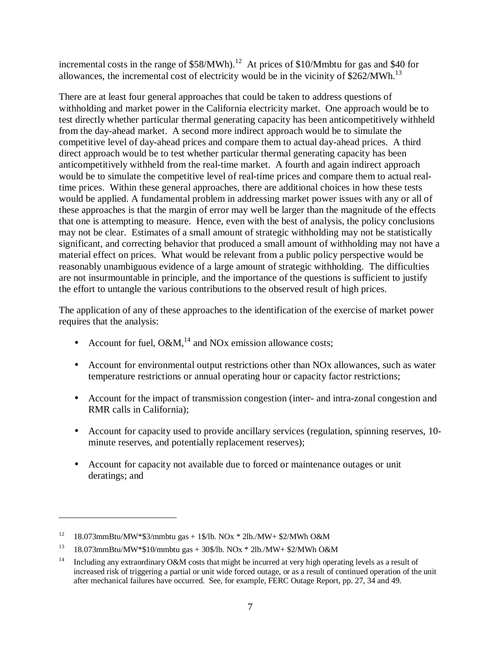incremental costs in the range of  $$58/MWh$ .<sup>12</sup> At prices of  $$10/Mm$ btu for gas and \$40 for allowances, the incremental cost of electricity would be in the vicinity of  $$262/MWh.<sup>13</sup>$ 

There are at least four general approaches that could be taken to address questions of withholding and market power in the California electricity market. One approach would be to test directly whether particular thermal generating capacity has been anticompetitively withheld from the day-ahead market. A second more indirect approach would be to simulate the competitive level of day-ahead prices and compare them to actual day-ahead prices. A third direct approach would be to test whether particular thermal generating capacity has been anticompetitively withheld from the real-time market. A fourth and again indirect approach would be to simulate the competitive level of real-time prices and compare them to actual realtime prices. Within these general approaches, there are additional choices in how these tests would be applied. A fundamental problem in addressing market power issues with any or all of these approaches is that the margin of error may well be larger than the magnitude of the effects that one is attempting to measure. Hence, even with the best of analysis, the policy conclusions may not be clear. Estimates of a small amount of strategic withholding may not be statistically significant, and correcting behavior that produced a small amount of withholding may not have a material effect on prices. What would be relevant from a public policy perspective would be reasonably unambiguous evidence of a large amount of strategic withholding. The difficulties are not insurmountable in principle, and the importance of the questions is sufficient to justify the effort to untangle the various contributions to the observed result of high prices.

The application of any of these approaches to the identification of the exercise of market power requires that the analysis:

- Account for fuel,  $O\&M$ ,<sup>14</sup> and NOx emission allowance costs;
- Account for environmental output restrictions other than NO<sub>x</sub> allowances, such as water temperature restrictions or annual operating hour or capacity factor restrictions;
- Account for the impact of transmission congestion (inter- and intra-zonal congestion and RMR calls in California);
- Account for capacity used to provide ancillary services (regulation, spinning reserves, 10minute reserves, and potentially replacement reserves);
- Account for capacity not available due to forced or maintenance outages or unit deratings; and

<sup>&</sup>lt;sup>12</sup> 18.073mmBtu/MW\*\$3/mmbtu gas + 1\$/lb. NOx \* 2lb./MW+ \$2/MWh O&M

<sup>&</sup>lt;sup>13</sup> 18.073mmBtu/MW\*\$10/mmbtu gas + 30\$/lb. NOx \* 2lb./MW+ \$2/MWh O&M

<sup>&</sup>lt;sup>14</sup> Including any extraordinary O&M costs that might be incurred at very high operating levels as a result of increased risk of triggering a partial or unit wide forced outage, or as a result of continued operation of the unit after mechanical failures have occurred. See, for example, FERC Outage Report, pp. 27, 34 and 49.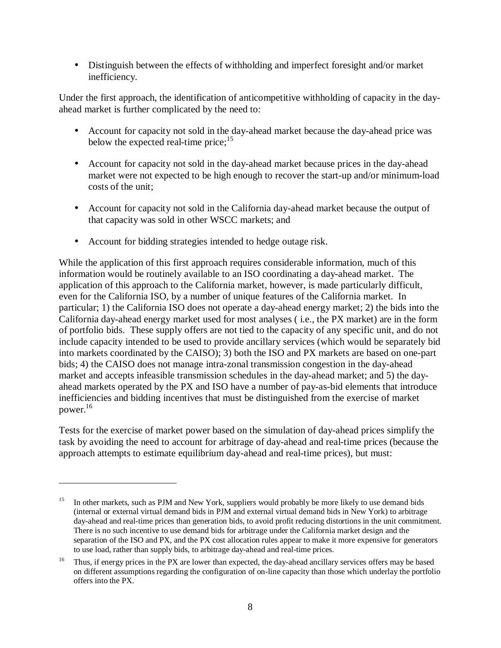• Distinguish between the effects of withholding and imperfect foresight and/or market inefficiency.

Under the first approach, the identification of anticompetitive withholding of capacity in the dayahead market is further complicated by the need to:

- Account for capacity not sold in the day-ahead market because the day-ahead price was below the expected real-time price; $15$
- Account for capacity not sold in the day-ahead market because prices in the day-ahead market were not expected to be high enough to recover the start-up and/or minimum-load costs of the unit;
- Account for capacity not sold in the California day-ahead market because the output of that capacity was sold in other WSCC markets; and
- Account for bidding strategies intended to hedge outage risk.

 $\overline{a}$ 

While the application of this first approach requires considerable information, much of this information would be routinely available to an ISO coordinating a day-ahead market. The application of this approach to the California market, however, is made particularly difficult, even for the California ISO, by a number of unique features of the California market. In particular; 1) the California ISO does not operate a day-ahead energy market; 2) the bids into the California day-ahead energy market used for most analyses ( i.e., the PX market) are in the form of portfolio bids. These supply offers are not tied to the capacity of any specific unit, and do not include capacity intended to be used to provide ancillary services (which would be separately bid into markets coordinated by the CAISO); 3) both the ISO and PX markets are based on one-part bids; 4) the CAISO does not manage intra-zonal transmission congestion in the day-ahead market and accepts infeasible transmission schedules in the day-ahead market; and 5) the dayahead markets operated by the PX and ISO have a number of pay-as-bid elements that introduce inefficiencies and bidding incentives that must be distinguished from the exercise of market power.16

Tests for the exercise of market power based on the simulation of day-ahead prices simplify the task by avoiding the need to account for arbitrage of day-ahead and real-time prices (because the approach attempts to estimate equilibrium day-ahead and real-time prices), but must:

<sup>&</sup>lt;sup>15</sup> In other markets, such as PJM and New York, suppliers would probably be more likely to use demand bids (internal or external virtual demand bids in PJM and external virtual demand bids in New York) to arbitrage day-ahead and real-time prices than generation bids, to avoid profit reducing distortions in the unit commitment. There is no such incentive to use demand bids for arbitrage under the California market design and the separation of the ISO and PX, and the PX cost allocation rules appear to make it more expensive for generators to use load, rather than supply bids, to arbitrage day-ahead and real-time prices.

<sup>&</sup>lt;sup>16</sup> Thus, if energy prices in the PX are lower than expected, the day-ahead ancillary services offers may be based on different assumptions regarding the configuration of on-line capacity than those which underlay the portfolio offers into the PX.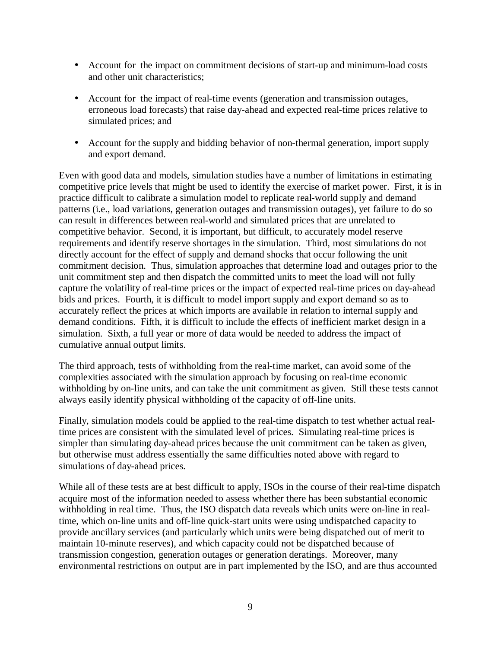- Account for the impact on commitment decisions of start-up and minimum-load costs and other unit characteristics;
- Account for the impact of real-time events (generation and transmission outages, erroneous load forecasts) that raise day-ahead and expected real-time prices relative to simulated prices; and
- Account for the supply and bidding behavior of non-thermal generation, import supply and export demand.

Even with good data and models, simulation studies have a number of limitations in estimating competitive price levels that might be used to identify the exercise of market power. First, it is in practice difficult to calibrate a simulation model to replicate real-world supply and demand patterns (i.e., load variations, generation outages and transmission outages), yet failure to do so can result in differences between real-world and simulated prices that are unrelated to competitive behavior. Second, it is important, but difficult, to accurately model reserve requirements and identify reserve shortages in the simulation. Third, most simulations do not directly account for the effect of supply and demand shocks that occur following the unit commitment decision. Thus, simulation approaches that determine load and outages prior to the unit commitment step and then dispatch the committed units to meet the load will not fully capture the volatility of real-time prices or the impact of expected real-time prices on day-ahead bids and prices. Fourth, it is difficult to model import supply and export demand so as to accurately reflect the prices at which imports are available in relation to internal supply and demand conditions. Fifth, it is difficult to include the effects of inefficient market design in a simulation. Sixth, a full year or more of data would be needed to address the impact of cumulative annual output limits.

The third approach, tests of withholding from the real-time market, can avoid some of the complexities associated with the simulation approach by focusing on real-time economic withholding by on-line units, and can take the unit commitment as given. Still these tests cannot always easily identify physical withholding of the capacity of off-line units.

Finally, simulation models could be applied to the real-time dispatch to test whether actual realtime prices are consistent with the simulated level of prices. Simulating real-time prices is simpler than simulating day-ahead prices because the unit commitment can be taken as given, but otherwise must address essentially the same difficulties noted above with regard to simulations of day-ahead prices.

While all of these tests are at best difficult to apply, ISOs in the course of their real-time dispatch acquire most of the information needed to assess whether there has been substantial economic withholding in real time. Thus, the ISO dispatch data reveals which units were on-line in realtime, which on-line units and off-line quick-start units were using undispatched capacity to provide ancillary services (and particularly which units were being dispatched out of merit to maintain 10-minute reserves), and which capacity could not be dispatched because of transmission congestion, generation outages or generation deratings. Moreover, many environmental restrictions on output are in part implemented by the ISO, and are thus accounted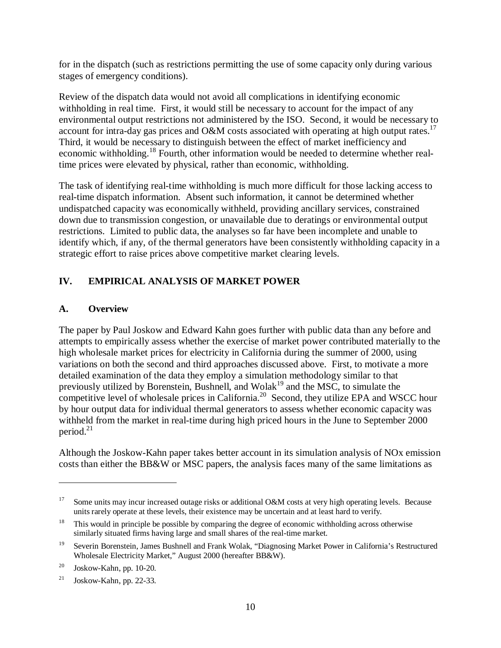for in the dispatch (such as restrictions permitting the use of some capacity only during various stages of emergency conditions).

Review of the dispatch data would not avoid all complications in identifying economic withholding in real time. First, it would still be necessary to account for the impact of any environmental output restrictions not administered by the ISO. Second, it would be necessary to account for intra-day gas prices and O&M costs associated with operating at high output rates.<sup>17</sup> Third, it would be necessary to distinguish between the effect of market inefficiency and economic withholding.18 Fourth, other information would be needed to determine whether realtime prices were elevated by physical, rather than economic, withholding.

The task of identifying real-time withholding is much more difficult for those lacking access to real-time dispatch information. Absent such information, it cannot be determined whether undispatched capacity was economically withheld, providing ancillary services, constrained down due to transmission congestion, or unavailable due to deratings or environmental output restrictions. Limited to public data, the analyses so far have been incomplete and unable to identify which, if any, of the thermal generators have been consistently withholding capacity in a strategic effort to raise prices above competitive market clearing levels.

# **IV. EMPIRICAL ANALYSIS OF MARKET POWER**

#### **A. Overview**

The paper by Paul Joskow and Edward Kahn goes further with public data than any before and attempts to empirically assess whether the exercise of market power contributed materially to the high wholesale market prices for electricity in California during the summer of 2000, using variations on both the second and third approaches discussed above. First, to motivate a more detailed examination of the data they employ a simulation methodology similar to that previously utilized by Borenstein, Bushnell, and Wolak<sup>19</sup> and the MSC, to simulate the competitive level of wholesale prices in California.<sup>20</sup> Second, they utilize EPA and WSCC hour by hour output data for individual thermal generators to assess whether economic capacity was withheld from the market in real-time during high priced hours in the June to September 2000 period.<sup>21</sup>

Although the Joskow-Kahn paper takes better account in its simulation analysis of NOx emission costs than either the BB&W or MSC papers, the analysis faces many of the same limitations as

<sup>&</sup>lt;sup>17</sup> Some units may incur increased outage risks or additional O&M costs at very high operating levels. Because units rarely operate at these levels, their existence may be uncertain and at least hard to verify.

<sup>&</sup>lt;sup>18</sup> This would in principle be possible by comparing the degree of economic withholding across otherwise similarly situated firms having large and small shares of the real-time market.

<sup>19</sup> Severin Borenstein, James Bushnell and Frank Wolak, "Diagnosing Market Power in California's Restructured Wholesale Electricity Market," August 2000 (hereafter BB&W).

 $^{20}$  Joskow-Kahn, pp. 10-20.

 $21$  Joskow-Kahn, pp. 22-33.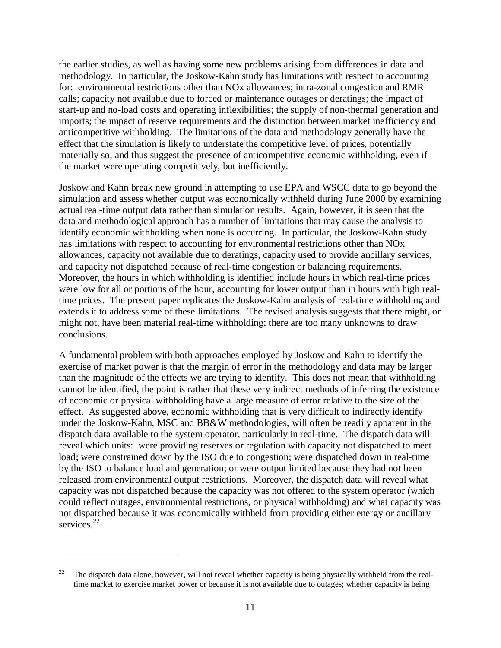the earlier studies, as well as having some new problems arising from differences in data and methodology. In particular, the Joskow-Kahn study has limitations with respect to accounting for: environmental restrictions other than NOx allowances; intra-zonal congestion and RMR calls; capacity not available due to forced or maintenance outages or deratings; the impact of start-up and no-load costs and operating inflexibilities; the supply of non-thermal generation and imports; the impact of reserve requirements and the distinction between market inefficiency and anticompetitive withholding. The limitations of the data and methodology generally have the effect that the simulation is likely to understate the competitive level of prices, potentially materially so, and thus suggest the presence of anticompetitive economic withholding, even if the market were operating competitively, but inefficiently.

Joskow and Kahn break new ground in attempting to use EPA and WSCC data to go beyond the simulation and assess whether output was economically withheld during June 2000 by examining actual real-time output data rather than simulation results. Again, however, it is seen that the data and methodological approach has a number of limitations that may cause the analysis to identify economic withholding when none is occurring. In particular, the Joskow-Kahn study has limitations with respect to accounting for environmental restrictions other than NOx allowances, capacity not available due to deratings, capacity used to provide ancillary services, and capacity not dispatched because of real-time congestion or balancing requirements. Moreover, the hours in which withholding is identified include hours in which real-time prices were low for all or portions of the hour, accounting for lower output than in hours with high realtime prices. The present paper replicates the Joskow-Kahn analysis of real-time withholding and extends it to address some of these limitations. The revised analysis suggests that there might, or might not, have been material real-time withholding; there are too many unknowns to draw conclusions.

A fundamental problem with both approaches employed by Joskow and Kahn to identify the exercise of market power is that the margin of error in the methodology and data may be larger than the magnitude of the effects we are trying to identify. This does not mean that withholding cannot be identified, the point is rather that these very indirect methods of inferring the existence of economic or physical withholding have a large measure of error relative to the size of the effect. As suggested above, economic withholding that is very difficult to indirectly identify under the Joskow-Kahn, MSC and BB&W methodologies, will often be readily apparent in the dispatch data available to the system operator, particularly in real-time. The dispatch data will reveal which units: were providing reserves or regulation with capacity not dispatched to meet load; were constrained down by the ISO due to congestion; were dispatched down in real-time by the ISO to balance load and generation; or were output limited because they had not been released from environmental output restrictions. Moreover, the dispatch data will reveal what capacity was not dispatched because the capacity was not offered to the system operator (which could reflect outages, environmental restrictions, or physical withholding) and what capacity was not dispatched because it was economically withheld from providing either energy or ancillary services<sup>22</sup>

 $22$  The dispatch data alone, however, will not reveal whether capacity is being physically withheld from the realtime market to exercise market power or because it is not available due to outages; whether capacity is being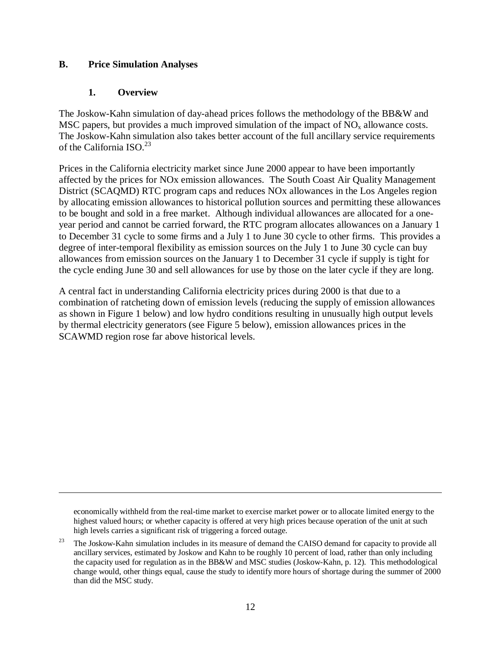#### **B. Price Simulation Analyses**

#### **1. Overview**

 $\overline{a}$ 

The Joskow-Kahn simulation of day-ahead prices follows the methodology of the BB&W and MSC papers, but provides a much improved simulation of the impact of  $NO<sub>x</sub>$  allowance costs. The Joskow-Kahn simulation also takes better account of the full ancillary service requirements of the California  $ISO^{23}$ 

Prices in the California electricity market since June 2000 appear to have been importantly affected by the prices for NOx emission allowances. The South Coast Air Quality Management District (SCAQMD) RTC program caps and reduces NOx allowances in the Los Angeles region by allocating emission allowances to historical pollution sources and permitting these allowances to be bought and sold in a free market. Although individual allowances are allocated for a oneyear period and cannot be carried forward, the RTC program allocates allowances on a January 1 to December 31 cycle to some firms and a July 1 to June 30 cycle to other firms. This provides a degree of inter-temporal flexibility as emission sources on the July 1 to June 30 cycle can buy allowances from emission sources on the January 1 to December 31 cycle if supply is tight for the cycle ending June 30 and sell allowances for use by those on the later cycle if they are long.

A central fact in understanding California electricity prices during 2000 is that due to a combination of ratcheting down of emission levels (reducing the supply of emission allowances as shown in Figure 1 below) and low hydro conditions resulting in unusually high output levels by thermal electricity generators (see Figure 5 below), emission allowances prices in the SCAWMD region rose far above historical levels.

economically withheld from the real-time market to exercise market power or to allocate limited energy to the highest valued hours; or whether capacity is offered at very high prices because operation of the unit at such high levels carries a significant risk of triggering a forced outage.

<sup>&</sup>lt;sup>23</sup> The Joskow-Kahn simulation includes in its measure of demand the CAISO demand for capacity to provide all ancillary services, estimated by Joskow and Kahn to be roughly 10 percent of load, rather than only including the capacity used for regulation as in the BB&W and MSC studies (Joskow-Kahn, p. 12). This methodological change would, other things equal, cause the study to identify more hours of shortage during the summer of 2000 than did the MSC study.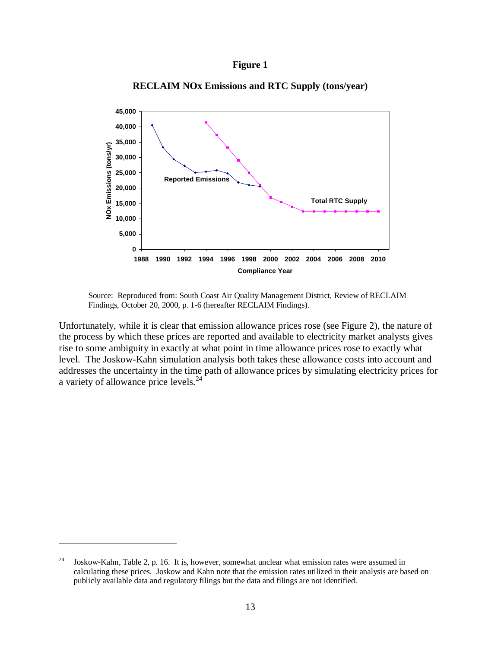#### **Figure 1**



**RECLAIM NOx Emissions and RTC Supply (tons/year)**

Source: Reproduced from: South Coast Air Quality Management District, Review of RECLAIM Findings, October 20, 2000, p. 1-6 (hereafter RECLAIM Findings).

Unfortunately, while it is clear that emission allowance prices rose (see Figure 2), the nature of the process by which these prices are reported and available to electricity market analysts gives rise to some ambiguity in exactly at what point in time allowance prices rose to exactly what level. The Joskow-Kahn simulation analysis both takes these allowance costs into account and addresses the uncertainty in the time path of allowance prices by simulating electricity prices for a variety of allowance price levels.<sup>24</sup>

<sup>&</sup>lt;sup>24</sup> Joskow-Kahn, Table 2, p. 16. It is, however, somewhat unclear what emission rates were assumed in calculating these prices. Joskow and Kahn note that the emission rates utilized in their analysis are based on publicly available data and regulatory filings but the data and filings are not identified.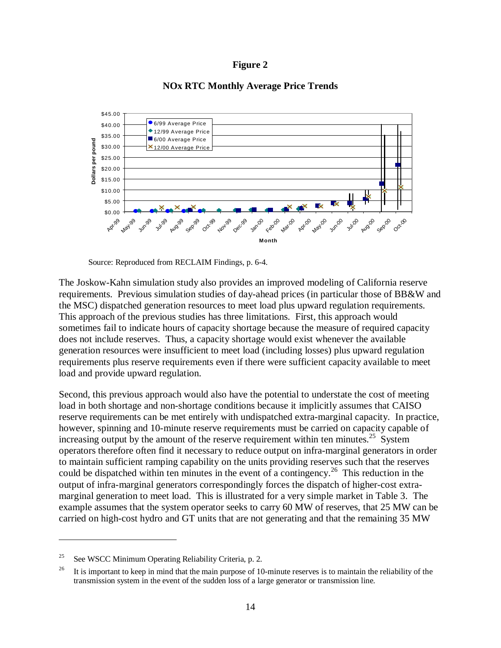



#### **NOx RTC Monthly Average Price Trends**

Source: Reproduced from RECLAIM Findings, p. 6-4.

The Joskow-Kahn simulation study also provides an improved modeling of California reserve requirements. Previous simulation studies of day-ahead prices (in particular those of BB&W and the MSC) dispatched generation resources to meet load plus upward regulation requirements. This approach of the previous studies has three limitations. First, this approach would sometimes fail to indicate hours of capacity shortage because the measure of required capacity does not include reserves. Thus, a capacity shortage would exist whenever the available generation resources were insufficient to meet load (including losses) plus upward regulation requirements plus reserve requirements even if there were sufficient capacity available to meet load and provide upward regulation.

Second, this previous approach would also have the potential to understate the cost of meeting load in both shortage and non-shortage conditions because it implicitly assumes that CAISO reserve requirements can be met entirely with undispatched extra-marginal capacity. In practice, however, spinning and 10-minute reserve requirements must be carried on capacity capable of increasing output by the amount of the reserve requirement within ten minutes.<sup>25</sup> System operators therefore often find it necessary to reduce output on infra-marginal generators in order to maintain sufficient ramping capability on the units providing reserves such that the reserves could be dispatched within ten minutes in the event of a contingency.<sup>26</sup> This reduction in the output of infra-marginal generators correspondingly forces the dispatch of higher-cost extramarginal generation to meet load. This is illustrated for a very simple market in Table 3. The example assumes that the system operator seeks to carry 60 MW of reserves, that 25 MW can be carried on high-cost hydro and GT units that are not generating and that the remaining 35 MW

<sup>&</sup>lt;sup>25</sup> See WSCC Minimum Operating Reliability Criteria, p. 2.

<sup>&</sup>lt;sup>26</sup> It is important to keep in mind that the main purpose of 10-minute reserves is to maintain the reliability of the transmission system in the event of the sudden loss of a large generator or transmission line.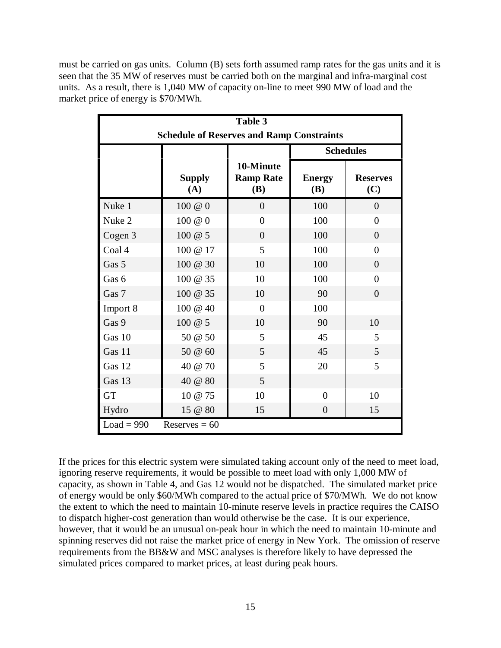must be carried on gas units. Column (B) sets forth assumed ramp rates for the gas units and it is seen that the 35 MW of reserves must be carried both on the marginal and infra-marginal cost units. As a result, there is 1,040 MW of capacity on-line to meet 990 MW of load and the market price of energy is \$70/MWh.

| Table 3<br><b>Schedule of Reserves and Ramp Constraints</b> |                      |                                             |                             |                        |  |  |  |
|-------------------------------------------------------------|----------------------|---------------------------------------------|-----------------------------|------------------------|--|--|--|
|                                                             |                      |                                             | <b>Schedules</b>            |                        |  |  |  |
|                                                             | <b>Supply</b><br>(A) | 10-Minute<br><b>Ramp Rate</b><br><b>(B)</b> | <b>Energy</b><br><b>(B)</b> | <b>Reserves</b><br>(C) |  |  |  |
| Nuke 1                                                      | 100 @ 0              | $\overline{0}$                              | 100                         | $\overline{0}$         |  |  |  |
| Nuke 2                                                      | 100 @ 0              | $\theta$                                    | 100                         | $\theta$               |  |  |  |
| Cogen 3                                                     | 100 @ 5              | $\overline{0}$                              | 100                         | $\overline{0}$         |  |  |  |
| Coal 4                                                      | 100 @ 17             | 5                                           | 100                         | $\theta$               |  |  |  |
| Gas 5                                                       | 100 @ 30             | 10                                          | 100                         | $\theta$               |  |  |  |
| Gas 6                                                       | 100 @ 35             | 10                                          | 100                         | $\overline{0}$         |  |  |  |
| Gas 7                                                       | 100 @ 35             | 10                                          | 90                          | $\overline{0}$         |  |  |  |
| Import 8                                                    | 100 @ 40             | $\overline{0}$                              | 100                         |                        |  |  |  |
| Gas 9                                                       | 100 @ 5              | 10                                          | 90                          | 10                     |  |  |  |
| Gas 10                                                      | 50 @ 50              | 5                                           | 45                          | 5                      |  |  |  |
| Gas 11                                                      | 50 @ 60              | 5                                           | 45                          | 5                      |  |  |  |
| Gas 12                                                      | 40 @ 70              | 5                                           | 20                          | 5                      |  |  |  |
| Gas 13                                                      | 40 @ 80              | 5                                           |                             |                        |  |  |  |
| GT                                                          | 10 @ 75              | 10                                          | $\overline{0}$              | 10                     |  |  |  |
| Hydro                                                       | 15 @ 80              | 15                                          | $\overline{0}$              | 15                     |  |  |  |
| $Load = 990$<br>Reserves $= 60$                             |                      |                                             |                             |                        |  |  |  |

If the prices for this electric system were simulated taking account only of the need to meet load, ignoring reserve requirements, it would be possible to meet load with only 1,000 MW of capacity, as shown in Table 4, and Gas 12 would not be dispatched. The simulated market price of energy would be only \$60/MWh compared to the actual price of \$70/MWh. We do not know the extent to which the need to maintain 10-minute reserve levels in practice requires the CAISO to dispatch higher-cost generation than would otherwise be the case. It is our experience, however, that it would be an unusual on-peak hour in which the need to maintain 10-minute and spinning reserves did not raise the market price of energy in New York. The omission of reserve requirements from the BB&W and MSC analyses is therefore likely to have depressed the simulated prices compared to market prices, at least during peak hours.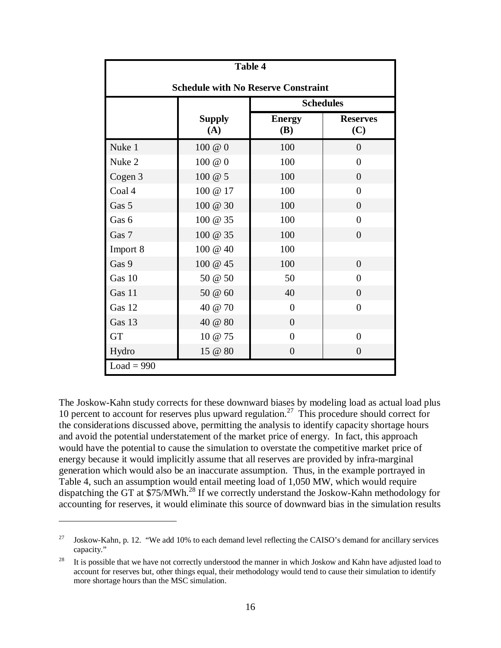| <b>Table 4</b>                             |                      |                             |                        |  |  |  |  |
|--------------------------------------------|----------------------|-----------------------------|------------------------|--|--|--|--|
| <b>Schedule with No Reserve Constraint</b> |                      |                             |                        |  |  |  |  |
|                                            | <b>Schedules</b>     |                             |                        |  |  |  |  |
|                                            | <b>Supply</b><br>(A) | <b>Energy</b><br><b>(B)</b> | <b>Reserves</b><br>(C) |  |  |  |  |
| Nuke 1                                     | 100 @ 0              | 100                         | $\overline{0}$         |  |  |  |  |
| Nuke 2                                     | 100 @ 0              | 100                         | $\overline{0}$         |  |  |  |  |
| Cogen 3                                    | 100 @ 5              | 100                         | $\overline{0}$         |  |  |  |  |
| Coal 4                                     | 100 @ 17             | 100                         | $\overline{0}$         |  |  |  |  |
| Gas 5                                      | 100 @ 30             | 100                         | $\theta$               |  |  |  |  |
| Gas 6                                      | 100 @ 35             | 100                         | $\overline{0}$         |  |  |  |  |
| Gas 7                                      | 100 @ 35             | 100                         | $\overline{0}$         |  |  |  |  |
| Import 8                                   | 100 @ 40             | 100                         |                        |  |  |  |  |
| Gas 9                                      | 100 @ 45             | 100                         | $\overline{0}$         |  |  |  |  |
| Gas 10                                     | 50 @ 50              | 50                          | $\theta$               |  |  |  |  |
| Gas 11                                     | 50 @ 60              | 40                          | $\theta$               |  |  |  |  |
| Gas 12                                     | 40 @ 70              | $\overline{0}$              | $\overline{0}$         |  |  |  |  |
| Gas 13                                     | 40 @ 80              | $\overline{0}$              |                        |  |  |  |  |
| <b>GT</b>                                  | 10 @ 75              | $\overline{0}$              | $\overline{0}$         |  |  |  |  |
| Hydro                                      | 15 @ 80              | $\overline{0}$              | $\overline{0}$         |  |  |  |  |
| $Load = 990$                               |                      |                             |                        |  |  |  |  |

The Joskow-Kahn study corrects for these downward biases by modeling load as actual load plus 10 percent to account for reserves plus upward regulation.<sup>27</sup> This procedure should correct for the considerations discussed above, permitting the analysis to identify capacity shortage hours and avoid the potential understatement of the market price of energy. In fact, this approach would have the potential to cause the simulation to overstate the competitive market price of energy because it would implicitly assume that all reserves are provided by infra-marginal generation which would also be an inaccurate assumption. Thus, in the example portrayed in Table 4, such an assumption would entail meeting load of 1,050 MW, which would require dispatching the GT at \$75/MWh.<sup>28</sup> If we correctly understand the Joskow-Kahn methodology for accounting for reserves, it would eliminate this source of downward bias in the simulation results

<sup>&</sup>lt;sup>27</sup> Joskow-Kahn, p. 12. "We add 10% to each demand level reflecting the CAISO's demand for ancillary services capacity."

<sup>&</sup>lt;sup>28</sup> It is possible that we have not correctly understood the manner in which Joskow and Kahn have adjusted load to account for reserves but, other things equal, their methodology would tend to cause their simulation to identify more shortage hours than the MSC simulation.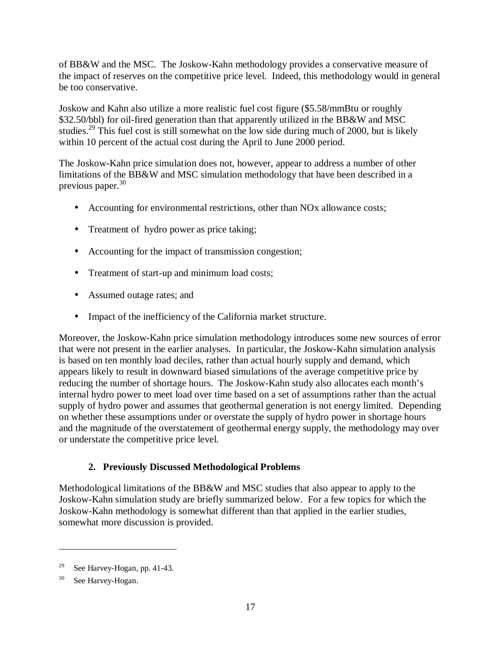of BB&W and the MSC. The Joskow-Kahn methodology provides a conservative measure of the impact of reserves on the competitive price level. Indeed, this methodology would in general be too conservative.

Joskow and Kahn also utilize a more realistic fuel cost figure (\$5.58/mmBtu or roughly \$32.50/bbl) for oil-fired generation than that apparently utilized in the BB&W and MSC studies.<sup>29</sup> This fuel cost is still somewhat on the low side during much of 2000, but is likely within 10 percent of the actual cost during the April to June 2000 period.

The Joskow-Kahn price simulation does not, however, appear to address a number of other limitations of the BB&W and MSC simulation methodology that have been described in a previous paper.<sup>30</sup>

- Accounting for environmental restrictions, other than NO<sub>x</sub> allowance costs;
- Treatment of hydro power as price taking;
- Accounting for the impact of transmission congestion;
- Treatment of start-up and minimum load costs;
- Assumed outage rates; and
- Impact of the inefficiency of the California market structure.

Moreover, the Joskow-Kahn price simulation methodology introduces some new sources of error that were not present in the earlier analyses. In particular, the Joskow-Kahn simulation analysis is based on ten monthly load deciles, rather than actual hourly supply and demand, which appears likely to result in downward biased simulations of the average competitive price by reducing the number of shortage hours. The Joskow-Kahn study also allocates each month's internal hydro power to meet load over time based on a set of assumptions rather than the actual supply of hydro power and assumes that geothermal generation is not energy limited. Depending on whether these assumptions under or overstate the supply of hydro power in shortage hours and the magnitude of the overstatement of geothermal energy supply, the methodology may over or understate the competitive price level.

#### **2. Previously Discussed Methodological Problems**

Methodological limitations of the BB&W and MSC studies that also appear to apply to the Joskow-Kahn simulation study are briefly summarized below. For a few topics for which the Joskow-Kahn methodology is somewhat different than that applied in the earlier studies, somewhat more discussion is provided.

See Harvey-Hogan, pp. 41-43.

<sup>30</sup> See Harvey-Hogan.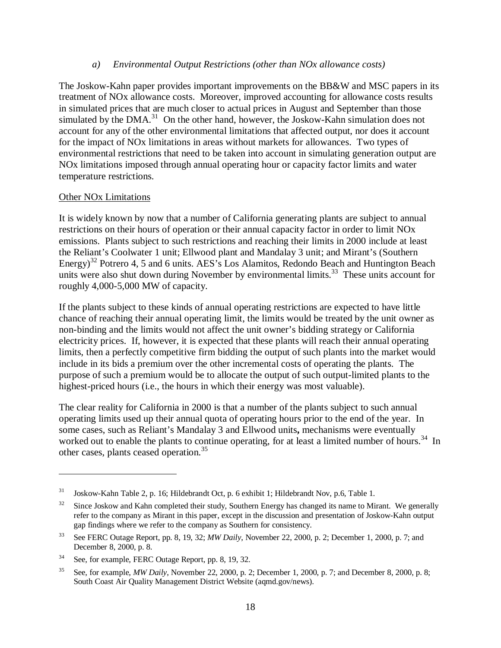#### *a) Environmental Output Restrictions (other than NOx allowance costs)*

The Joskow-Kahn paper provides important improvements on the BB&W and MSC papers in its treatment of NOx allowance costs. Moreover, improved accounting for allowance costs results in simulated prices that are much closer to actual prices in August and September than those simulated by the DMA.<sup>31</sup> On the other hand, however, the Joskow-Kahn simulation does not account for any of the other environmental limitations that affected output, nor does it account for the impact of NOx limitations in areas without markets for allowances. Two types of environmental restrictions that need to be taken into account in simulating generation output are NOx limitations imposed through annual operating hour or capacity factor limits and water temperature restrictions.

#### Other NOx Limitations

 $\overline{a}$ 

It is widely known by now that a number of California generating plants are subject to annual restrictions on their hours of operation or their annual capacity factor in order to limit NOx emissions. Plants subject to such restrictions and reaching their limits in 2000 include at least the Reliant's Coolwater 1 unit; Ellwood plant and Mandalay 3 unit; and Mirant's (Southern Energy)<sup>32</sup> Potrero 4, 5 and 6 units. AES's Los Alamitos, Redondo Beach and Huntington Beach units were also shut down during November by environmental limits.<sup>33</sup> These units account for roughly 4,000-5,000 MW of capacity.

If the plants subject to these kinds of annual operating restrictions are expected to have little chance of reaching their annual operating limit, the limits would be treated by the unit owner as non-binding and the limits would not affect the unit owner's bidding strategy or California electricity prices. If, however, it is expected that these plants will reach their annual operating limits, then a perfectly competitive firm bidding the output of such plants into the market would include in its bids a premium over the other incremental costs of operating the plants. The purpose of such a premium would be to allocate the output of such output-limited plants to the highest-priced hours (i.e., the hours in which their energy was most valuable).

The clear reality for California in 2000 is that a number of the plants subject to such annual operating limits used up their annual quota of operating hours prior to the end of the year. In some cases, such as Reliant's Mandalay 3 and Ellwood units**,** mechanisms were eventually worked out to enable the plants to continue operating, for at least a limited number of hours.<sup>34</sup> In other cases, plants ceased operation.<sup>35</sup>

<sup>31</sup> Joskow-Kahn Table 2, p. 16; Hildebrandt Oct, p. 6 exhibit 1; Hildebrandt Nov, p.6, Table 1.

<sup>&</sup>lt;sup>32</sup> Since Joskow and Kahn completed their study, Southern Energy has changed its name to Mirant. We generally refer to the company as Mirant in this paper, except in the discussion and presentation of Joskow-Kahn output gap findings where we refer to the company as Southern for consistency.

<sup>33</sup> See FERC Outage Report, pp. 8, 19, 32; *MW Daily*, November 22, 2000, p. 2; December 1, 2000, p. 7; and December 8, 2000, p. 8.

<sup>34</sup> See, for example, FERC Outage Report, pp. 8, 19, 32.

<sup>35</sup> See, for example, *MW Daily*, November 22, 2000, p. 2; December 1, 2000, p. 7; and December 8, 2000, p. 8; South Coast Air Quality Management District Website (aqmd.gov/news).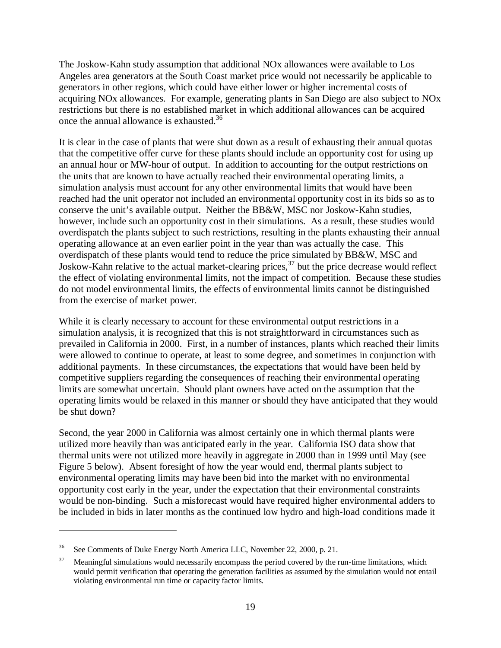The Joskow-Kahn study assumption that additional NOx allowances were available to Los Angeles area generators at the South Coast market price would not necessarily be applicable to generators in other regions, which could have either lower or higher incremental costs of acquiring NOx allowances. For example, generating plants in San Diego are also subject to NOx restrictions but there is no established market in which additional allowances can be acquired once the annual allowance is exhausted.<sup>36</sup>

It is clear in the case of plants that were shut down as a result of exhausting their annual quotas that the competitive offer curve for these plants should include an opportunity cost for using up an annual hour or MW-hour of output. In addition to accounting for the output restrictions on the units that are known to have actually reached their environmental operating limits, a simulation analysis must account for any other environmental limits that would have been reached had the unit operator not included an environmental opportunity cost in its bids so as to conserve the unit's available output. Neither the BB&W, MSC nor Joskow-Kahn studies, however, include such an opportunity cost in their simulations. As a result, these studies would overdispatch the plants subject to such restrictions, resulting in the plants exhausting their annual operating allowance at an even earlier point in the year than was actually the case. This overdispatch of these plants would tend to reduce the price simulated by BB&W, MSC and Joskow-Kahn relative to the actual market-clearing prices,  $37$  but the price decrease would reflect the effect of violating environmental limits, not the impact of competition. Because these studies do not model environmental limits, the effects of environmental limits cannot be distinguished from the exercise of market power.

While it is clearly necessary to account for these environmental output restrictions in a simulation analysis, it is recognized that this is not straightforward in circumstances such as prevailed in California in 2000. First, in a number of instances, plants which reached their limits were allowed to continue to operate, at least to some degree, and sometimes in conjunction with additional payments. In these circumstances, the expectations that would have been held by competitive suppliers regarding the consequences of reaching their environmental operating limits are somewhat uncertain. Should plant owners have acted on the assumption that the operating limits would be relaxed in this manner or should they have anticipated that they would be shut down?

Second, the year 2000 in California was almost certainly one in which thermal plants were utilized more heavily than was anticipated early in the year. California ISO data show that thermal units were not utilized more heavily in aggregate in 2000 than in 1999 until May (see Figure 5 below). Absent foresight of how the year would end, thermal plants subject to environmental operating limits may have been bid into the market with no environmental opportunity cost early in the year, under the expectation that their environmental constraints would be non-binding. Such a misforecast would have required higher environmental adders to be included in bids in later months as the continued low hydro and high-load conditions made it

<sup>&</sup>lt;sup>36</sup> See Comments of Duke Energy North America LLC, November 22, 2000, p. 21.

<sup>&</sup>lt;sup>37</sup> Meaningful simulations would necessarily encompass the period covered by the run-time limitations, which would permit verification that operating the generation facilities as assumed by the simulation would not entail violating environmental run time or capacity factor limits.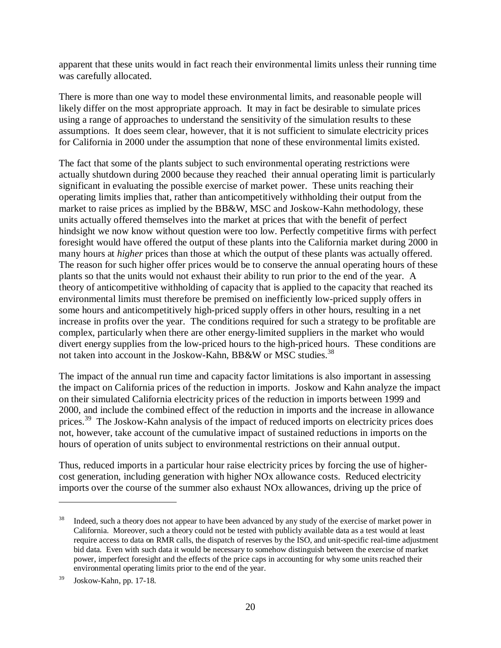apparent that these units would in fact reach their environmental limits unless their running time was carefully allocated.

There is more than one way to model these environmental limits, and reasonable people will likely differ on the most appropriate approach. It may in fact be desirable to simulate prices using a range of approaches to understand the sensitivity of the simulation results to these assumptions. It does seem clear, however, that it is not sufficient to simulate electricity prices for California in 2000 under the assumption that none of these environmental limits existed.

The fact that some of the plants subject to such environmental operating restrictions were actually shutdown during 2000 because they reached their annual operating limit is particularly significant in evaluating the possible exercise of market power. These units reaching their operating limits implies that, rather than anticompetitively withholding their output from the market to raise prices as implied by the BB&W, MSC and Joskow-Kahn methodology, these units actually offered themselves into the market at prices that with the benefit of perfect hindsight we now know without question were too low. Perfectly competitive firms with perfect foresight would have offered the output of these plants into the California market during 2000 in many hours at *higher* prices than those at which the output of these plants was actually offered. The reason for such higher offer prices would be to conserve the annual operating hours of these plants so that the units would not exhaust their ability to run prior to the end of the year. A theory of anticompetitive withholding of capacity that is applied to the capacity that reached its environmental limits must therefore be premised on inefficiently low-priced supply offers in some hours and anticompetitively high-priced supply offers in other hours, resulting in a net increase in profits over the year. The conditions required for such a strategy to be profitable are complex, particularly when there are other energy-limited suppliers in the market who would divert energy supplies from the low-priced hours to the high-priced hours. These conditions are not taken into account in the Joskow-Kahn, BB&W or MSC studies.<sup>38</sup>

The impact of the annual run time and capacity factor limitations is also important in assessing the impact on California prices of the reduction in imports. Joskow and Kahn analyze the impact on their simulated California electricity prices of the reduction in imports between 1999 and 2000, and include the combined effect of the reduction in imports and the increase in allowance prices.<sup>39</sup> The Joskow-Kahn analysis of the impact of reduced imports on electricity prices does not, however, take account of the cumulative impact of sustained reductions in imports on the hours of operation of units subject to environmental restrictions on their annual output.

Thus, reduced imports in a particular hour raise electricity prices by forcing the use of highercost generation, including generation with higher NOx allowance costs. Reduced electricity imports over the course of the summer also exhaust NOx allowances, driving up the price of

<sup>&</sup>lt;sup>38</sup> Indeed, such a theory does not appear to have been advanced by any study of the exercise of market power in California. Moreover, such a theory could not be tested with publicly available data as a test would at least require access to data on RMR calls, the dispatch of reserves by the ISO, and unit-specific real-time adjustment bid data. Even with such data it would be necessary to somehow distinguish between the exercise of market power, imperfect foresight and the effects of the price caps in accounting for why some units reached their environmental operating limits prior to the end of the year.

<sup>39</sup> Joskow-Kahn, pp. 17-18.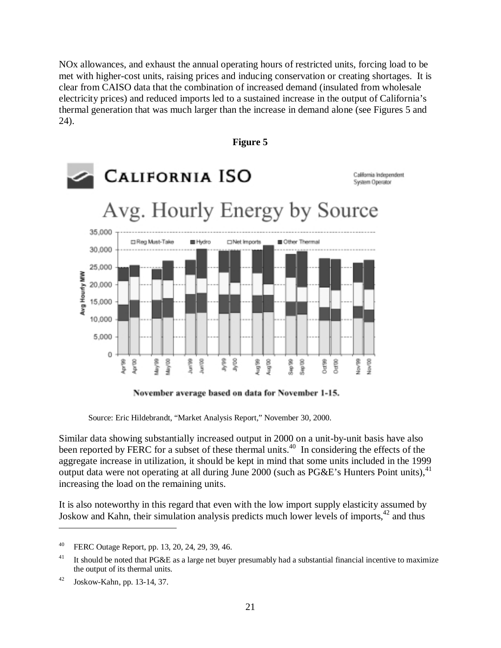NOx allowances, and exhaust the annual operating hours of restricted units, forcing load to be met with higher-cost units, raising prices and inducing conservation or creating shortages. It is clear from CAISO data that the combination of increased demand (insulated from wholesale electricity prices) and reduced imports led to a sustained increase in the output of California's thermal generation that was much larger than the increase in demand alone (see Figures 5 and 24).

**Figure 5**



# November average based on data for November 1-15.

Source: Eric Hildebrandt, "Market Analysis Report," November 30, 2000.

Similar data showing substantially increased output in 2000 on a unit-by-unit basis have also been reported by FERC for a subset of these thermal units.<sup>40</sup> In considering the effects of the aggregate increase in utilization, it should be kept in mind that some units included in the 1999 output data were not operating at all during June 2000 (such as  $P G \& E$ 's Hunters Point units),  $^{41}$ increasing the load on the remaining units.

It is also noteworthy in this regard that even with the low import supply elasticity assumed by Joskow and Kahn, their simulation analysis predicts much lower levels of imports,  $42$  and thus

<sup>40</sup> FERC Outage Report, pp. 13, 20, 24, 29, 39, 46.

<sup>&</sup>lt;sup>41</sup> It should be noted that PG&E as a large net buyer presumably had a substantial financial incentive to maximize the output of its thermal units.

<sup>42</sup> Joskow-Kahn, pp. 13-14, 37.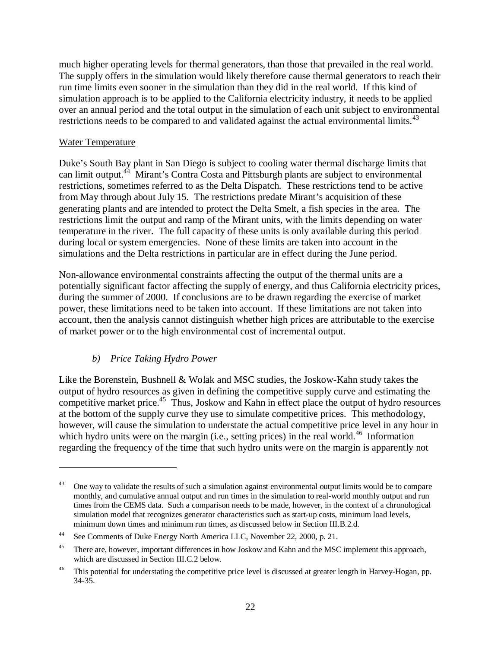much higher operating levels for thermal generators, than those that prevailed in the real world. The supply offers in the simulation would likely therefore cause thermal generators to reach their run time limits even sooner in the simulation than they did in the real world. If this kind of simulation approach is to be applied to the California electricity industry, it needs to be applied over an annual period and the total output in the simulation of each unit subject to environmental restrictions needs to be compared to and validated against the actual environmental limits.<sup>43</sup>

#### Water Temperature

 $\overline{a}$ 

Duke's South Bay plant in San Diego is subject to cooling water thermal discharge limits that can limit output.<sup>44</sup> Mirant's Contra Costa and Pittsburgh plants are subject to environmental restrictions, sometimes referred to as the Delta Dispatch. These restrictions tend to be active from May through about July 15. The restrictions predate Mirant's acquisition of these generating plants and are intended to protect the Delta Smelt, a fish species in the area. The restrictions limit the output and ramp of the Mirant units, with the limits depending on water temperature in the river. The full capacity of these units is only available during this period during local or system emergencies. None of these limits are taken into account in the simulations and the Delta restrictions in particular are in effect during the June period.

Non-allowance environmental constraints affecting the output of the thermal units are a potentially significant factor affecting the supply of energy, and thus California electricity prices, during the summer of 2000. If conclusions are to be drawn regarding the exercise of market power, these limitations need to be taken into account. If these limitations are not taken into account, then the analysis cannot distinguish whether high prices are attributable to the exercise of market power or to the high environmental cost of incremental output.

# *b) Price Taking Hydro Power*

Like the Borenstein, Bushnell & Wolak and MSC studies, the Joskow-Kahn study takes the output of hydro resources as given in defining the competitive supply curve and estimating the competitive market price.<sup>45</sup> Thus, Joskow and Kahn in effect place the output of hydro resources at the bottom of the supply curve they use to simulate competitive prices. This methodology, however, will cause the simulation to understate the actual competitive price level in any hour in which hydro units were on the margin (i.e., setting prices) in the real world.<sup>46</sup> Information regarding the frequency of the time that such hydro units were on the margin is apparently not

<sup>43</sup> One way to validate the results of such a simulation against environmental output limits would be to compare monthly, and cumulative annual output and run times in the simulation to real-world monthly output and run times from the CEMS data. Such a comparison needs to be made, however, in the context of a chronological simulation model that recognizes generator characteristics such as start-up costs, minimum load levels, minimum down times and minimum run times, as discussed below in Section III.B.2.d.

<sup>44</sup> See Comments of Duke Energy North America LLC, November 22, 2000, p. 21.

<sup>&</sup>lt;sup>45</sup> There are, however, important differences in how Joskow and Kahn and the MSC implement this approach, which are discussed in Section III.C.2 below.

<sup>&</sup>lt;sup>46</sup> This potential for understating the competitive price level is discussed at greater length in Harvey-Hogan, pp. 34-35.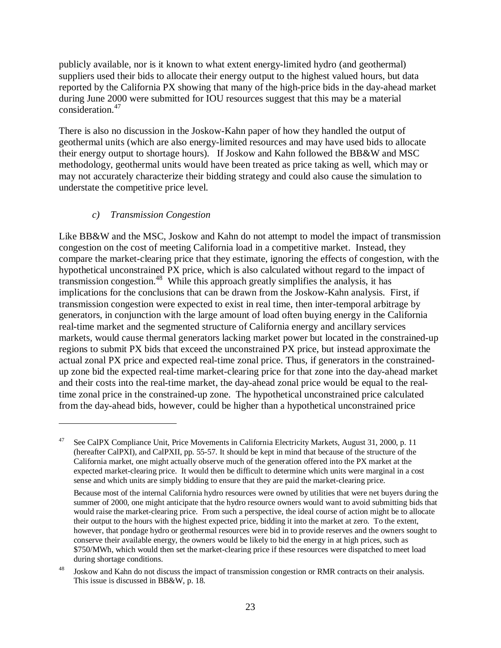publicly available, nor is it known to what extent energy-limited hydro (and geothermal) suppliers used their bids to allocate their energy output to the highest valued hours, but data reported by the California PX showing that many of the high-price bids in the day-ahead market during June 2000 were submitted for IOU resources suggest that this may be a material consideration.<sup>47</sup>

There is also no discussion in the Joskow-Kahn paper of how they handled the output of geothermal units (which are also energy-limited resources and may have used bids to allocate their energy output to shortage hours). If Joskow and Kahn followed the BB&W and MSC methodology, geothermal units would have been treated as price taking as well, which may or may not accurately characterize their bidding strategy and could also cause the simulation to understate the competitive price level.

#### *c) Transmission Congestion*

 $\overline{a}$ 

Like BB&W and the MSC, Joskow and Kahn do not attempt to model the impact of transmission congestion on the cost of meeting California load in a competitive market. Instead, they compare the market-clearing price that they estimate, ignoring the effects of congestion, with the hypothetical unconstrained PX price, which is also calculated without regard to the impact of transmission congestion.<sup>48</sup> While this approach greatly simplifies the analysis, it has implications for the conclusions that can be drawn from the Joskow-Kahn analysis. First, if transmission congestion were expected to exist in real time, then inter-temporal arbitrage by generators, in conjunction with the large amount of load often buying energy in the California real-time market and the segmented structure of California energy and ancillary services markets, would cause thermal generators lacking market power but located in the constrained-up regions to submit PX bids that exceed the unconstrained PX price, but instead approximate the actual zonal PX price and expected real-time zonal price. Thus, if generators in the constrainedup zone bid the expected real-time market-clearing price for that zone into the day-ahead market and their costs into the real-time market, the day-ahead zonal price would be equal to the realtime zonal price in the constrained-up zone. The hypothetical unconstrained price calculated from the day-ahead bids, however, could be higher than a hypothetical unconstrained price

<sup>47</sup> See CalPX Compliance Unit, Price Movements in California Electricity Markets, August 31, 2000, p. 11 (hereafter CalPXI), and CalPXII, pp. 55-57. It should be kept in mind that because of the structure of the California market, one might actually observe much of the generation offered into the PX market at the expected market-clearing price. It would then be difficult to determine which units were marginal in a cost sense and which units are simply bidding to ensure that they are paid the market-clearing price.

Because most of the internal California hydro resources were owned by utilities that were net buyers during the summer of 2000, one might anticipate that the hydro resource owners would want to avoid submitting bids that would raise the market-clearing price. From such a perspective, the ideal course of action might be to allocate their output to the hours with the highest expected price, bidding it into the market at zero. To the extent, however, that pondage hydro or geothermal resources were bid in to provide reserves and the owners sought to conserve their available energy, the owners would be likely to bid the energy in at high prices, such as \$750/MWh, which would then set the market-clearing price if these resources were dispatched to meet load during shortage conditions.

<sup>48</sup> Joskow and Kahn do not discuss the impact of transmission congestion or RMR contracts on their analysis. This issue is discussed in BB&W, p. 18.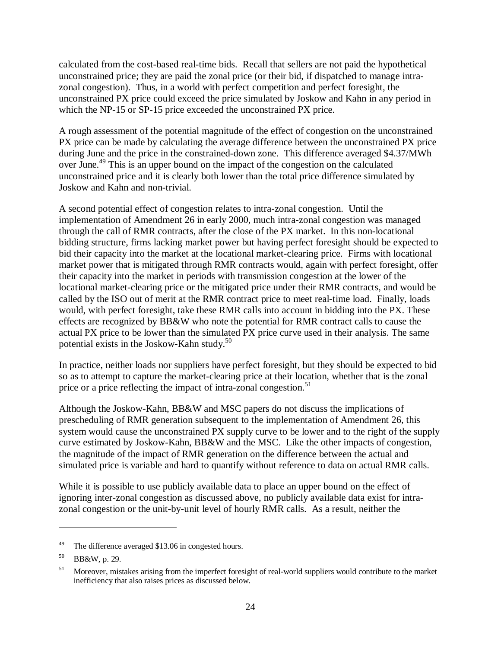calculated from the cost-based real-time bids. Recall that sellers are not paid the hypothetical unconstrained price; they are paid the zonal price (or their bid, if dispatched to manage intrazonal congestion). Thus, in a world with perfect competition and perfect foresight, the unconstrained PX price could exceed the price simulated by Joskow and Kahn in any period in which the NP-15 or SP-15 price exceeded the unconstrained PX price.

A rough assessment of the potential magnitude of the effect of congestion on the unconstrained PX price can be made by calculating the average difference between the unconstrained PX price during June and the price in the constrained-down zone. This difference averaged \$4.37/MWh over June.49 This is an upper bound on the impact of the congestion on the calculated unconstrained price and it is clearly both lower than the total price difference simulated by Joskow and Kahn and non-trivial.

A second potential effect of congestion relates to intra-zonal congestion. Until the implementation of Amendment 26 in early 2000, much intra-zonal congestion was managed through the call of RMR contracts, after the close of the PX market. In this non-locational bidding structure, firms lacking market power but having perfect foresight should be expected to bid their capacity into the market at the locational market-clearing price. Firms with locational market power that is mitigated through RMR contracts would, again with perfect foresight, offer their capacity into the market in periods with transmission congestion at the lower of the locational market-clearing price or the mitigated price under their RMR contracts, and would be called by the ISO out of merit at the RMR contract price to meet real-time load. Finally, loads would, with perfect foresight, take these RMR calls into account in bidding into the PX. These effects are recognized by BB&W who note the potential for RMR contract calls to cause the actual PX price to be lower than the simulated PX price curve used in their analysis. The same potential exists in the Joskow-Kahn study. $50$ 

In practice, neither loads nor suppliers have perfect foresight, but they should be expected to bid so as to attempt to capture the market-clearing price at their location, whether that is the zonal price or a price reflecting the impact of intra-zonal congestion.<sup>51</sup>

Although the Joskow-Kahn, BB&W and MSC papers do not discuss the implications of prescheduling of RMR generation subsequent to the implementation of Amendment 26, this system would cause the unconstrained PX supply curve to be lower and to the right of the supply curve estimated by Joskow-Kahn, BB&W and the MSC. Like the other impacts of congestion, the magnitude of the impact of RMR generation on the difference between the actual and simulated price is variable and hard to quantify without reference to data on actual RMR calls.

While it is possible to use publicly available data to place an upper bound on the effect of ignoring inter-zonal congestion as discussed above, no publicly available data exist for intrazonal congestion or the unit-by-unit level of hourly RMR calls. As a result, neither the

<sup>&</sup>lt;sup>49</sup> The difference averaged \$13.06 in congested hours.

<sup>50</sup> BB&W, p. 29.

<sup>&</sup>lt;sup>51</sup> Moreover, mistakes arising from the imperfect foresight of real-world suppliers would contribute to the market inefficiency that also raises prices as discussed below.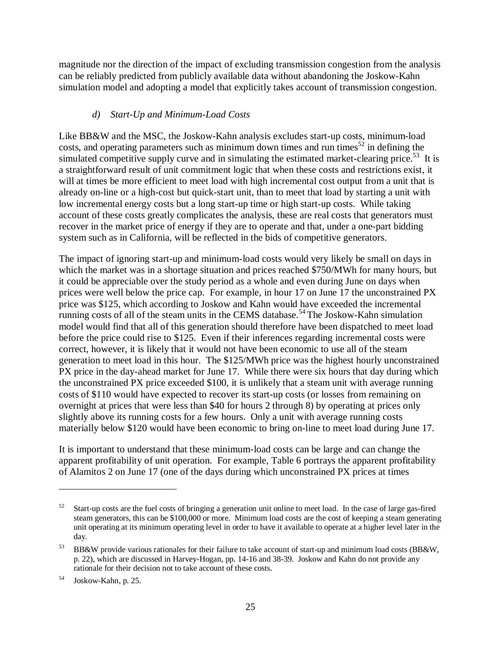magnitude nor the direction of the impact of excluding transmission congestion from the analysis can be reliably predicted from publicly available data without abandoning the Joskow-Kahn simulation model and adopting a model that explicitly takes account of transmission congestion.

### *d) Start-Up and Minimum-Load Costs*

Like BB&W and the MSC, the Joskow-Kahn analysis excludes start-up costs, minimum-load costs, and operating parameters such as minimum down times and run times<sup>52</sup> in defining the simulated competitive supply curve and in simulating the estimated market-clearing price.<sup>53</sup> It is a straightforward result of unit commitment logic that when these costs and restrictions exist, it will at times be more efficient to meet load with high incremental cost output from a unit that is already on-line or a high-cost but quick-start unit, than to meet that load by starting a unit with low incremental energy costs but a long start-up time or high start-up costs. While taking account of these costs greatly complicates the analysis, these are real costs that generators must recover in the market price of energy if they are to operate and that, under a one-part bidding system such as in California, will be reflected in the bids of competitive generators.

The impact of ignoring start-up and minimum-load costs would very likely be small on days in which the market was in a shortage situation and prices reached \$750/MWh for many hours, but it could be appreciable over the study period as a whole and even during June on days when prices were well below the price cap. For example, in hour 17 on June 17 the unconstrained PX price was \$125, which according to Joskow and Kahn would have exceeded the incremental running costs of all of the steam units in the CEMS database.<sup>54</sup> The Joskow-Kahn simulation model would find that all of this generation should therefore have been dispatched to meet load before the price could rise to \$125. Even if their inferences regarding incremental costs were correct, however, it is likely that it would not have been economic to use all of the steam generation to meet load in this hour. The \$125/MWh price was the highest hourly unconstrained PX price in the day-ahead market for June 17. While there were six hours that day during which the unconstrained PX price exceeded \$100, it is unlikely that a steam unit with average running costs of \$110 would have expected to recover its start-up costs (or losses from remaining on overnight at prices that were less than \$40 for hours 2 through 8) by operating at prices only slightly above its running costs for a few hours. Only a unit with average running costs materially below \$120 would have been economic to bring on-line to meet load during June 17.

It is important to understand that these minimum-load costs can be large and can change the apparent profitability of unit operation. For example, Table 6 portrays the apparent profitability of Alamitos 2 on June 17 (one of the days during which unconstrained PX prices at times

 $52$  Start-up costs are the fuel costs of bringing a generation unit online to meet load. In the case of large gas-fired steam generators, this can be \$100,000 or more. Minimum load costs are the cost of keeping a steam generating unit operating at its minimum operating level in order to have it available to operate at a higher level later in the day.

<sup>53</sup> BB&W provide various rationales for their failure to take account of start-up and minimum load costs (BB&W, p. 22), which are discussed in Harvey-Hogan, pp. 14-16 and 38-39. Joskow and Kahn do not provide any rationale for their decision not to take account of these costs.

<sup>54</sup> Joskow-Kahn, p. 25.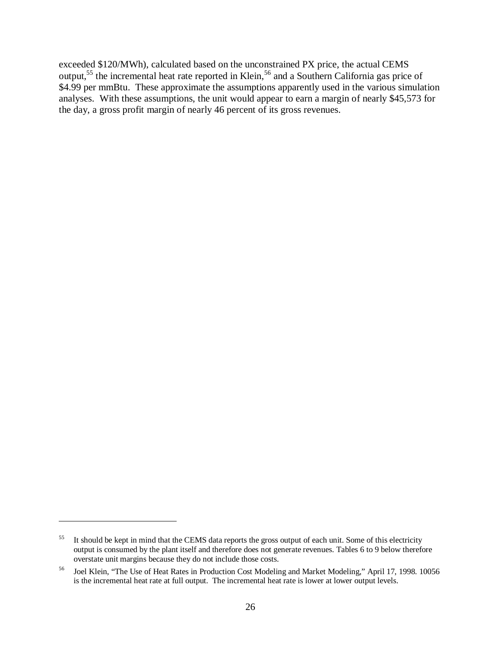exceeded \$120/MWh), calculated based on the unconstrained PX price, the actual CEMS output,<sup>55</sup> the incremental heat rate reported in Klein,<sup>56</sup> and a Southern California gas price of \$4.99 per mmBtu. These approximate the assumptions apparently used in the various simulation analyses. With these assumptions, the unit would appear to earn a margin of nearly \$45,573 for the day, a gross profit margin of nearly 46 percent of its gross revenues.

<sup>&</sup>lt;sup>55</sup> It should be kept in mind that the CEMS data reports the gross output of each unit. Some of this electricity output is consumed by the plant itself and therefore does not generate revenues. Tables 6 to 9 below therefore overstate unit margins because they do not include those costs.

<sup>56</sup> Joel Klein, "The Use of Heat Rates in Production Cost Modeling and Market Modeling," April 17, 1998. 10056 is the incremental heat rate at full output. The incremental heat rate is lower at lower output levels.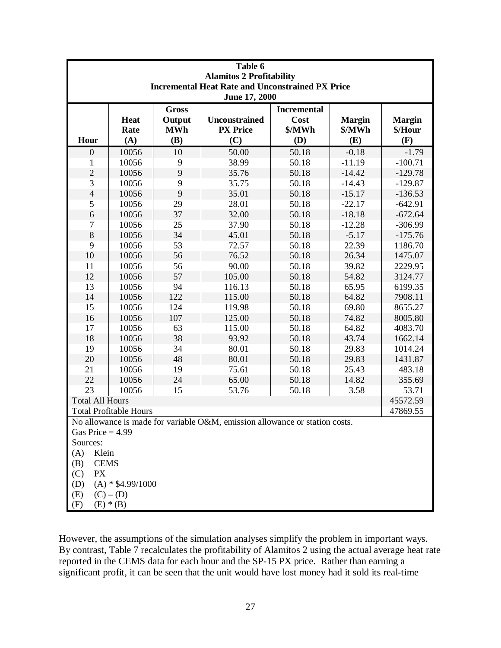| Table 6                                                                                           |                |                      |                                  |                    |                         |                          |  |  |
|---------------------------------------------------------------------------------------------------|----------------|----------------------|----------------------------------|--------------------|-------------------------|--------------------------|--|--|
| <b>Alamitos 2 Profitability</b>                                                                   |                |                      |                                  |                    |                         |                          |  |  |
| <b>Incremental Heat Rate and Unconstrained PX Price</b>                                           |                |                      |                                  |                    |                         |                          |  |  |
| June 17, 2000                                                                                     |                |                      |                                  |                    |                         |                          |  |  |
|                                                                                                   |                | <b>Gross</b>         |                                  | <b>Incremental</b> |                         |                          |  |  |
|                                                                                                   | Heat<br>Rate   | Output<br><b>MWh</b> | Unconstrained<br><b>PX</b> Price | Cost<br>\$/MWh     | <b>Margin</b><br>\$/MWh | <b>Margin</b><br>\$/Hour |  |  |
| Hour                                                                                              | (A)            | (B)                  | (C)                              | (D)                | (E)                     | (F)                      |  |  |
| $\boldsymbol{0}$                                                                                  | 10056          | 10                   | 50.00                            | 50.18              | $-0.18$                 | $-1.79$                  |  |  |
| 1                                                                                                 | 10056          | 9                    | 38.99                            | 50.18              | $-11.19$                | $-100.71$                |  |  |
| $\overline{c}$                                                                                    | 10056          | 9                    | 35.76                            | 50.18              | $-14.42$                | $-129.78$                |  |  |
| 3                                                                                                 | 10056          | 9                    | 35.75                            | 50.18              | $-14.43$                | $-129.87$                |  |  |
| $\overline{4}$                                                                                    | 10056          | 9                    | 35.01                            | 50.18              | $-15.17$                | $-136.53$                |  |  |
| 5                                                                                                 | 10056          | 29                   | 28.01                            | 50.18              | $-22.17$                | $-642.91$                |  |  |
| 6                                                                                                 | 10056          | 37                   | 32.00                            | 50.18              | $-18.18$                | $-672.64$                |  |  |
| $\tau$                                                                                            | 10056          | 25                   | 37.90                            | 50.18              | $-12.28$                | $-306.99$                |  |  |
| 8                                                                                                 | 10056          | 34                   | 45.01                            | 50.18              | $-5.17$                 | $-175.76$                |  |  |
| 9                                                                                                 | 10056          | 53                   | 72.57                            | 50.18              | 22.39                   | 1186.70                  |  |  |
| 10                                                                                                | 10056          | 56                   | 76.52                            | 50.18              | 26.34                   | 1475.07                  |  |  |
| 11                                                                                                | 10056          | 56                   | 90.00                            | 50.18              | 39.82                   | 2229.95                  |  |  |
| 12                                                                                                | 10056          | 57                   | 105.00                           | 50.18              | 54.82                   | 3124.77                  |  |  |
| 13                                                                                                |                | 94                   | 116.13                           | 50.18              | 65.95                   |                          |  |  |
| 14                                                                                                | 10056<br>10056 | 122                  | 115.00                           | 50.18              | 64.82                   | 6199.35<br>7908.11       |  |  |
| 15                                                                                                | 10056          | 124                  |                                  | 50.18              | 69.80                   |                          |  |  |
|                                                                                                   | 10056          |                      | 119.98                           |                    |                         | 8655.27                  |  |  |
| 16                                                                                                |                | 107                  | 125.00                           | 50.18              | 74.82                   | 8005.80                  |  |  |
| 17                                                                                                | 10056          | 63                   | 115.00                           | 50.18              | 64.82                   | 4083.70                  |  |  |
| 18                                                                                                | 10056          | 38                   | 93.92                            | 50.18              | 43.74                   | 1662.14                  |  |  |
| 19                                                                                                | 10056          | 34                   | 80.01                            | 50.18              | 29.83                   | 1014.24                  |  |  |
| 20                                                                                                | 10056          | 48                   | 80.01                            | 50.18              | 29.83                   | 1431.87                  |  |  |
| 21                                                                                                | 10056          | 19                   | 75.61                            | 50.18              | 25.43                   | 483.18                   |  |  |
| 22                                                                                                | 10056          | 24                   | 65.00                            | 50.18              | 14.82                   | 355.69                   |  |  |
| 23                                                                                                | 10056          | 15                   | 53.76                            | 50.18              | 3.58                    | 53.71                    |  |  |
| <b>Total All Hours</b>                                                                            |                |                      |                                  |                    |                         | 45572.59                 |  |  |
| <b>Total Profitable Hours</b><br>47869.55                                                         |                |                      |                                  |                    |                         |                          |  |  |
| No allowance is made for variable O&M, emission allowance or station costs.<br>Gas Price $=$ 4.99 |                |                      |                                  |                    |                         |                          |  |  |
| Sources:                                                                                          |                |                      |                                  |                    |                         |                          |  |  |
| Klein<br>(A)                                                                                      |                |                      |                                  |                    |                         |                          |  |  |
| <b>CEMS</b><br>(B)                                                                                |                |                      |                                  |                    |                         |                          |  |  |
| <b>PX</b><br>(C)                                                                                  |                |                      |                                  |                    |                         |                          |  |  |
| $(A)$ * \$4.99/1000<br>(D)                                                                        |                |                      |                                  |                    |                         |                          |  |  |
| $(C) - (D)$                                                                                       |                |                      |                                  |                    |                         |                          |  |  |
|                                                                                                   | (E)            |                      |                                  |                    |                         |                          |  |  |
| (F)<br>$(E) * (B)$                                                                                |                |                      |                                  |                    |                         |                          |  |  |

However, the assumptions of the simulation analyses simplify the problem in important ways. By contrast, Table 7 recalculates the profitability of Alamitos 2 using the actual average heat rate reported in the CEMS data for each hour and the SP-15 PX price. Rather than earning a significant profit, it can be seen that the unit would have lost money had it sold its real-time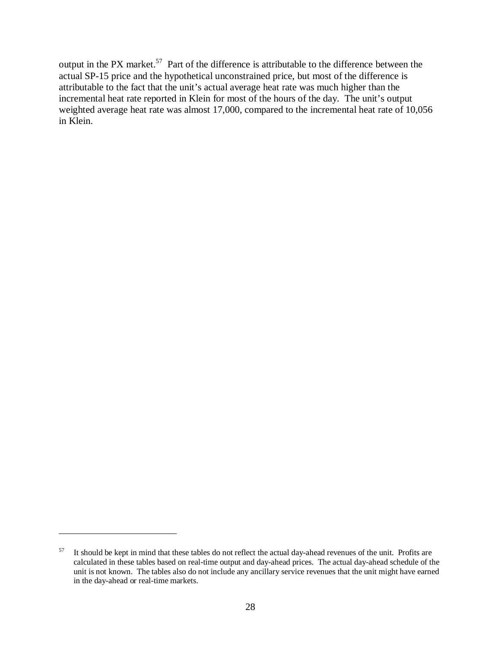output in the PX market.<sup>57</sup> Part of the difference is attributable to the difference between the actual SP-15 price and the hypothetical unconstrained price, but most of the difference is attributable to the fact that the unit's actual average heat rate was much higher than the incremental heat rate reported in Klein for most of the hours of the day. The unit's output weighted average heat rate was almost 17,000, compared to the incremental heat rate of 10,056 in Klein.

 $57$  It should be kept in mind that these tables do not reflect the actual day-ahead revenues of the unit. Profits are calculated in these tables based on real-time output and day-ahead prices. The actual day-ahead schedule of the unit is not known. The tables also do not include any ancillary service revenues that the unit might have earned in the day-ahead or real-time markets.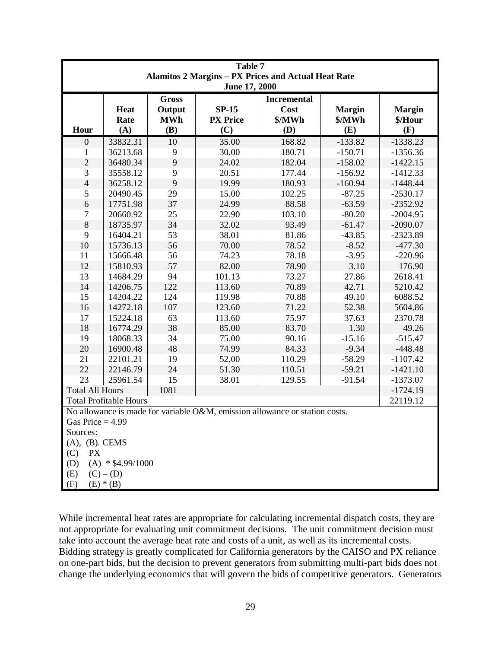| Table 7                                                                                           |                            |                                             |                                   |                                             |                                |                                 |  |
|---------------------------------------------------------------------------------------------------|----------------------------|---------------------------------------------|-----------------------------------|---------------------------------------------|--------------------------------|---------------------------------|--|
| <b>Alamitos 2 Margins - PX Prices and Actual Heat Rate</b><br>June 17, 2000                       |                            |                                             |                                   |                                             |                                |                                 |  |
| Hour                                                                                              | <b>Heat</b><br>Rate<br>(A) | <b>Gross</b><br>Output<br><b>MWh</b><br>(B) | $SP-15$<br><b>PX</b> Price<br>(C) | <b>Incremental</b><br>Cost<br>\$/MWh<br>(D) | <b>Margin</b><br>\$/MWh<br>(E) | <b>Margin</b><br>\$/Hour<br>(F) |  |
| $\boldsymbol{0}$                                                                                  | 33832.31                   | 10                                          | 35.00                             | 168.82                                      | $-133.82$                      | $-1338.23$                      |  |
| 1                                                                                                 | 36213.68                   | 9                                           | 30.00                             | 180.71                                      | $-150.71$                      | $-1356.36$                      |  |
| $\overline{c}$                                                                                    | 36480.34                   | 9                                           | 24.02                             | 182.04                                      | $-158.02$                      | $-1422.15$                      |  |
| 3                                                                                                 | 35558.12                   | 9                                           | 20.51                             | 177.44                                      | $-156.92$                      | $-1412.33$                      |  |
| $\overline{4}$                                                                                    | 36258.12                   | 9                                           | 19.99                             | 180.93                                      | $-160.94$                      | $-1448.44$                      |  |
| 5                                                                                                 | 20490.45                   | 29                                          | 15.00                             | 102.25                                      | $-87.25$                       | $-2530.17$                      |  |
| 6                                                                                                 | 17751.98                   | 37                                          | 24.99                             | 88.58                                       | $-63.59$                       | $-2352.92$                      |  |
| $\tau$                                                                                            | 20660.92                   | 25                                          | 22.90                             | 103.10                                      | $-80.20$                       | $-2004.95$                      |  |
| $\,8\,$                                                                                           | 18735.97                   | 34                                          | 32.02                             | 93.49                                       | $-61.47$                       | $-2090.07$                      |  |
| 9                                                                                                 | 16404.21                   | 53                                          | 38.01                             | 81.86                                       | $-43.85$                       | $-2323.89$                      |  |
| 10                                                                                                | 15736.13                   | 56                                          | 70.00                             | 78.52                                       | $-8.52$                        | $-477.30$                       |  |
| 11                                                                                                | 15666.48                   | 56                                          | 74.23                             | 78.18                                       | $-3.95$                        | $-220.96$                       |  |
| 12                                                                                                | 15810.93                   | 57                                          | 82.00                             | 78.90                                       | 3.10                           | 176.90                          |  |
| 13                                                                                                | 14684.29                   | 94                                          | 101.13                            | 73.27                                       | 27.86                          | 2618.41                         |  |
| 14                                                                                                | 14206.75                   | 122                                         | 113.60                            | 70.89                                       | 42.71                          | 5210.42                         |  |
| 15                                                                                                | 14204.22                   | 124                                         | 119.98                            | 70.88                                       | 49.10                          | 6088.52                         |  |
| 16                                                                                                | 14272.18                   | 107                                         | 123.60                            | 71.22                                       | 52.38                          | 5604.86                         |  |
| 17                                                                                                | 15224.18                   | 63                                          | 113.60                            | 75.97                                       | 37.63                          | 2370.78                         |  |
| 18                                                                                                | 16774.29                   | 38                                          | 85.00                             | 83.70                                       | 1.30                           | 49.26                           |  |
| 19                                                                                                | 18068.33                   | 34                                          | 75.00                             | 90.16                                       | $-15.16$                       | $-515.47$                       |  |
| 20                                                                                                | 16900.48                   | 48                                          | 74.99                             | 84.33                                       | $-9.34$                        | $-448.48$                       |  |
| 21                                                                                                | 22101.21                   | 19                                          | 52.00                             | 110.29                                      | $-58.29$                       | $-1107.42$                      |  |
| 22                                                                                                | 22146.79                   | 24                                          | 51.30                             | 110.51                                      | $-59.21$                       | $-1421.10$                      |  |
| 23                                                                                                | 25961.54                   | 15                                          | 38.01                             | 129.55                                      | $-91.54$                       | $-1373.07$                      |  |
| <b>Total All Hours</b>                                                                            |                            | 1081                                        |                                   |                                             |                                | $-1724.19$                      |  |
| <b>Total Profitable Hours</b><br>22119.12                                                         |                            |                                             |                                   |                                             |                                |                                 |  |
| No allowance is made for variable O&M, emission allowance or station costs.<br>Gas Price $= 4.99$ |                            |                                             |                                   |                                             |                                |                                 |  |
| Sources:                                                                                          |                            |                                             |                                   |                                             |                                |                                 |  |
| $(A), (B)$ . CEMS                                                                                 |                            |                                             |                                   |                                             |                                |                                 |  |
| <b>PX</b><br>(C)                                                                                  |                            |                                             |                                   |                                             |                                |                                 |  |
| $(A)$ * \$4.99/1000<br>(D)                                                                        |                            |                                             |                                   |                                             |                                |                                 |  |
| (E)<br>$(C) - (D)$                                                                                |                            |                                             |                                   |                                             |                                |                                 |  |
| $(E) * (B)$<br>(F)                                                                                |                            |                                             |                                   |                                             |                                |                                 |  |

While incremental heat rates are appropriate for calculating incremental dispatch costs, they are not appropriate for evaluating unit commitment decisions. The unit commitment decision must take into account the average heat rate and costs of a unit, as well as its incremental costs. Bidding strategy is greatly complicated for California generators by the CAISO and PX reliance on one-part bids, but the decision to prevent generators from submitting multi-part bids does not change the underlying economics that will govern the bids of competitive generators. Generators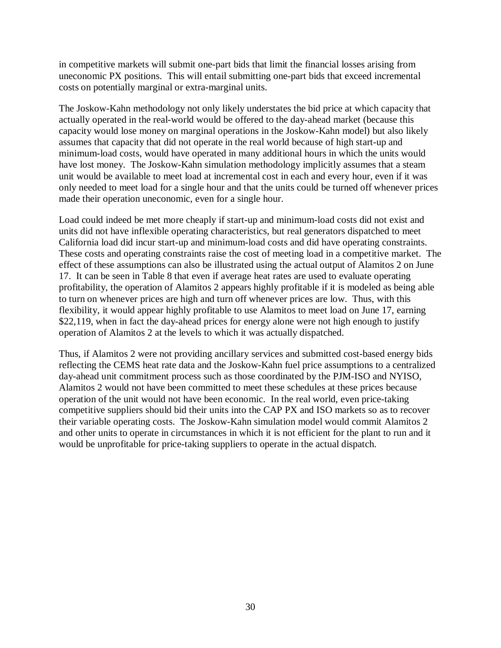in competitive markets will submit one-part bids that limit the financial losses arising from uneconomic PX positions. This will entail submitting one-part bids that exceed incremental costs on potentially marginal or extra-marginal units.

The Joskow-Kahn methodology not only likely understates the bid price at which capacity that actually operated in the real-world would be offered to the day-ahead market (because this capacity would lose money on marginal operations in the Joskow-Kahn model) but also likely assumes that capacity that did not operate in the real world because of high start-up and minimum-load costs, would have operated in many additional hours in which the units would have lost money. The Joskow-Kahn simulation methodology implicitly assumes that a steam unit would be available to meet load at incremental cost in each and every hour, even if it was only needed to meet load for a single hour and that the units could be turned off whenever prices made their operation uneconomic, even for a single hour.

Load could indeed be met more cheaply if start-up and minimum-load costs did not exist and units did not have inflexible operating characteristics, but real generators dispatched to meet California load did incur start-up and minimum-load costs and did have operating constraints. These costs and operating constraints raise the cost of meeting load in a competitive market. The effect of these assumptions can also be illustrated using the actual output of Alamitos 2 on June 17. It can be seen in Table 8 that even if average heat rates are used to evaluate operating profitability, the operation of Alamitos 2 appears highly profitable if it is modeled as being able to turn on whenever prices are high and turn off whenever prices are low. Thus, with this flexibility, it would appear highly profitable to use Alamitos to meet load on June 17, earning \$22,119, when in fact the day-ahead prices for energy alone were not high enough to justify operation of Alamitos 2 at the levels to which it was actually dispatched.

Thus, if Alamitos 2 were not providing ancillary services and submitted cost-based energy bids reflecting the CEMS heat rate data and the Joskow-Kahn fuel price assumptions to a centralized day-ahead unit commitment process such as those coordinated by the PJM-ISO and NYISO, Alamitos 2 would not have been committed to meet these schedules at these prices because operation of the unit would not have been economic. In the real world, even price-taking competitive suppliers should bid their units into the CAP PX and ISO markets so as to recover their variable operating costs. The Joskow-Kahn simulation model would commit Alamitos 2 and other units to operate in circumstances in which it is not efficient for the plant to run and it would be unprofitable for price-taking suppliers to operate in the actual dispatch.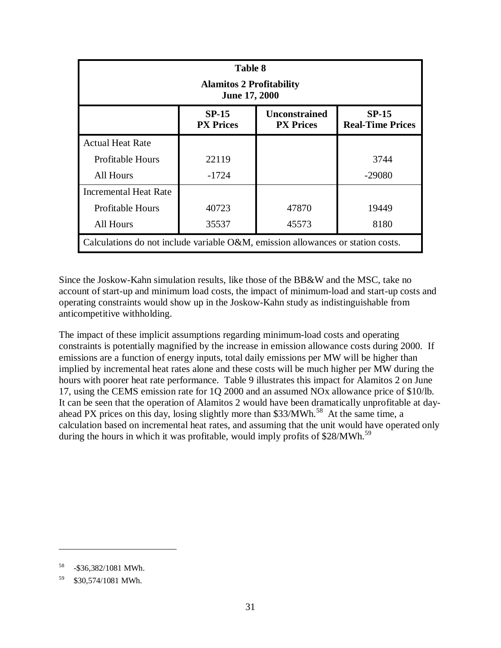| <b>Table 8</b><br><b>Alamitos 2 Profitability</b><br><b>June 17, 2000</b>                                          |         |       |          |  |  |  |  |
|--------------------------------------------------------------------------------------------------------------------|---------|-------|----------|--|--|--|--|
| $SP-15$<br><b>Unconstrained</b><br><b>SP-15</b><br><b>PX Prices</b><br><b>Real-Time Prices</b><br><b>PX Prices</b> |         |       |          |  |  |  |  |
| <b>Actual Heat Rate</b>                                                                                            |         |       |          |  |  |  |  |
| <b>Profitable Hours</b>                                                                                            | 22119   |       | 3744     |  |  |  |  |
| All Hours                                                                                                          | $-1724$ |       | $-29080$ |  |  |  |  |
| <b>Incremental Heat Rate</b>                                                                                       |         |       |          |  |  |  |  |
| <b>Profitable Hours</b>                                                                                            | 40723   | 47870 | 19449    |  |  |  |  |
| All Hours                                                                                                          | 35537   | 45573 | 8180     |  |  |  |  |
| Calculations do not include variable O&M, emission allowances or station costs.                                    |         |       |          |  |  |  |  |

Since the Joskow-Kahn simulation results, like those of the BB&W and the MSC, take no account of start-up and minimum load costs, the impact of minimum-load and start-up costs and operating constraints would show up in the Joskow-Kahn study as indistinguishable from anticompetitive withholding.

The impact of these implicit assumptions regarding minimum-load costs and operating constraints is potentially magnified by the increase in emission allowance costs during 2000. If emissions are a function of energy inputs, total daily emissions per MW will be higher than implied by incremental heat rates alone and these costs will be much higher per MW during the hours with poorer heat rate performance. Table 9 illustrates this impact for Alamitos 2 on June 17, using the CEMS emission rate for 1Q 2000 and an assumed NOx allowance price of \$10/lb. It can be seen that the operation of Alamitos 2 would have been dramatically unprofitable at dayahead PX prices on this day, losing slightly more than  $$33/MWh.<sup>58</sup>$  At the same time, a calculation based on incremental heat rates, and assuming that the unit would have operated only during the hours in which it was profitable, would imply profits of \$28/MWh.<sup>59</sup>

<sup>58 -\$36,382/1081</sup> MWh.

<sup>59 \$30,574/1081</sup> MWh.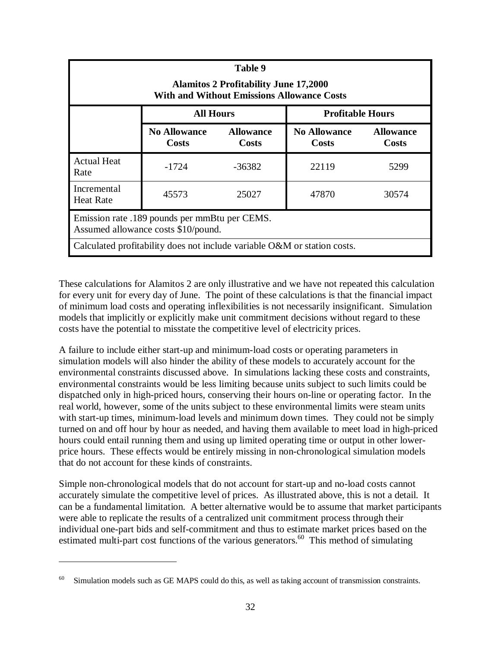| Table 9<br><b>Alamitos 2 Profitability June 17,2000</b><br><b>With and Without Emissions Allowance Costs</b> |                                             |                                  |                              |                           |  |  |
|--------------------------------------------------------------------------------------------------------------|---------------------------------------------|----------------------------------|------------------------------|---------------------------|--|--|
|                                                                                                              | <b>All Hours</b><br><b>Profitable Hours</b> |                                  |                              |                           |  |  |
|                                                                                                              | <b>No Allowance</b><br>Costs                | <b>Allowance</b><br><b>Costs</b> | <b>No Allowance</b><br>Costs | <b>Allowance</b><br>Costs |  |  |
| <b>Actual Heat</b><br>Rate                                                                                   | $-1724$                                     | -36382                           | 22119                        | 5299                      |  |  |
| Incremental<br><b>Heat Rate</b>                                                                              | 45573                                       | 25027                            | 47870                        | 30574                     |  |  |
| Emission rate .189 pounds per mmBtu per CEMS.<br>Assumed allowance costs \$10/pound.                         |                                             |                                  |                              |                           |  |  |
| Calculated profitability does not include variable O&M or station costs.                                     |                                             |                                  |                              |                           |  |  |

These calculations for Alamitos 2 are only illustrative and we have not repeated this calculation for every unit for every day of June. The point of these calculations is that the financial impact of minimum load costs and operating inflexibilities is not necessarily insignificant. Simulation models that implicitly or explicitly make unit commitment decisions without regard to these costs have the potential to misstate the competitive level of electricity prices.

A failure to include either start-up and minimum-load costs or operating parameters in simulation models will also hinder the ability of these models to accurately account for the environmental constraints discussed above. In simulations lacking these costs and constraints, environmental constraints would be less limiting because units subject to such limits could be dispatched only in high-priced hours, conserving their hours on-line or operating factor. In the real world, however, some of the units subject to these environmental limits were steam units with start-up times, minimum-load levels and minimum down times. They could not be simply turned on and off hour by hour as needed, and having them available to meet load in high-priced hours could entail running them and using up limited operating time or output in other lowerprice hours. These effects would be entirely missing in non-chronological simulation models that do not account for these kinds of constraints.

Simple non-chronological models that do not account for start-up and no-load costs cannot accurately simulate the competitive level of prices. As illustrated above, this is not a detail. It can be a fundamental limitation. A better alternative would be to assume that market participants were able to replicate the results of a centralized unit commitment process through their individual one-part bids and self-commitment and thus to estimate market prices based on the estimated multi-part cost functions of the various generators.<sup>60</sup> This method of simulating

<sup>&</sup>lt;sup>60</sup> Simulation models such as GE MAPS could do this, as well as taking account of transmission constraints.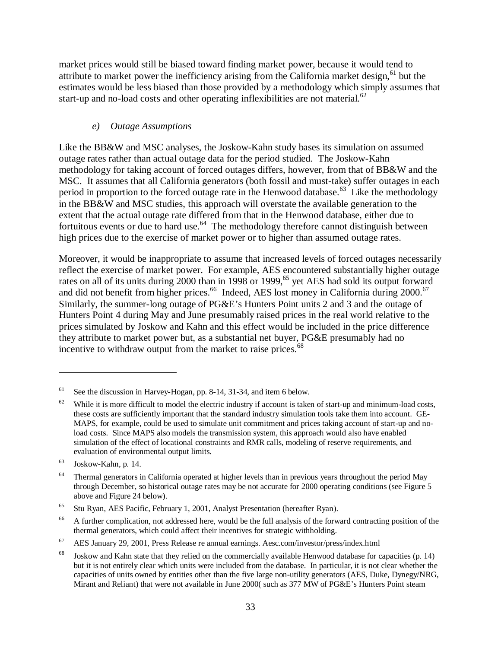market prices would still be biased toward finding market power, because it would tend to attribute to market power the inefficiency arising from the California market design,  $61$  but the estimates would be less biased than those provided by a methodology which simply assumes that start-up and no-load costs and other operating inflexibilities are not material. $62$ 

#### *e) Outage Assumptions*

Like the BB&W and MSC analyses, the Joskow-Kahn study bases its simulation on assumed outage rates rather than actual outage data for the period studied. The Joskow-Kahn methodology for taking account of forced outages differs, however, from that of BB&W and the MSC. It assumes that all California generators (both fossil and must-take) suffer outages in each period in proportion to the forced outage rate in the Henwood database.<sup>63</sup> Like the methodology in the BB&W and MSC studies, this approach will overstate the available generation to the extent that the actual outage rate differed from that in the Henwood database, either due to fortuitous events or due to hard use.<sup>64</sup> The methodology therefore cannot distinguish between high prices due to the exercise of market power or to higher than assumed outage rates.

Moreover, it would be inappropriate to assume that increased levels of forced outages necessarily reflect the exercise of market power. For example, AES encountered substantially higher outage rates on all of its units during 2000 than in 1998 or 1999,<sup>65</sup> yet AES had sold its output forward and did not benefit from higher prices.<sup>66</sup> Indeed, AES lost money in California during 2000.<sup>67</sup> Similarly, the summer-long outage of PG&E's Hunters Point units 2 and 3 and the outage of Hunters Point 4 during May and June presumably raised prices in the real world relative to the prices simulated by Joskow and Kahn and this effect would be included in the price difference they attribute to market power but, as a substantial net buyer, PG&E presumably had no incentive to withdraw output from the market to raise prices.<sup>68</sup>

<sup>&</sup>lt;sup>61</sup> See the discussion in Harvey-Hogan, pp. 8-14, 31-34, and item 6 below.

 $62$  While it is more difficult to model the electric industry if account is taken of start-up and minimum-load costs, these costs are sufficiently important that the standard industry simulation tools take them into account. GE-MAPS, for example, could be used to simulate unit commitment and prices taking account of start-up and noload costs. Since MAPS also models the transmission system, this approach would also have enabled simulation of the effect of locational constraints and RMR calls, modeling of reserve requirements, and evaluation of environmental output limits.

<sup>63</sup> Joskow-Kahn, p. 14.

<sup>&</sup>lt;sup>64</sup> Thermal generators in California operated at higher levels than in previous years throughout the period May through December, so historical outage rates may be not accurate for 2000 operating conditions (see Figure 5 above and Figure 24 below).

<sup>65</sup> Stu Ryan, AES Pacific, February 1, 2001, Analyst Presentation (hereafter Ryan).

<sup>&</sup>lt;sup>66</sup> A further complication, not addressed here, would be the full analysis of the forward contracting position of the thermal generators, which could affect their incentives for strategic withholding.

 $67$  AES January 29, 2001, Press Release re annual earnings. Aesc.com/investor/press/index.html

<sup>&</sup>lt;sup>68</sup> Joskow and Kahn state that they relied on the commercially available Henwood database for capacities (p. 14) but it is not entirely clear which units were included from the database. In particular, it is not clear whether the capacities of units owned by entities other than the five large non-utility generators (AES, Duke, Dynegy/NRG, Mirant and Reliant) that were not available in June 2000( such as 377 MW of PG&E's Hunters Point steam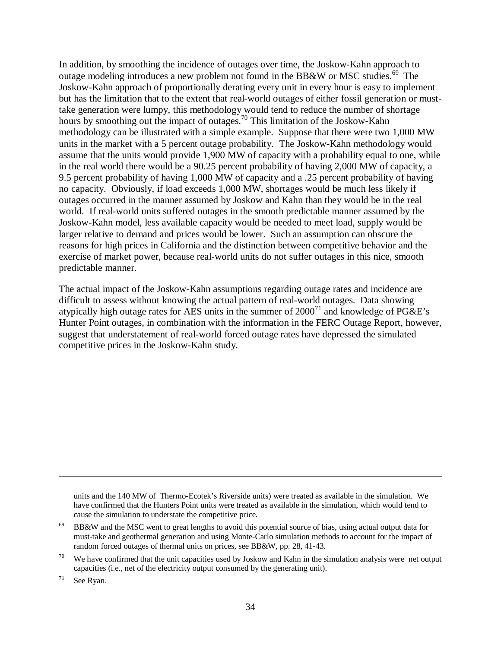In addition, by smoothing the incidence of outages over time, the Joskow-Kahn approach to outage modeling introduces a new problem not found in the BB&W or MSC studies.<sup>69</sup> The Joskow-Kahn approach of proportionally derating every unit in every hour is easy to implement but has the limitation that to the extent that real-world outages of either fossil generation or musttake generation were lumpy, this methodology would tend to reduce the number of shortage hours by smoothing out the impact of outages.70 This limitation of the Joskow-Kahn methodology can be illustrated with a simple example. Suppose that there were two 1,000 MW units in the market with a 5 percent outage probability. The Joskow-Kahn methodology would assume that the units would provide 1,900 MW of capacity with a probability equal to one, while in the real world there would be a 90.25 percent probability of having 2,000 MW of capacity, a 9.5 percent probability of having 1,000 MW of capacity and a .25 percent probability of having no capacity. Obviously, if load exceeds 1,000 MW, shortages would be much less likely if outages occurred in the manner assumed by Joskow and Kahn than they would be in the real world. If real-world units suffered outages in the smooth predictable manner assumed by the Joskow-Kahn model, less available capacity would be needed to meet load, supply would be larger relative to demand and prices would be lower. Such an assumption can obscure the reasons for high prices in California and the distinction between competitive behavior and the exercise of market power, because real-world units do not suffer outages in this nice, smooth predictable manner.

The actual impact of the Joskow-Kahn assumptions regarding outage rates and incidence are difficult to assess without knowing the actual pattern of real-world outages. Data showing atypically high outage rates for AES units in the summer of  $2000<sup>71</sup>$  and knowledge of PG&E's Hunter Point outages, in combination with the information in the FERC Outage Report, however, suggest that understatement of real-world forced outage rates have depressed the simulated competitive prices in the Joskow-Kahn study.

units and the 140 MW of Thermo-Ecotek's Riverside units) were treated as available in the simulation. We have confirmed that the Hunters Point units were treated as available in the simulation, which would tend to cause the simulation to understate the competitive price.

71 See Ryan.

<sup>69</sup> BB&W and the MSC went to great lengths to avoid this potential source of bias, using actual output data for must-take and geothermal generation and using Monte-Carlo simulation methods to account for the impact of random forced outages of thermal units on prices, see BB&W, pp. 28, 41-43.

<sup>&</sup>lt;sup>70</sup> We have confirmed that the unit capacities used by Joskow and Kahn in the simulation analysis were net output capacities (i.e., net of the electricity output consumed by the generating unit).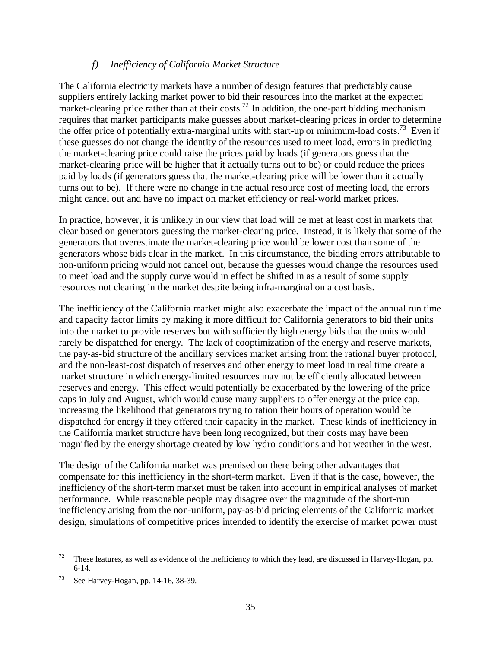### *f) Inefficiency of California Market Structure*

The California electricity markets have a number of design features that predictably cause suppliers entirely lacking market power to bid their resources into the market at the expected market-clearing price rather than at their costs.<sup>72</sup> In addition, the one-part bidding mechanism requires that market participants make guesses about market-clearing prices in order to determine the offer price of potentially extra-marginal units with start-up or minimum-load costs.<sup>73</sup> Even if these guesses do not change the identity of the resources used to meet load, errors in predicting the market-clearing price could raise the prices paid by loads (if generators guess that the market-clearing price will be higher that it actually turns out to be) or could reduce the prices paid by loads (if generators guess that the market-clearing price will be lower than it actually turns out to be). If there were no change in the actual resource cost of meeting load, the errors might cancel out and have no impact on market efficiency or real-world market prices.

In practice, however, it is unlikely in our view that load will be met at least cost in markets that clear based on generators guessing the market-clearing price. Instead, it is likely that some of the generators that overestimate the market-clearing price would be lower cost than some of the generators whose bids clear in the market. In this circumstance, the bidding errors attributable to non-uniform pricing would not cancel out, because the guesses would change the resources used to meet load and the supply curve would in effect be shifted in as a result of some supply resources not clearing in the market despite being infra-marginal on a cost basis.

The inefficiency of the California market might also exacerbate the impact of the annual run time and capacity factor limits by making it more difficult for California generators to bid their units into the market to provide reserves but with sufficiently high energy bids that the units would rarely be dispatched for energy. The lack of cooptimization of the energy and reserve markets, the pay-as-bid structure of the ancillary services market arising from the rational buyer protocol, and the non-least-cost dispatch of reserves and other energy to meet load in real time create a market structure in which energy-limited resources may not be efficiently allocated between reserves and energy. This effect would potentially be exacerbated by the lowering of the price caps in July and August, which would cause many suppliers to offer energy at the price cap, increasing the likelihood that generators trying to ration their hours of operation would be dispatched for energy if they offered their capacity in the market. These kinds of inefficiency in the California market structure have been long recognized, but their costs may have been magnified by the energy shortage created by low hydro conditions and hot weather in the west.

The design of the California market was premised on there being other advantages that compensate for this inefficiency in the short-term market. Even if that is the case, however, the inefficiency of the short-term market must be taken into account in empirical analyses of market performance. While reasonable people may disagree over the magnitude of the short-run inefficiency arising from the non-uniform, pay-as-bid pricing elements of the California market design, simulations of competitive prices intended to identify the exercise of market power must

 $72$  These features, as well as evidence of the inefficiency to which they lead, are discussed in Harvey-Hogan, pp. 6-14.

<sup>73</sup> See Harvey-Hogan, pp. 14-16, 38-39.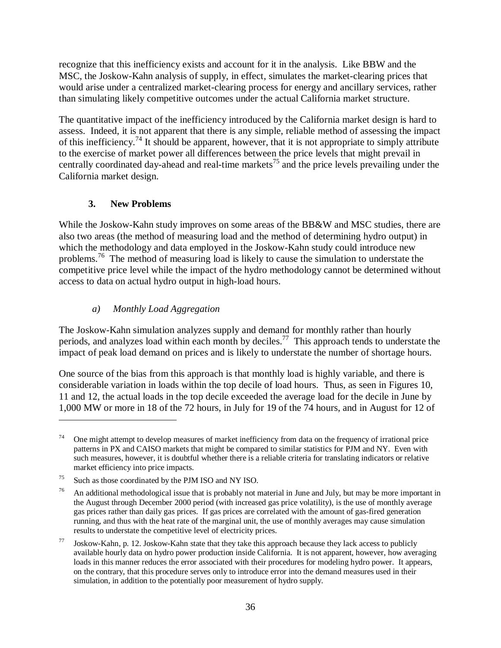recognize that this inefficiency exists and account for it in the analysis. Like BBW and the MSC, the Joskow-Kahn analysis of supply, in effect, simulates the market-clearing prices that would arise under a centralized market-clearing process for energy and ancillary services, rather than simulating likely competitive outcomes under the actual California market structure.

The quantitative impact of the inefficiency introduced by the California market design is hard to assess. Indeed, it is not apparent that there is any simple, reliable method of assessing the impact of this inefficiency.<sup>74</sup> It should be apparent, however, that it is not appropriate to simply attribute to the exercise of market power all differences between the price levels that might prevail in centrally coordinated day-ahead and real-time markets<sup>75</sup> and the price levels prevailing under the California market design.

# **3. New Problems**

While the Joskow-Kahn study improves on some areas of the BB&W and MSC studies, there are also two areas (the method of measuring load and the method of determining hydro output) in which the methodology and data employed in the Joskow-Kahn study could introduce new problems.<sup>76</sup> The method of measuring load is likely to cause the simulation to understate the competitive price level while the impact of the hydro methodology cannot be determined without access to data on actual hydro output in high-load hours.

### *a) Monthly Load Aggregation*

The Joskow-Kahn simulation analyzes supply and demand for monthly rather than hourly periods, and analyzes load within each month by deciles.<sup>77</sup> This approach tends to understate the impact of peak load demand on prices and is likely to understate the number of shortage hours.

One source of the bias from this approach is that monthly load is highly variable, and there is considerable variation in loads within the top decile of load hours. Thus, as seen in Figures 10, 11 and 12, the actual loads in the top decile exceeded the average load for the decile in June by 1,000 MW or more in 18 of the 72 hours, in July for 19 of the 74 hours, and in August for 12 of

<sup>&</sup>lt;sup>74</sup> One might attempt to develop measures of market inefficiency from data on the frequency of irrational price patterns in PX and CAISO markets that might be compared to similar statistics for PJM and NY. Even with such measures, however, it is doubtful whether there is a reliable criteria for translating indicators or relative market efficiency into price impacts.

<sup>75</sup> Such as those coordinated by the PJM ISO and NY ISO.

<sup>&</sup>lt;sup>76</sup> An additional methodological issue that is probably not material in June and July, but may be more important in the August through December 2000 period (with increased gas price volatility), is the use of monthly average gas prices rather than daily gas prices. If gas prices are correlated with the amount of gas-fired generation running, and thus with the heat rate of the marginal unit, the use of monthly averages may cause simulation results to understate the competitive level of electricity prices.

<sup>77</sup> Joskow-Kahn, p. 12. Joskow-Kahn state that they take this approach because they lack access to publicly available hourly data on hydro power production inside California. It is not apparent, however, how averaging loads in this manner reduces the error associated with their procedures for modeling hydro power. It appears, on the contrary, that this procedure serves only to introduce error into the demand measures used in their simulation, in addition to the potentially poor measurement of hydro supply.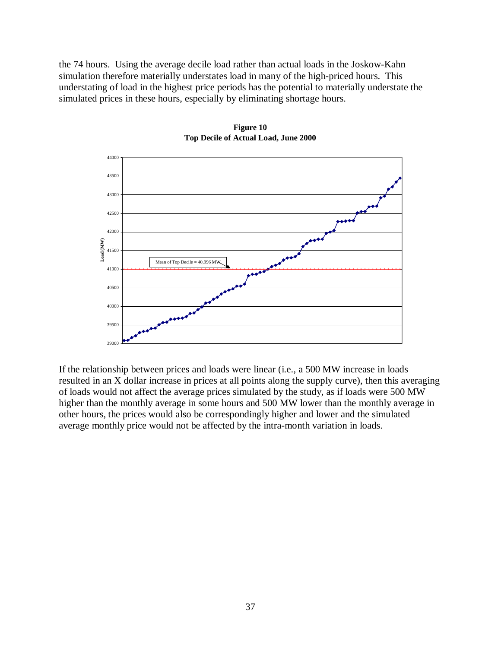the 74 hours. Using the average decile load rather than actual loads in the Joskow-Kahn simulation therefore materially understates load in many of the high-priced hours. This understating of load in the highest price periods has the potential to materially understate the simulated prices in these hours, especially by eliminating shortage hours.



**Figure 10 Top Decile of Actual Load, June 2000**

If the relationship between prices and loads were linear (i.e., a 500 MW increase in loads resulted in an X dollar increase in prices at all points along the supply curve), then this averaging of loads would not affect the average prices simulated by the study, as if loads were 500 MW higher than the monthly average in some hours and 500 MW lower than the monthly average in other hours, the prices would also be correspondingly higher and lower and the simulated average monthly price would not be affected by the intra-month variation in loads.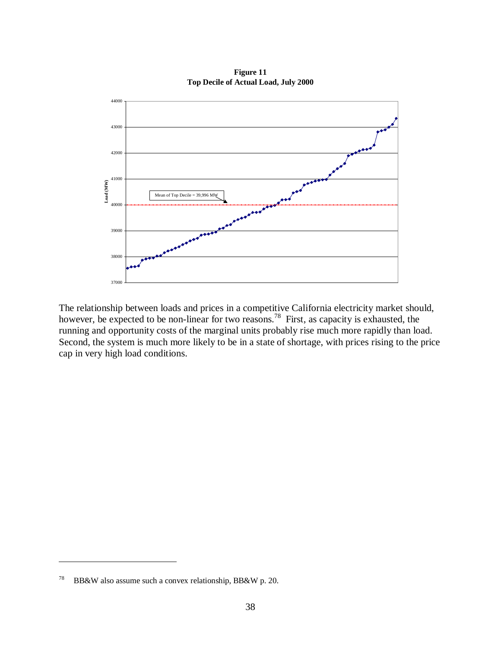

**Figure 11 Top Decile of Actual Load, July 2000**

The relationship between loads and prices in a competitive California electricity market should, however, be expected to be non-linear for two reasons.<sup>78</sup> First, as capacity is exhausted, the running and opportunity costs of the marginal units probably rise much more rapidly than load. Second, the system is much more likely to be in a state of shortage, with prices rising to the price cap in very high load conditions.

<sup>78</sup> BB&W also assume such a convex relationship, BB&W p. 20.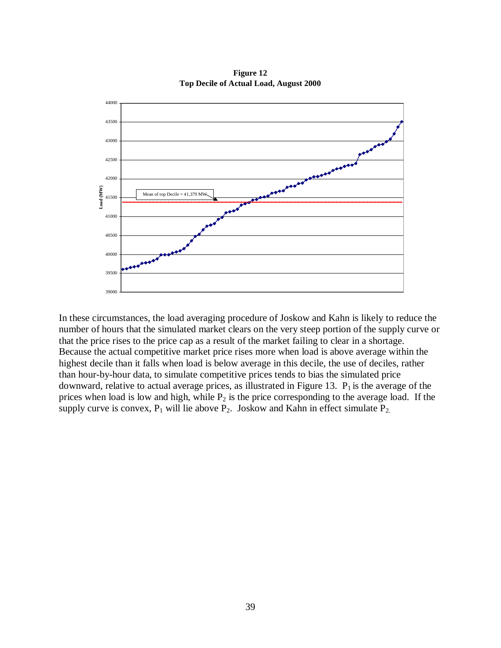

**Figure 12 Top Decile of Actual Load, August 2000**

In these circumstances, the load averaging procedure of Joskow and Kahn is likely to reduce the number of hours that the simulated market clears on the very steep portion of the supply curve or that the price rises to the price cap as a result of the market failing to clear in a shortage. Because the actual competitive market price rises more when load is above average within the highest decile than it falls when load is below average in this decile, the use of deciles, rather than hour-by-hour data, to simulate competitive prices tends to bias the simulated price downward, relative to actual average prices, as illustrated in Figure 13.  $P_1$  is the average of the prices when load is low and high, while  $P_2$  is the price corresponding to the average load. If the supply curve is convex,  $P_1$  will lie above  $P_2$ . Joskow and Kahn in effect simulate  $P_2$ .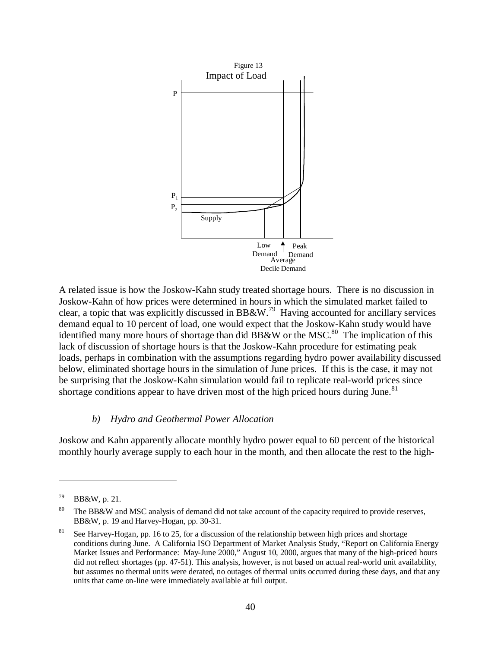

A related issue is how the Joskow-Kahn study treated shortage hours. There is no discussion in Joskow-Kahn of how prices were determined in hours in which the simulated market failed to clear, a topic that was explicitly discussed in BB&W.79 Having accounted for ancillary services demand equal to 10 percent of load, one would expect that the Joskow-Kahn study would have identified many more hours of shortage than did BB&W or the MSC.<sup>80</sup> The implication of this lack of discussion of shortage hours is that the Joskow-Kahn procedure for estimating peak loads, perhaps in combination with the assumptions regarding hydro power availability discussed below, eliminated shortage hours in the simulation of June prices. If this is the case, it may not be surprising that the Joskow-Kahn simulation would fail to replicate real-world prices since shortage conditions appear to have driven most of the high priced hours during June.<sup>81</sup>

#### *b) Hydro and Geothermal Power Allocation*

Joskow and Kahn apparently allocate monthly hydro power equal to 60 percent of the historical monthly hourly average supply to each hour in the month, and then allocate the rest to the high-

<sup>79</sup> BB&W, p. 21.

<sup>&</sup>lt;sup>80</sup> The BB&W and MSC analysis of demand did not take account of the capacity required to provide reserves, BB&W, p. 19 and Harvey-Hogan, pp. 30-31.

<sup>&</sup>lt;sup>81</sup> See Harvey-Hogan, pp. 16 to 25, for a discussion of the relationship between high prices and shortage conditions during June. A California ISO Department of Market Analysis Study, "Report on California Energy Market Issues and Performance: May-June 2000," August 10, 2000, argues that many of the high-priced hours did not reflect shortages (pp. 47-51). This analysis, however, is not based on actual real-world unit availability, but assumes no thermal units were derated, no outages of thermal units occurred during these days, and that any units that came on-line were immediately available at full output.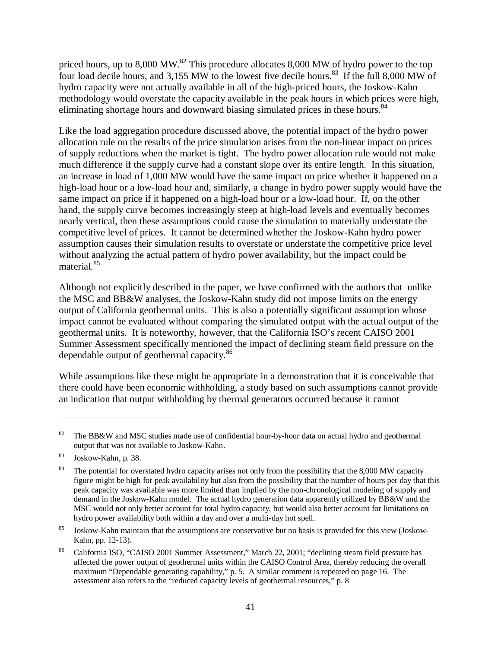priced hours, up to  $8,000 \text{ MW}$ .<sup>82</sup> This procedure allocates  $8,000 \text{ MW}$  of hydro power to the top four load decile hours, and 3,155 MW to the lowest five decile hours.<sup>83</sup> If the full 8,000 MW of hydro capacity were not actually available in all of the high-priced hours, the Joskow-Kahn methodology would overstate the capacity available in the peak hours in which prices were high, eliminating shortage hours and downward biasing simulated prices in these hours.<sup>84</sup>

Like the load aggregation procedure discussed above, the potential impact of the hydro power allocation rule on the results of the price simulation arises from the non-linear impact on prices of supply reductions when the market is tight. The hydro power allocation rule would not make much difference if the supply curve had a constant slope over its entire length. In this situation, an increase in load of 1,000 MW would have the same impact on price whether it happened on a high-load hour or a low-load hour and, similarly, a change in hydro power supply would have the same impact on price if it happened on a high-load hour or a low-load hour. If, on the other hand, the supply curve becomes increasingly steep at high-load levels and eventually becomes nearly vertical, then these assumptions could cause the simulation to materially understate the competitive level of prices. It cannot be determined whether the Joskow-Kahn hydro power assumption causes their simulation results to overstate or understate the competitive price level without analyzing the actual pattern of hydro power availability, but the impact could be material.<sup>85</sup>

Although not explicitly described in the paper, we have confirmed with the authors that unlike the MSC and BB&W analyses, the Joskow-Kahn study did not impose limits on the energy output of California geothermal units. This is also a potentially significant assumption whose impact cannot be evaluated without comparing the simulated output with the actual output of the geothermal units. It is noteworthy, however, that the California ISO's recent CAISO 2001 Summer Assessment specifically mentioned the impact of declining steam field pressure on the dependable output of geothermal capacity.<sup>86</sup>

While assumptions like these might be appropriate in a demonstration that it is conceivable that there could have been economic withholding, a study based on such assumptions cannot provide an indication that output withholding by thermal generators occurred because it cannot

<sup>&</sup>lt;sup>82</sup> The BB&W and MSC studies made use of confidential hour-by-hour data on actual hydro and geothermal output that was not available to Joskow-Kahn.

<sup>83</sup> Joskow-Kahn, p. 38.

<sup>&</sup>lt;sup>84</sup> The potential for overstated hydro capacity arises not only from the possibility that the 8,000 MW capacity figure might be high for peak availability but also from the possibility that the number of hours per day that this peak capacity was available was more limited than implied by the non-chronological modeling of supply and demand in the Joskow-Kahn model. The actual hydro generation data apparently utilized by BB&W and the MSC would not only better account for total hydro capacity, but would also better account for limitations on hydro power availability both within a day and over a multi-day hot spell.

<sup>&</sup>lt;sup>85</sup> Joskow-Kahn maintain that the assumptions are conservative but no basis is provided for this view (Joskow-Kahn, pp. 12-13).

<sup>86</sup> California ISO, "CAISO 2001 Summer Assessment," March 22, 2001; "declining steam field pressure has affected the power output of geothermal units within the CAISO Control Area, thereby reducing the overall maximum "Dependable generating capability," p. 5. A similar comment is repeated on page 16. The assessment also refers to the "reduced capacity levels of geothermal resources," p. 8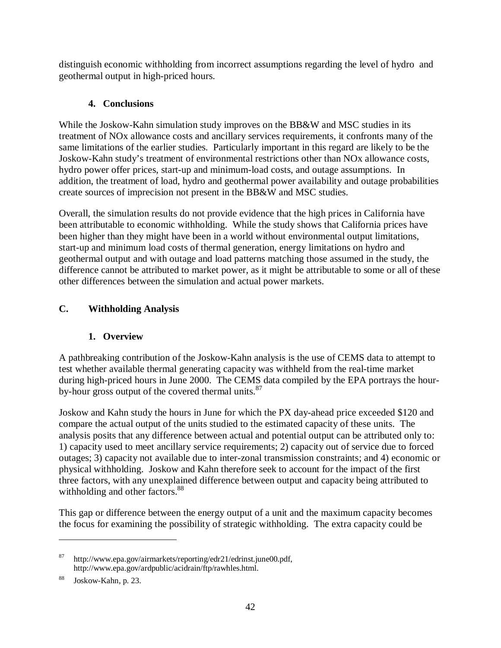distinguish economic withholding from incorrect assumptions regarding the level of hydro and geothermal output in high-priced hours.

# **4. Conclusions**

While the Joskow-Kahn simulation study improves on the BB&W and MSC studies in its treatment of NOx allowance costs and ancillary services requirements, it confronts many of the same limitations of the earlier studies. Particularly important in this regard are likely to be the Joskow-Kahn study's treatment of environmental restrictions other than NOx allowance costs, hydro power offer prices, start-up and minimum-load costs, and outage assumptions. In addition, the treatment of load, hydro and geothermal power availability and outage probabilities create sources of imprecision not present in the BB&W and MSC studies.

Overall, the simulation results do not provide evidence that the high prices in California have been attributable to economic withholding. While the study shows that California prices have been higher than they might have been in a world without environmental output limitations, start-up and minimum load costs of thermal generation, energy limitations on hydro and geothermal output and with outage and load patterns matching those assumed in the study, the difference cannot be attributed to market power, as it might be attributable to some or all of these other differences between the simulation and actual power markets.

# **C. Withholding Analysis**

# **1. Overview**

A pathbreaking contribution of the Joskow-Kahn analysis is the use of CEMS data to attempt to test whether available thermal generating capacity was withheld from the real-time market during high-priced hours in June 2000. The CEMS data compiled by the EPA portrays the hourby-hour gross output of the covered thermal units.<sup>87</sup>

Joskow and Kahn study the hours in June for which the PX day-ahead price exceeded \$120 and compare the actual output of the units studied to the estimated capacity of these units. The analysis posits that any difference between actual and potential output can be attributed only to: 1) capacity used to meet ancillary service requirements; 2) capacity out of service due to forced outages; 3) capacity not available due to inter-zonal transmission constraints; and 4) economic or physical withholding. Joskow and Kahn therefore seek to account for the impact of the first three factors, with any unexplained difference between output and capacity being attributed to withholding and other factors.<sup>88</sup>

This gap or difference between the energy output of a unit and the maximum capacity becomes the focus for examining the possibility of strategic withholding. The extra capacity could be

<sup>87</sup> http://www.epa.gov/airmarkets/reporting/edr21/edrinst.june00.pdf, http://www.epa.gov/ardpublic/acidrain/ftp/rawhles.html.

<sup>88</sup> Joskow-Kahn, p. 23.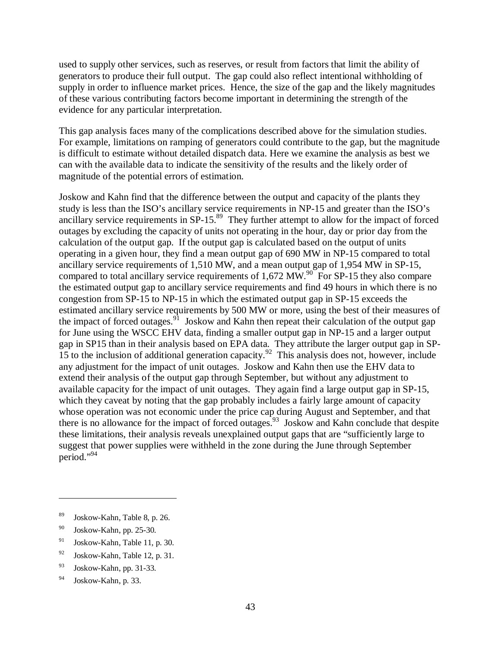used to supply other services, such as reserves, or result from factors that limit the ability of generators to produce their full output. The gap could also reflect intentional withholding of supply in order to influence market prices. Hence, the size of the gap and the likely magnitudes of these various contributing factors become important in determining the strength of the evidence for any particular interpretation.

This gap analysis faces many of the complications described above for the simulation studies. For example, limitations on ramping of generators could contribute to the gap, but the magnitude is difficult to estimate without detailed dispatch data. Here we examine the analysis as best we can with the available data to indicate the sensitivity of the results and the likely order of magnitude of the potential errors of estimation.

Joskow and Kahn find that the difference between the output and capacity of the plants they study is less than the ISO's ancillary service requirements in NP-15 and greater than the ISO's ancillary service requirements in  $SP-15$ .<sup>89</sup> They further attempt to allow for the impact of forced outages by excluding the capacity of units not operating in the hour, day or prior day from the calculation of the output gap. If the output gap is calculated based on the output of units operating in a given hour, they find a mean output gap of 690 MW in NP-15 compared to total ancillary service requirements of 1,510 MW, and a mean output gap of 1,954 MW in SP-15, compared to total ancillary service requirements of 1,672 MW.<sup>90</sup> For SP-15 they also compare the estimated output gap to ancillary service requirements and find 49 hours in which there is no congestion from SP-15 to NP-15 in which the estimated output gap in SP-15 exceeds the estimated ancillary service requirements by 500 MW or more, using the best of their measures of the impact of forced outages.<sup>91</sup> Joskow and Kahn then repeat their calculation of the output gap for June using the WSCC EHV data, finding a smaller output gap in NP-15 and a larger output gap in SP15 than in their analysis based on EPA data. They attribute the larger output gap in SP-15 to the inclusion of additional generation capacity.<sup>92</sup> This analysis does not, however, include any adjustment for the impact of unit outages. Joskow and Kahn then use the EHV data to extend their analysis of the output gap through September, but without any adjustment to available capacity for the impact of unit outages. They again find a large output gap in SP-15, which they caveat by noting that the gap probably includes a fairly large amount of capacity whose operation was not economic under the price cap during August and September, and that there is no allowance for the impact of forced outages.<sup>93</sup> Joskow and Kahn conclude that despite these limitations, their analysis reveals unexplained output gaps that are "sufficiently large to suggest that power supplies were withheld in the zone during the June through September period." 94

<sup>89</sup> Joskow-Kahn, Table 8, p. 26.

<sup>90</sup> Joskow-Kahn, pp. 25-30.

<sup>91</sup> Joskow-Kahn, Table 11, p. 30.

<sup>92</sup> Joskow-Kahn, Table 12, p. 31.

<sup>93</sup> Joskow-Kahn, pp. 31-33.

<sup>94</sup> Joskow-Kahn, p. 33.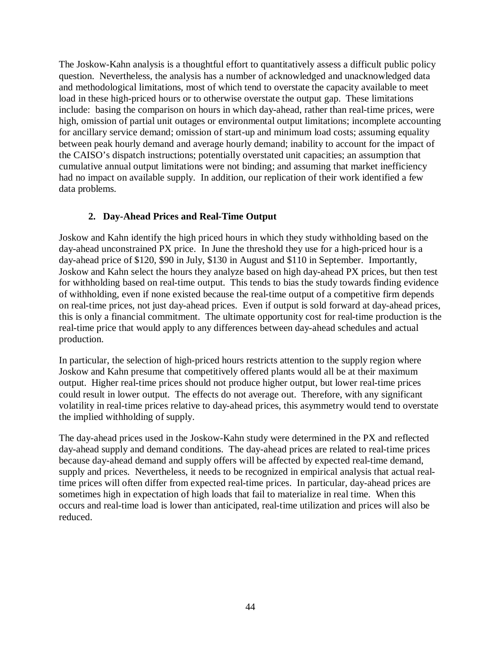The Joskow-Kahn analysis is a thoughtful effort to quantitatively assess a difficult public policy question. Nevertheless, the analysis has a number of acknowledged and unacknowledged data and methodological limitations, most of which tend to overstate the capacity available to meet load in these high-priced hours or to otherwise overstate the output gap. These limitations include: basing the comparison on hours in which day-ahead, rather than real-time prices, were high, omission of partial unit outages or environmental output limitations; incomplete accounting for ancillary service demand; omission of start-up and minimum load costs; assuming equality between peak hourly demand and average hourly demand; inability to account for the impact of the CAISO's dispatch instructions; potentially overstated unit capacities; an assumption that cumulative annual output limitations were not binding; and assuming that market inefficiency had no impact on available supply. In addition, our replication of their work identified a few data problems.

# **2. Day-Ahead Prices and Real-Time Output**

Joskow and Kahn identify the high priced hours in which they study withholding based on the day-ahead unconstrained PX price. In June the threshold they use for a high-priced hour is a day-ahead price of \$120, \$90 in July, \$130 in August and \$110 in September. Importantly, Joskow and Kahn select the hours they analyze based on high day-ahead PX prices, but then test for withholding based on real-time output. This tends to bias the study towards finding evidence of withholding, even if none existed because the real-time output of a competitive firm depends on real-time prices, not just day-ahead prices. Even if output is sold forward at day-ahead prices, this is only a financial commitment. The ultimate opportunity cost for real-time production is the real-time price that would apply to any differences between day-ahead schedules and actual production.

In particular, the selection of high-priced hours restricts attention to the supply region where Joskow and Kahn presume that competitively offered plants would all be at their maximum output. Higher real-time prices should not produce higher output, but lower real-time prices could result in lower output. The effects do not average out. Therefore, with any significant volatility in real-time prices relative to day-ahead prices, this asymmetry would tend to overstate the implied withholding of supply.

The day-ahead prices used in the Joskow-Kahn study were determined in the PX and reflected day-ahead supply and demand conditions. The day-ahead prices are related to real-time prices because day-ahead demand and supply offers will be affected by expected real-time demand, supply and prices. Nevertheless, it needs to be recognized in empirical analysis that actual realtime prices will often differ from expected real-time prices. In particular, day-ahead prices are sometimes high in expectation of high loads that fail to materialize in real time. When this occurs and real-time load is lower than anticipated, real-time utilization and prices will also be reduced.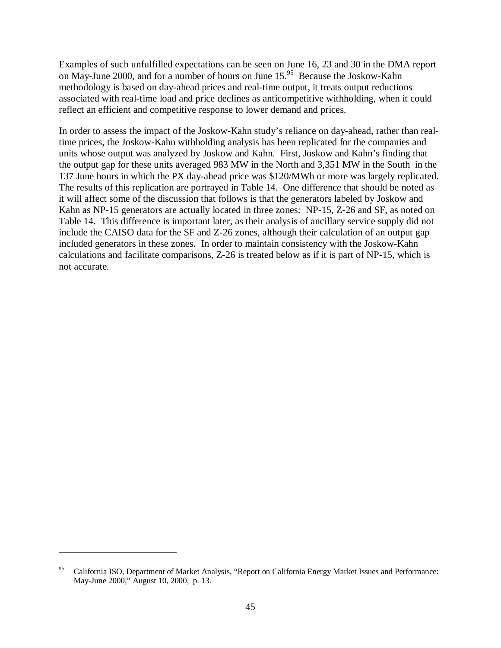Examples of such unfulfilled expectations can be seen on June 16, 23 and 30 in the DMA report on May-June 2000, and for a number of hours on June 15.<sup>95</sup> Because the Joskow-Kahn methodology is based on day-ahead prices and real-time output, it treats output reductions associated with real-time load and price declines as anticompetitive withholding, when it could reflect an efficient and competitive response to lower demand and prices.

In order to assess the impact of the Joskow-Kahn study's reliance on day-ahead, rather than realtime prices, the Joskow-Kahn withholding analysis has been replicated for the companies and units whose output was analyzed by Joskow and Kahn. First, Joskow and Kahn's finding that the output gap for these units averaged 983 MW in the North and 3,351 MW in the South in the 137 June hours in which the PX day-ahead price was \$120/MWh or more was largely replicated. The results of this replication are portrayed in Table 14. One difference that should be noted as it will affect some of the discussion that follows is that the generators labeled by Joskow and Kahn as NP-15 generators are actually located in three zones: NP-15, Z-26 and SF, as noted on Table 14. This difference is important later, as their analysis of ancillary service supply did not include the CAISO data for the SF and Z-26 zones, although their calculation of an output gap included generators in these zones. In order to maintain consistency with the Joskow-Kahn calculations and facilitate comparisons, Z-26 is treated below as if it is part of NP-15, which is not accurate.

<sup>&</sup>lt;sup>95</sup> California ISO, Department of Market Analysis, "Report on California Energy Market Issues and Performance: May-June 2000," August 10, 2000, p. 13.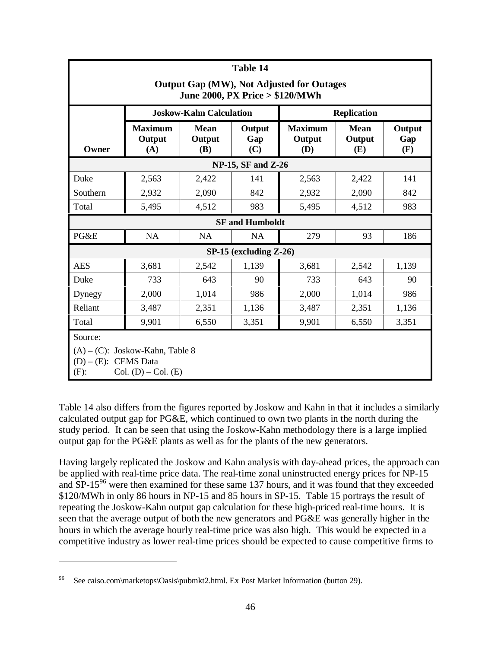| Table 14                                                                                                       |                                 |                                     |                             |                                 |                              |                      |  |  |
|----------------------------------------------------------------------------------------------------------------|---------------------------------|-------------------------------------|-----------------------------|---------------------------------|------------------------------|----------------------|--|--|
| Output Gap (MW), Not Adjusted for Outages<br>June 2000, PX Price > \$120/MWh                                   |                                 |                                     |                             |                                 |                              |                      |  |  |
|                                                                                                                |                                 | <b>Joskow-Kahn Calculation</b>      |                             |                                 | <b>Replication</b>           |                      |  |  |
| Owner                                                                                                          | <b>Maximum</b><br>Output<br>(A) | <b>Mean</b><br>Output<br><b>(B)</b> | Output<br>Gap<br>(C)        | <b>Maximum</b><br>Output<br>(D) | <b>Mean</b><br>Output<br>(E) | Output<br>Gap<br>(F) |  |  |
|                                                                                                                |                                 |                                     | <b>NP-15, SF and Z-26</b>   |                                 |                              |                      |  |  |
| Duke                                                                                                           | 2,563                           | 2,422                               | 141                         | 2,563                           | 2,422                        | 141                  |  |  |
| Southern                                                                                                       | 2,932                           | 2,090                               | 842                         | 2,932                           | 2,090                        | 842                  |  |  |
| Total                                                                                                          | 5,495                           | 4,512                               | 983                         | 5,495                           | 4,512                        | 983                  |  |  |
|                                                                                                                |                                 |                                     | <b>SF</b> and Humboldt      |                                 |                              |                      |  |  |
| PG&E                                                                                                           | <b>NA</b>                       | <b>NA</b>                           | <b>NA</b>                   | 279                             | 93                           | 186                  |  |  |
|                                                                                                                |                                 |                                     | $SP-15$ (excluding $Z-26$ ) |                                 |                              |                      |  |  |
| <b>AES</b>                                                                                                     | 3,681                           | 2,542                               | 1,139                       | 3,681                           | 2,542                        | 1,139                |  |  |
| Duke                                                                                                           | 733                             | 643                                 | 90                          | 733                             | 643                          | 90                   |  |  |
| Dynegy                                                                                                         | 2,000                           | 1,014                               | 986                         | 2,000                           | 1,014                        | 986                  |  |  |
| Reliant                                                                                                        | 3,487                           | 2,351                               | 1,136                       | 3,487                           | 2,351                        | 1,136                |  |  |
| Total                                                                                                          | 9,901                           | 6,550                               | 3,351                       | 9,901                           | 6,550                        | 3,351                |  |  |
| Source:<br>$(A) - (C)$ : Joskow-Kahn, Table 8<br>$(D) - (E)$ : CEMS Data<br>Col. $(D)$ – Col. $(E)$<br>$(F)$ : |                                 |                                     |                             |                                 |                              |                      |  |  |

Table 14 also differs from the figures reported by Joskow and Kahn in that it includes a similarly calculated output gap for PG&E, which continued to own two plants in the north during the study period. It can be seen that using the Joskow-Kahn methodology there is a large implied output gap for the PG&E plants as well as for the plants of the new generators.

Having largely replicated the Joskow and Kahn analysis with day-ahead prices, the approach can be applied with real-time price data. The real-time zonal uninstructed energy prices for NP-15 and  $SP-15<sup>96</sup>$  were then examined for these same 137 hours, and it was found that they exceeded \$120/MWh in only 86 hours in NP-15 and 85 hours in SP-15. Table 15 portrays the result of repeating the Joskow-Kahn output gap calculation for these high-priced real-time hours. It is seen that the average output of both the new generators and PG&E was generally higher in the hours in which the average hourly real-time price was also high. This would be expected in a competitive industry as lower real-time prices should be expected to cause competitive firms to

See caiso.com\marketops\Oasis\pubmkt2.html. Ex Post Market Information (button 29).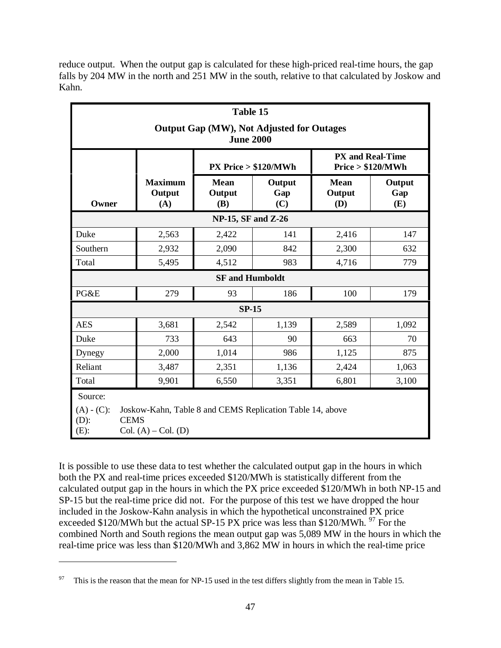reduce output. When the output gap is calculated for these high-priced real-time hours, the gap falls by 204 MW in the north and 251 MW in the south, relative to that calculated by Joskow and Kahn.

| Table 15                                                                                                                                              |                                 |                              |                         |                                              |                      |  |  |  |
|-------------------------------------------------------------------------------------------------------------------------------------------------------|---------------------------------|------------------------------|-------------------------|----------------------------------------------|----------------------|--|--|--|
| <b>Output Gap (MW), Not Adjusted for Outages</b><br><b>June 2000</b>                                                                                  |                                 |                              |                         |                                              |                      |  |  |  |
|                                                                                                                                                       |                                 |                              | $PX$ Price $> $120/MWh$ | <b>PX and Real-Time</b><br>Price > \$120/MWh |                      |  |  |  |
| Owner                                                                                                                                                 | <b>Maximum</b><br>Output<br>(A) | <b>Mean</b><br>Output<br>(B) | Output<br>Gap<br>(C)    | <b>Mean</b><br>Output<br>(D)                 | Output<br>Gap<br>(E) |  |  |  |
|                                                                                                                                                       |                                 | <b>NP-15, SF and Z-26</b>    |                         |                                              |                      |  |  |  |
| Duke                                                                                                                                                  | 2,563                           | 2,422                        | 141                     | 2,416                                        | 147                  |  |  |  |
| Southern                                                                                                                                              | 2,932                           | 2,090                        | 842                     | 2,300                                        | 632                  |  |  |  |
| Total                                                                                                                                                 | 5,495                           | 4,512                        | 983                     | 4,716                                        | 779                  |  |  |  |
|                                                                                                                                                       |                                 | <b>SF</b> and Humboldt       |                         |                                              |                      |  |  |  |
| PG&E                                                                                                                                                  | 279                             | 93                           | 186                     | 100                                          | 179                  |  |  |  |
|                                                                                                                                                       |                                 | $SP-15$                      |                         |                                              |                      |  |  |  |
| <b>AES</b>                                                                                                                                            | 3,681                           | 2,542                        | 1,139                   | 2,589                                        | 1,092                |  |  |  |
| Duke                                                                                                                                                  | 733                             | 643                          | 90                      | 663                                          | 70                   |  |  |  |
| Dynegy                                                                                                                                                | 2,000                           | 1,014                        | 986                     | 1,125                                        | 875                  |  |  |  |
| Reliant                                                                                                                                               | 3,487                           | 2,351                        | 1,136                   | 2,424                                        | 1,063                |  |  |  |
| Total                                                                                                                                                 | 9,901                           | 6,550                        | 3,351                   | 6,801                                        | 3,100                |  |  |  |
| Source:<br>Joskow-Kahn, Table 8 and CEMS Replication Table 14, above<br>$(A) - (C)$ :<br><b>CEMS</b><br>$(D)$ :<br>$(E)$ :<br>Col. $(A)$ – Col. $(D)$ |                                 |                              |                         |                                              |                      |  |  |  |

It is possible to use these data to test whether the calculated output gap in the hours in which both the PX and real-time prices exceeded \$120/MWh is statistically different from the calculated output gap in the hours in which the PX price exceeded \$120/MWh in both NP-15 and SP-15 but the real-time price did not. For the purpose of this test we have dropped the hour included in the Joskow-Kahn analysis in which the hypothetical unconstrained PX price exceeded \$120/MWh but the actual SP-15 PX price was less than \$120/MWh.  $\frac{97}{2}$  For the combined North and South regions the mean output gap was 5,089 MW in the hours in which the real-time price was less than \$120/MWh and 3,862 MW in hours in which the real-time price

<sup>&</sup>lt;sup>97</sup> This is the reason that the mean for NP-15 used in the test differs slightly from the mean in Table 15.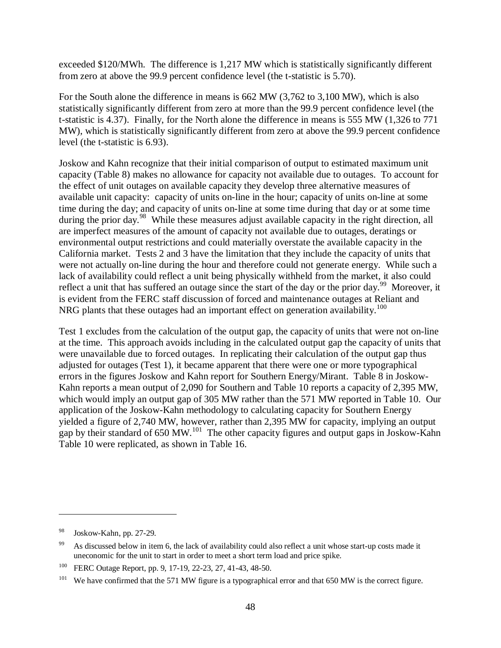exceeded \$120/MWh. The difference is 1,217 MW which is statistically significantly different from zero at above the 99.9 percent confidence level (the t-statistic is 5.70).

For the South alone the difference in means is 662 MW (3,762 to 3,100 MW), which is also statistically significantly different from zero at more than the 99.9 percent confidence level (the t-statistic is 4.37). Finally, for the North alone the difference in means is 555 MW (1,326 to 771 MW), which is statistically significantly different from zero at above the 99.9 percent confidence level (the t-statistic is 6.93).

Joskow and Kahn recognize that their initial comparison of output to estimated maximum unit capacity (Table 8) makes no allowance for capacity not available due to outages. To account for the effect of unit outages on available capacity they develop three alternative measures of available unit capacity: capacity of units on-line in the hour; capacity of units on-line at some time during the day; and capacity of units on-line at some time during that day or at some time during the prior day.<sup>98</sup> While these measures adjust available capacity in the right direction, all are imperfect measures of the amount of capacity not available due to outages, deratings or environmental output restrictions and could materially overstate the available capacity in the California market. Tests 2 and 3 have the limitation that they include the capacity of units that were not actually on-line during the hour and therefore could not generate energy. While such a lack of availability could reflect a unit being physically withheld from the market, it also could reflect a unit that has suffered an outage since the start of the day or the prior day.<sup>99</sup> Moreover, it is evident from the FERC staff discussion of forced and maintenance outages at Reliant and NRG plants that these outages had an important effect on generation availability.<sup>100</sup>

Test 1 excludes from the calculation of the output gap, the capacity of units that were not on-line at the time. This approach avoids including in the calculated output gap the capacity of units that were unavailable due to forced outages. In replicating their calculation of the output gap thus adjusted for outages (Test 1), it became apparent that there were one or more typographical errors in the figures Joskow and Kahn report for Southern Energy/Mirant. Table 8 in Joskow-Kahn reports a mean output of 2,090 for Southern and Table 10 reports a capacity of 2,395 MW, which would imply an output gap of 305 MW rather than the 571 MW reported in Table 10. Our application of the Joskow-Kahn methodology to calculating capacity for Southern Energy yielded a figure of 2,740 MW, however, rather than 2,395 MW for capacity, implying an output gap by their standard of 650 MW.<sup>101</sup> The other capacity figures and output gaps in Joskow-Kahn Table 10 were replicated, as shown in Table 16.

<sup>98</sup> Joskow-Kahn, pp. 27-29.

<sup>&</sup>lt;sup>99</sup> As discussed below in item 6, the lack of availability could also reflect a unit whose start-up costs made it uneconomic for the unit to start in order to meet a short term load and price spike.

<sup>100</sup> FERC Outage Report, pp. 9, 17-19, 22-23, 27, 41-43, 48-50.

<sup>&</sup>lt;sup>101</sup> We have confirmed that the 571 MW figure is a typographical error and that 650 MW is the correct figure.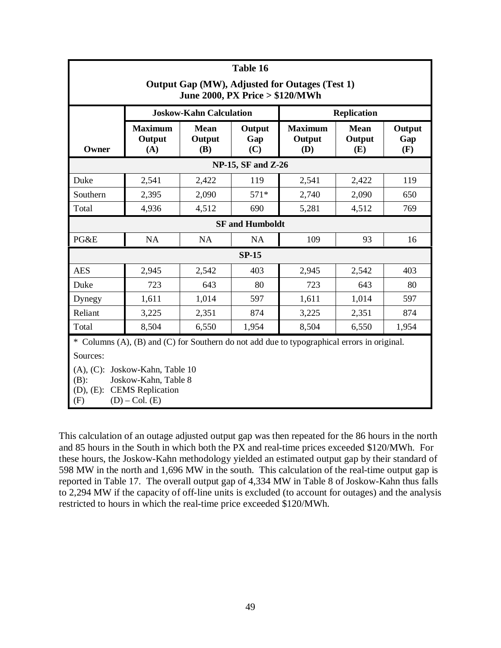| Table 16                                                                                                                                         |                                 |                                |                           |                                 |                              |                      |  |  |
|--------------------------------------------------------------------------------------------------------------------------------------------------|---------------------------------|--------------------------------|---------------------------|---------------------------------|------------------------------|----------------------|--|--|
| Output Gap (MW), Adjusted for Outages (Test 1)<br>June 2000, PX Price > \$120/MWh                                                                |                                 |                                |                           |                                 |                              |                      |  |  |
|                                                                                                                                                  |                                 | <b>Joskow-Kahn Calculation</b> |                           |                                 | <b>Replication</b>           |                      |  |  |
| Owner                                                                                                                                            | <b>Maximum</b><br>Output<br>(A) | <b>Mean</b><br>Output<br>(B)   | Output<br>Gap<br>(C)      | <b>Maximum</b><br>Output<br>(D) | <b>Mean</b><br>Output<br>(E) | Output<br>Gap<br>(F) |  |  |
|                                                                                                                                                  |                                 |                                | <b>NP-15, SF and Z-26</b> |                                 |                              |                      |  |  |
| Duke                                                                                                                                             | 2,541                           | 2,422                          | 119                       | 2,541                           | 2,422                        | 119                  |  |  |
| Southern                                                                                                                                         | 2,395                           | 2,090                          | $571*$                    | 2,740                           | 2,090                        | 650                  |  |  |
| Total                                                                                                                                            | 4,936                           | 4,512                          | 690                       | 5,281                           | 4,512                        | 769                  |  |  |
|                                                                                                                                                  |                                 |                                | <b>SF</b> and Humboldt    |                                 |                              |                      |  |  |
| PG&E                                                                                                                                             | <b>NA</b>                       | <b>NA</b>                      | <b>NA</b>                 | 109                             | 93                           | 16                   |  |  |
|                                                                                                                                                  |                                 |                                | $SP-15$                   |                                 |                              |                      |  |  |
| <b>AES</b>                                                                                                                                       | 2,945                           | 2,542                          | 403                       | 2,945                           | 2,542                        | 403                  |  |  |
| Duke                                                                                                                                             | 723                             | 643                            | 80                        | 723                             | 643                          | 80                   |  |  |
| Dynegy                                                                                                                                           | 1,611                           | 1,014                          | 597                       | 1,611                           | 1,014                        | 597                  |  |  |
| Reliant                                                                                                                                          | 3,225                           | 2,351                          | 874                       | 3,225                           | 2,351                        | 874                  |  |  |
| Total                                                                                                                                            | 8,504                           | 6,550                          | 1,954                     | 8,504                           | 6,550                        | 1,954                |  |  |
| * Columns (A), (B) and (C) for Southern do not add due to typographical errors in original.                                                      |                                 |                                |                           |                                 |                              |                      |  |  |
| Sources:                                                                                                                                         |                                 |                                |                           |                                 |                              |                      |  |  |
| Joskow-Kahn, Table 10<br>$(A), (C)$ :<br>$(B)$ :<br>Joskow-Kahn, Table 8<br><b>CEMS</b> Replication<br>$(D), (E)$ :<br>(F)<br>$(D)$ – Col. $(E)$ |                                 |                                |                           |                                 |                              |                      |  |  |

This calculation of an outage adjusted output gap was then repeated for the 86 hours in the north and 85 hours in the South in which both the PX and real-time prices exceeded \$120/MWh. For these hours, the Joskow-Kahn methodology yielded an estimated output gap by their standard of 598 MW in the north and 1,696 MW in the south. This calculation of the real-time output gap is reported in Table 17. The overall output gap of 4,334 MW in Table 8 of Joskow-Kahn thus falls to 2,294 MW if the capacity of off-line units is excluded (to account for outages) and the analysis restricted to hours in which the real-time price exceeded \$120/MWh.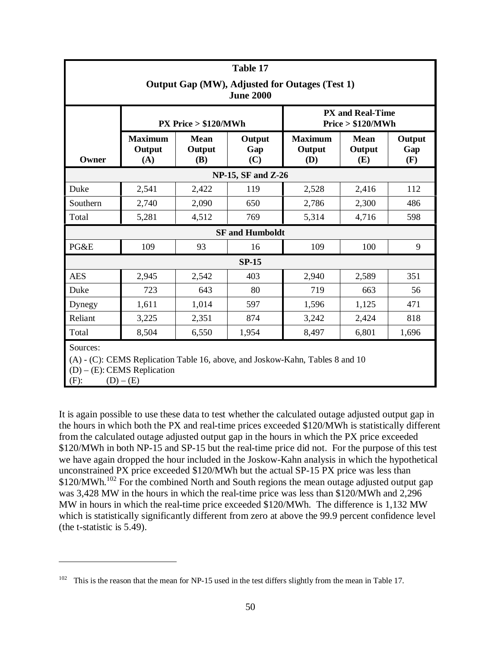| Table 17                                                                                                                                                   |                                 |                                     |                           |                                 |                                              |                      |  |  |
|------------------------------------------------------------------------------------------------------------------------------------------------------------|---------------------------------|-------------------------------------|---------------------------|---------------------------------|----------------------------------------------|----------------------|--|--|
| Output Gap (MW), Adjusted for Outages (Test 1)<br><b>June 2000</b>                                                                                         |                                 |                                     |                           |                                 |                                              |                      |  |  |
|                                                                                                                                                            | $PX$ Price $> $120/MWh$         |                                     |                           |                                 | <b>PX and Real-Time</b><br>Price > \$120/MWh |                      |  |  |
| Owner                                                                                                                                                      | <b>Maximum</b><br>Output<br>(A) | <b>Mean</b><br>Output<br><b>(B)</b> | Output<br>Gap<br>(C)      | <b>Maximum</b><br>Output<br>(D) | <b>Mean</b><br>Output<br>(E)                 | Output<br>Gap<br>(F) |  |  |
|                                                                                                                                                            |                                 |                                     | <b>NP-15, SF and Z-26</b> |                                 |                                              |                      |  |  |
| Duke                                                                                                                                                       | 2,541                           | 2,422                               | 119                       | 2,528                           | 2,416                                        | 112                  |  |  |
| Southern                                                                                                                                                   | 2,740                           | 2,090                               | 650                       | 2,786                           | 2,300                                        | 486                  |  |  |
| Total                                                                                                                                                      | 5,281                           | 4,512                               | 769                       | 5,314                           | 4,716                                        | 598                  |  |  |
|                                                                                                                                                            |                                 |                                     | <b>SF</b> and Humboldt    |                                 |                                              |                      |  |  |
| PG&E                                                                                                                                                       | 109                             | 93                                  | 16                        | 109                             | 100                                          | 9                    |  |  |
|                                                                                                                                                            |                                 |                                     | $SP-15$                   |                                 |                                              |                      |  |  |
| <b>AES</b>                                                                                                                                                 | 2,945                           | 2,542                               | 403                       | 2,940                           | 2,589                                        | 351                  |  |  |
| Duke                                                                                                                                                       | 723                             | 643                                 | 80                        | 719                             | 663                                          | 56                   |  |  |
| Dynegy                                                                                                                                                     | 1,611                           | 1,014                               | 597                       | 1,596                           | 1,125                                        | 471                  |  |  |
| Reliant                                                                                                                                                    | 3,225                           | 2,351                               | 874                       | 3,242                           | 2,424                                        | 818                  |  |  |
| Total                                                                                                                                                      | 8,504                           | 6,550                               | 1,954                     | 8,497                           | 6,801                                        | 1,696                |  |  |
| Sources:<br>$(A)$ - $(C)$ : CEMS Replication Table 16, above, and Joskow-Kahn, Tables 8 and 10<br>$(D) - (E)$ : CEMS Replication<br>$(F)$ :<br>$(D) - (E)$ |                                 |                                     |                           |                                 |                                              |                      |  |  |

It is again possible to use these data to test whether the calculated outage adjusted output gap in the hours in which both the PX and real-time prices exceeded \$120/MWh is statistically different from the calculated outage adjusted output gap in the hours in which the PX price exceeded \$120/MWh in both NP-15 and SP-15 but the real-time price did not. For the purpose of this test we have again dropped the hour included in the Joskow-Kahn analysis in which the hypothetical unconstrained PX price exceeded \$120/MWh but the actual SP-15 PX price was less than  $$120/MWh.<sup>102</sup>$  For the combined North and South regions the mean outage adjusted output gap was 3,428 MW in the hours in which the real-time price was less than \$120/MWh and 2,296 MW in hours in which the real-time price exceeded \$120/MWh. The difference is 1,132 MW which is statistically significantly different from zero at above the 99.9 percent confidence level (the t-statistic is 5.49).

<sup>&</sup>lt;sup>102</sup> This is the reason that the mean for NP-15 used in the test differs slightly from the mean in Table 17.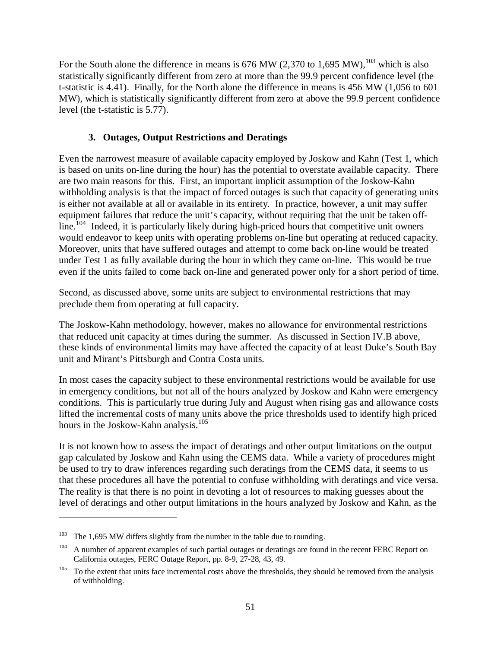For the South alone the difference in means is  $676$  MW (2,370 to 1,695 MW),<sup>103</sup> which is also statistically significantly different from zero at more than the 99.9 percent confidence level (the t-statistic is 4.41). Finally, for the North alone the difference in means is 456 MW (1,056 to 601 MW), which is statistically significantly different from zero at above the 99.9 percent confidence level (the t-statistic is 5.77).

### **3. Outages, Output Restrictions and Deratings**

Even the narrowest measure of available capacity employed by Joskow and Kahn (Test 1, which is based on units on-line during the hour) has the potential to overstate available capacity. There are two main reasons for this. First, an important implicit assumption of the Joskow-Kahn withholding analysis is that the impact of forced outages is such that capacity of generating units is either not available at all or available in its entirety. In practice, however, a unit may suffer equipment failures that reduce the unit's capacity, without requiring that the unit be taken off- $\lim_{h \to 0}$  Indeed, it is particularly likely during high-priced hours that competitive unit owners would endeavor to keep units with operating problems on-line but operating at reduced capacity. Moreover, units that have suffered outages and attempt to come back on-line would be treated under Test 1 as fully available during the hour in which they came on-line. This would be true even if the units failed to come back on-line and generated power only for a short period of time.

Second, as discussed above, some units are subject to environmental restrictions that may preclude them from operating at full capacity.

The Joskow-Kahn methodology, however, makes no allowance for environmental restrictions that reduced unit capacity at times during the summer. As discussed in Section IV.B above, these kinds of environmental limits may have affected the capacity of at least Duke's South Bay unit and Mirant's Pittsburgh and Contra Costa units.

In most cases the capacity subject to these environmental restrictions would be available for use in emergency conditions, but not all of the hours analyzed by Joskow and Kahn were emergency conditions. This is particularly true during July and August when rising gas and allowance costs lifted the incremental costs of many units above the price thresholds used to identify high priced hours in the Joskow-Kahn analysis.<sup>105</sup>

It is not known how to assess the impact of deratings and other output limitations on the output gap calculated by Joskow and Kahn using the CEMS data. While a variety of procedures might be used to try to draw inferences regarding such deratings from the CEMS data, it seems to us that these procedures all have the potential to confuse withholding with deratings and vice versa. The reality is that there is no point in devoting a lot of resources to making guesses about the level of deratings and other output limitations in the hours analyzed by Joskow and Kahn, as the

<sup>&</sup>lt;sup>103</sup> The 1,695 MW differs slightly from the number in the table due to rounding.

<sup>&</sup>lt;sup>104</sup> A number of apparent examples of such partial outages or deratings are found in the recent FERC Report on California outages, FERC Outage Report, pp. 8-9, 27-28, 43, 49.

 $105$  To the extent that units face incremental costs above the thresholds, they should be removed from the analysis of withholding.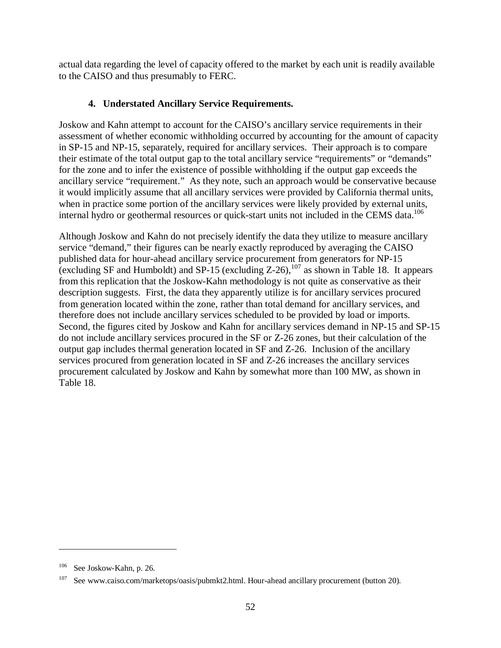actual data regarding the level of capacity offered to the market by each unit is readily available to the CAISO and thus presumably to FERC.

### **4. Understated Ancillary Service Requirements.**

Joskow and Kahn attempt to account for the CAISO's ancillary service requirements in their assessment of whether economic withholding occurred by accounting for the amount of capacity in SP-15 and NP-15, separately, required for ancillary services. Their approach is to compare their estimate of the total output gap to the total ancillary service "requirements" or "demands" for the zone and to infer the existence of possible withholding if the output gap exceeds the ancillary service "requirement." As they note, such an approach would be conservative because it would implicitly assume that all ancillary services were provided by California thermal units, when in practice some portion of the ancillary services were likely provided by external units, internal hydro or geothermal resources or quick-start units not included in the CEMS data.<sup>106</sup>

Although Joskow and Kahn do not precisely identify the data they utilize to measure ancillary service "demand," their figures can be nearly exactly reproduced by averaging the CAISO published data for hour-ahead ancillary service procurement from generators for NP-15 (excluding SF and Humboldt) and SP-15 (excluding  $Z-26$ ),<sup>107</sup> as shown in Table 18. It appears from this replication that the Joskow-Kahn methodology is not quite as conservative as their description suggests. First, the data they apparently utilize is for ancillary services procured from generation located within the zone, rather than total demand for ancillary services, and therefore does not include ancillary services scheduled to be provided by load or imports. Second, the figures cited by Joskow and Kahn for ancillary services demand in NP-15 and SP-15 do not include ancillary services procured in the SF or Z-26 zones, but their calculation of the output gap includes thermal generation located in SF and Z-26. Inclusion of the ancillary services procured from generation located in SF and Z-26 increases the ancillary services procurement calculated by Joskow and Kahn by somewhat more than 100 MW, as shown in Table 18.

See Joskow-Kahn, p. 26.

See www.caiso.com/marketops/oasis/pubmkt2.html. Hour-ahead ancillary procurement (button 20).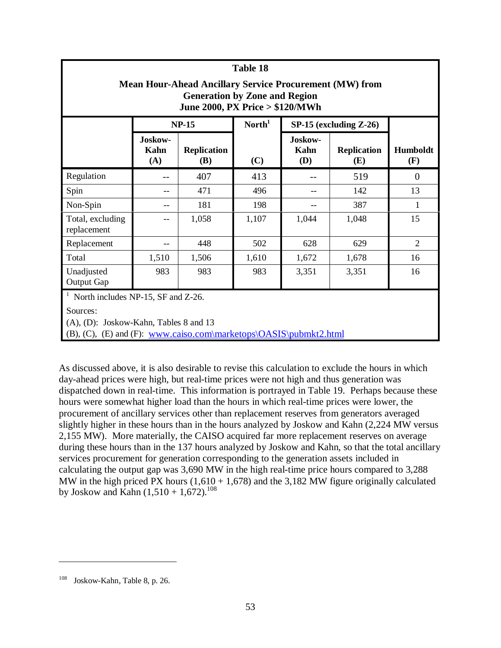|                                                                                                                                           | Table 18                                                   |              |                    |                        |                                  |                 |  |  |
|-------------------------------------------------------------------------------------------------------------------------------------------|------------------------------------------------------------|--------------|--------------------|------------------------|----------------------------------|-----------------|--|--|
| <b>Mean Hour-Ahead Ancillary Service Procurement (MW) from</b><br><b>Generation by Zone and Region</b><br>June 2000, PX Price > \$120/MWh |                                                            |              |                    |                        |                                  |                 |  |  |
|                                                                                                                                           |                                                            | <b>NP-15</b> | North <sup>1</sup> |                        | $SP-15$ (excluding $Z-26$ )      |                 |  |  |
|                                                                                                                                           | Joskow-<br><b>Replication</b><br>Kahn<br>(A)<br><b>(B)</b> |              | (C)                | Joskow-<br>Kahn<br>(D) | <b>Replication</b><br><b>(E)</b> | Humboldt<br>(F) |  |  |
| Regulation                                                                                                                                |                                                            | 407          | 413                |                        | 519                              | $\overline{0}$  |  |  |
| Spin                                                                                                                                      |                                                            | 471          | 496                |                        | 142                              | 13              |  |  |
| Non-Spin                                                                                                                                  |                                                            | 181          | 198                |                        | 387                              | $\mathbf{1}$    |  |  |
| Total, excluding<br>replacement                                                                                                           |                                                            | 1,058        | 1,107              | 1,044                  | 1,048                            | 15              |  |  |
| Replacement                                                                                                                               |                                                            | 448          | 502                | 628                    | 629                              | $\overline{2}$  |  |  |
| Total                                                                                                                                     | 1,510                                                      | 1,506        | 1,610              | 1,672                  | 1,678                            | 16              |  |  |
| Unadjusted<br>Output Gap                                                                                                                  | 983                                                        | 983          | 983                | 3,351                  | 3,351                            | 16              |  |  |
| North includes NP-15, SF and Z-26.<br>Sources:<br>$(A), (D)$ : Joskow-Kahn, Tables 8 and 13                                               |                                                            |              |                    |                        |                                  |                 |  |  |

(B), (C), (E) and (F): www.caiso.com\marketops\OASIS\pubmkt2.html

As discussed above, it is also desirable to revise this calculation to exclude the hours in which day-ahead prices were high, but real-time prices were not high and thus generation was dispatched down in real-time. This information is portrayed in Table 19. Perhaps because these hours were somewhat higher load than the hours in which real-time prices were lower, the procurement of ancillary services other than replacement reserves from generators averaged slightly higher in these hours than in the hours analyzed by Joskow and Kahn (2,224 MW versus 2,155 MW). More materially, the CAISO acquired far more replacement reserves on average during these hours than in the 137 hours analyzed by Joskow and Kahn, so that the total ancillary services procurement for generation corresponding to the generation assets included in calculating the output gap was 3,690 MW in the high real-time price hours compared to 3,288 MW in the high priced PX hours  $(1,610 + 1,678)$  and the 3,182 MW figure originally calculated by Joskow and Kahn  $(1,510 + 1,672)$ .<sup>108</sup>

Joskow-Kahn, Table 8, p. 26.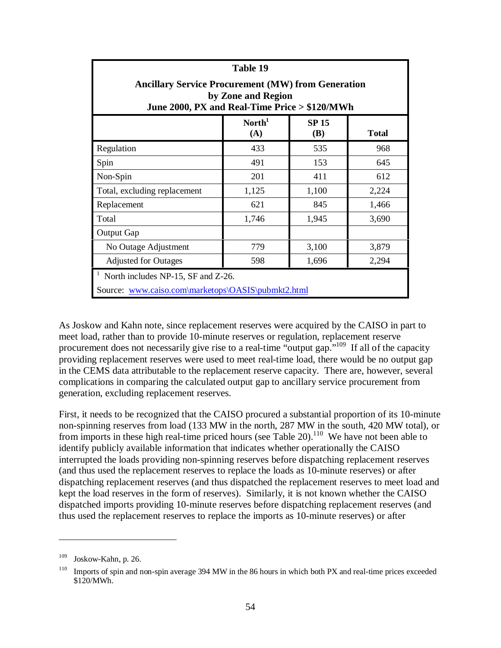| Table 19                                                                                                                         |       |       |       |  |  |  |  |
|----------------------------------------------------------------------------------------------------------------------------------|-------|-------|-------|--|--|--|--|
| <b>Ancillary Service Procurement (MW) from Generation</b><br>by Zone and Region<br>June 2000, PX and Real-Time Price > \$120/MWh |       |       |       |  |  |  |  |
| $\textbf{North}^1$<br><b>SP15</b><br>(A)<br><b>(B)</b><br><b>Total</b>                                                           |       |       |       |  |  |  |  |
| Regulation                                                                                                                       | 433   | 535   | 968   |  |  |  |  |
| Spin                                                                                                                             | 491   | 153   | 645   |  |  |  |  |
| Non-Spin                                                                                                                         | 201   | 411   | 612   |  |  |  |  |
| Total, excluding replacement                                                                                                     | 1,125 | 1,100 | 2,224 |  |  |  |  |
| Replacement                                                                                                                      | 621   | 845   | 1,466 |  |  |  |  |
| Total                                                                                                                            | 1,746 | 1,945 | 3,690 |  |  |  |  |
| <b>Output Gap</b>                                                                                                                |       |       |       |  |  |  |  |
| No Outage Adjustment                                                                                                             | 779   | 3,100 | 3,879 |  |  |  |  |
| 598<br>2,294<br><b>Adjusted for Outages</b><br>1,696                                                                             |       |       |       |  |  |  |  |
| North includes NP-15, SF and Z-26.<br>Source: www.caiso.com\marketops\OASIS\pubmkt2.html                                         |       |       |       |  |  |  |  |

As Joskow and Kahn note, since replacement reserves were acquired by the CAISO in part to meet load, rather than to provide 10-minute reserves or regulation, replacement reserve procurement does not necessarily give rise to a real-time "output gap."<sup>109</sup> If all of the capacity providing replacement reserves were used to meet real-time load, there would be no output gap in the CEMS data attributable to the replacement reserve capacity. There are, however, several complications in comparing the calculated output gap to ancillary service procurement from generation, excluding replacement reserves.

First, it needs to be recognized that the CAISO procured a substantial proportion of its 10-minute non-spinning reserves from load (133 MW in the north, 287 MW in the south, 420 MW total), or from imports in these high real-time priced hours (see Table 20).<sup>110</sup> We have not been able to identify publicly available information that indicates whether operationally the CAISO interrupted the loads providing non-spinning reserves before dispatching replacement reserves (and thus used the replacement reserves to replace the loads as 10-minute reserves) or after dispatching replacement reserves (and thus dispatched the replacement reserves to meet load and kept the load reserves in the form of reserves). Similarly, it is not known whether the CAISO dispatched imports providing 10-minute reserves before dispatching replacement reserves (and thus used the replacement reserves to replace the imports as 10-minute reserves) or after

<sup>109</sup> Joskow-Kahn, p. 26.

<sup>&</sup>lt;sup>110</sup> Imports of spin and non-spin average 394 MW in the 86 hours in which both PX and real-time prices exceeded \$120/MWh.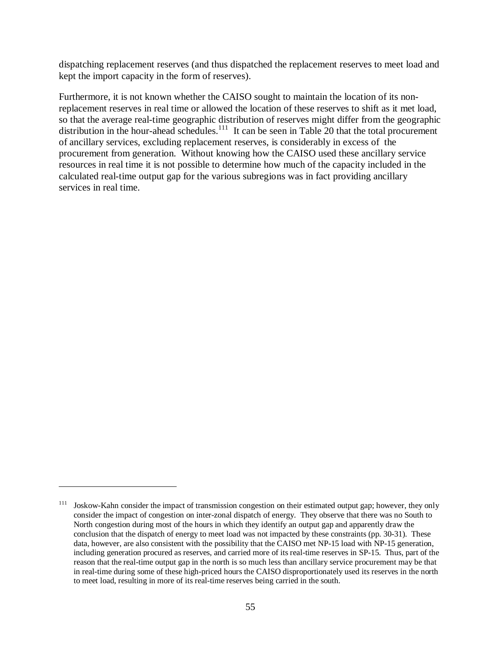dispatching replacement reserves (and thus dispatched the replacement reserves to meet load and kept the import capacity in the form of reserves).

Furthermore, it is not known whether the CAISO sought to maintain the location of its nonreplacement reserves in real time or allowed the location of these reserves to shift as it met load, so that the average real-time geographic distribution of reserves might differ from the geographic distribution in the hour-ahead schedules.<sup>111</sup> It can be seen in Table 20 that the total procurement of ancillary services, excluding replacement reserves, is considerably in excess of the procurement from generation. Without knowing how the CAISO used these ancillary service resources in real time it is not possible to determine how much of the capacity included in the calculated real-time output gap for the various subregions was in fact providing ancillary services in real time.

<sup>&</sup>lt;sup>111</sup> Joskow-Kahn consider the impact of transmission congestion on their estimated output gap; however, they only consider the impact of congestion on inter-zonal dispatch of energy. They observe that there was no South to North congestion during most of the hours in which they identify an output gap and apparently draw the conclusion that the dispatch of energy to meet load was not impacted by these constraints (pp. 30-31). These data, however, are also consistent with the possibility that the CAISO met NP-15 load with NP-15 generation, including generation procured as reserves, and carried more of its real-time reserves in SP-15. Thus, part of the reason that the real-time output gap in the north is so much less than ancillary service procurement may be that in real-time during some of these high-priced hours the CAISO disproportionately used its reserves in the north to meet load, resulting in more of its real-time reserves being carried in the south.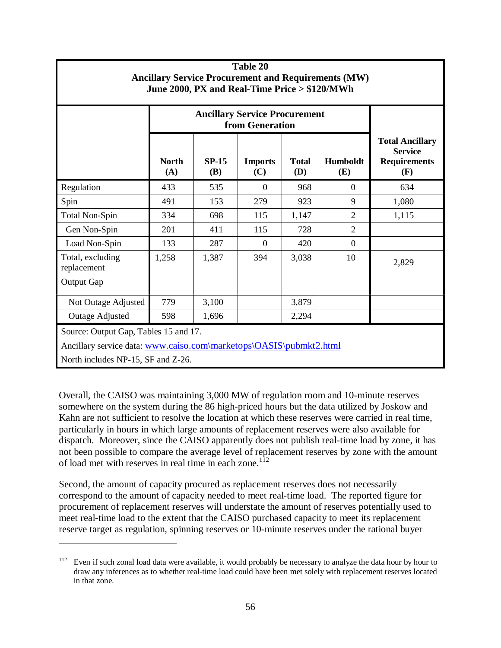| Table 20<br><b>Ancillary Service Procurement and Requirements (MW)</b><br>June 2000, PX and Real-Time Price > \$120/MWh |                                                         |                       |                       |                            |                 |                                                                        |  |  |
|-------------------------------------------------------------------------------------------------------------------------|---------------------------------------------------------|-----------------------|-----------------------|----------------------------|-----------------|------------------------------------------------------------------------|--|--|
|                                                                                                                         | <b>Ancillary Service Procurement</b><br>from Generation |                       |                       |                            |                 |                                                                        |  |  |
|                                                                                                                         | <b>North</b><br>(A)                                     | $SP-15$<br><b>(B)</b> | <b>Imports</b><br>(C) | <b>Total</b><br><b>(D)</b> | Humboldt<br>(E) | <b>Total Ancillary</b><br><b>Service</b><br><b>Requirements</b><br>(F) |  |  |
| Regulation                                                                                                              | 433                                                     | 535                   | $\Omega$              | 968                        | $\overline{0}$  | 634                                                                    |  |  |
| Spin                                                                                                                    | 491                                                     | 153                   | 279                   | 923                        | 9               | 1,080                                                                  |  |  |
| <b>Total Non-Spin</b>                                                                                                   | 334                                                     | 698                   | 115                   | 1,147                      | $\overline{2}$  | 1,115                                                                  |  |  |
| Gen Non-Spin                                                                                                            | 201                                                     | 411                   | 115                   | 728                        | $\overline{2}$  |                                                                        |  |  |
| Load Non-Spin                                                                                                           | 133                                                     | 287                   | $\theta$              | 420                        | $\overline{0}$  |                                                                        |  |  |
| Total, excluding<br>replacement                                                                                         | 1,258                                                   | 1,387                 | 394                   | 3,038                      | 10              | 2,829                                                                  |  |  |
| Output Gap                                                                                                              |                                                         |                       |                       |                            |                 |                                                                        |  |  |
| Not Outage Adjusted                                                                                                     | 779                                                     | 3,100                 |                       | 3,879                      |                 |                                                                        |  |  |
| <b>Outage Adjusted</b>                                                                                                  | 598                                                     | 1,696                 |                       | 2,294                      |                 |                                                                        |  |  |
| Source: Output Gap, Tables 15 and 17.<br>Ancillary service data: www.caiso.com\marketops\OASIS\pubmkt2.html             |                                                         |                       |                       |                            |                 |                                                                        |  |  |

North includes NP-15, SF and Z-26.

 $\overline{a}$ 

Overall, the CAISO was maintaining 3,000 MW of regulation room and 10-minute reserves somewhere on the system during the 86 high-priced hours but the data utilized by Joskow and Kahn are not sufficient to resolve the location at which these reserves were carried in real time, particularly in hours in which large amounts of replacement reserves were also available for dispatch. Moreover, since the CAISO apparently does not publish real-time load by zone, it has not been possible to compare the average level of replacement reserves by zone with the amount of load met with reserves in real time in each zone.<sup>112</sup>

Second, the amount of capacity procured as replacement reserves does not necessarily correspond to the amount of capacity needed to meet real-time load. The reported figure for procurement of replacement reserves will understate the amount of reserves potentially used to meet real-time load to the extent that the CAISO purchased capacity to meet its replacement reserve target as regulation, spinning reserves or 10-minute reserves under the rational buyer

<sup>&</sup>lt;sup>112</sup> Even if such zonal load data were available, it would probably be necessary to analyze the data hour by hour to draw any inferences as to whether real-time load could have been met solely with replacement reserves located in that zone.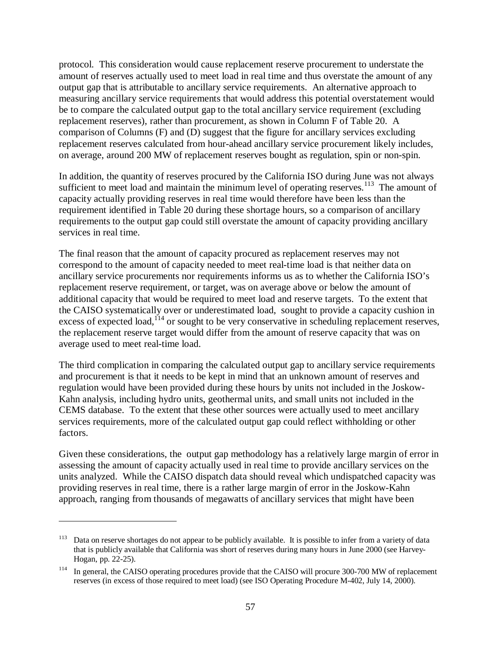protocol. This consideration would cause replacement reserve procurement to understate the amount of reserves actually used to meet load in real time and thus overstate the amount of any output gap that is attributable to ancillary service requirements. An alternative approach to measuring ancillary service requirements that would address this potential overstatement would be to compare the calculated output gap to the total ancillary service requirement (excluding replacement reserves), rather than procurement, as shown in Column F of Table 20. A comparison of Columns (F) and (D) suggest that the figure for ancillary services excluding replacement reserves calculated from hour-ahead ancillary service procurement likely includes, on average, around 200 MW of replacement reserves bought as regulation, spin or non-spin.

In addition, the quantity of reserves procured by the California ISO during June was not always sufficient to meet load and maintain the minimum level of operating reserves.<sup>113</sup> The amount of capacity actually providing reserves in real time would therefore have been less than the requirement identified in Table 20 during these shortage hours, so a comparison of ancillary requirements to the output gap could still overstate the amount of capacity providing ancillary services in real time.

The final reason that the amount of capacity procured as replacement reserves may not correspond to the amount of capacity needed to meet real-time load is that neither data on ancillary service procurements nor requirements informs us as to whether the California ISO's replacement reserve requirement, or target, was on average above or below the amount of additional capacity that would be required to meet load and reserve targets. To the extent that the CAISO systematically over or underestimated load, sought to provide a capacity cushion in excess of expected load,<sup> $114$ </sup> or sought to be very conservative in scheduling replacement reserves, the replacement reserve target would differ from the amount of reserve capacity that was on average used to meet real-time load.

The third complication in comparing the calculated output gap to ancillary service requirements and procurement is that it needs to be kept in mind that an unknown amount of reserves and regulation would have been provided during these hours by units not included in the Joskow-Kahn analysis, including hydro units, geothermal units, and small units not included in the CEMS database. To the extent that these other sources were actually used to meet ancillary services requirements, more of the calculated output gap could reflect withholding or other factors.

Given these considerations, the output gap methodology has a relatively large margin of error in assessing the amount of capacity actually used in real time to provide ancillary services on the units analyzed. While the CAISO dispatch data should reveal which undispatched capacity was providing reserves in real time, there is a rather large margin of error in the Joskow-Kahn approach, ranging from thousands of megawatts of ancillary services that might have been

<sup>&</sup>lt;sup>113</sup> Data on reserve shortages do not appear to be publicly available. It is possible to infer from a variety of data that is publicly available that California was short of reserves during many hours in June 2000 (see Harvey-Hogan, pp. 22-25).

<sup>&</sup>lt;sup>114</sup> In general, the CAISO operating procedures provide that the CAISO will procure 300-700 MW of replacement reserves (in excess of those required to meet load) (see ISO Operating Procedure M-402, July 14, 2000).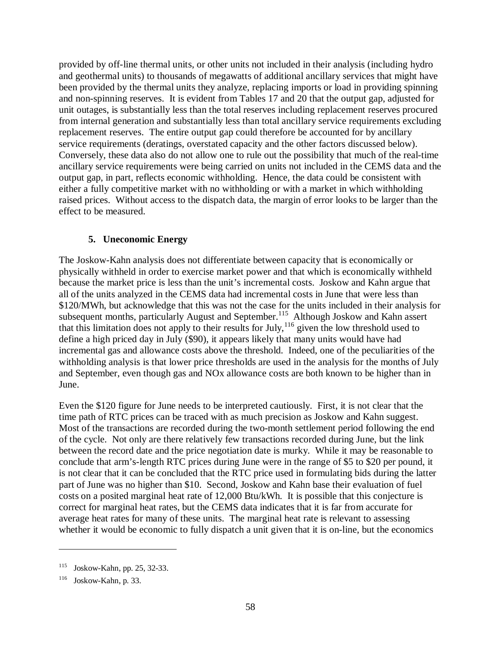provided by off-line thermal units, or other units not included in their analysis (including hydro and geothermal units) to thousands of megawatts of additional ancillary services that might have been provided by the thermal units they analyze, replacing imports or load in providing spinning and non-spinning reserves. It is evident from Tables 17 and 20 that the output gap, adjusted for unit outages, is substantially less than the total reserves including replacement reserves procured from internal generation and substantially less than total ancillary service requirements excluding replacement reserves. The entire output gap could therefore be accounted for by ancillary service requirements (deratings, overstated capacity and the other factors discussed below). Conversely, these data also do not allow one to rule out the possibility that much of the real-time ancillary service requirements were being carried on units not included in the CEMS data and the output gap, in part, reflects economic withholding. Hence, the data could be consistent with either a fully competitive market with no withholding or with a market in which withholding raised prices. Without access to the dispatch data, the margin of error looks to be larger than the effect to be measured.

### **5. Uneconomic Energy**

The Joskow-Kahn analysis does not differentiate between capacity that is economically or physically withheld in order to exercise market power and that which is economically withheld because the market price is less than the unit's incremental costs. Joskow and Kahn argue that all of the units analyzed in the CEMS data had incremental costs in June that were less than \$120/MWh, but acknowledge that this was not the case for the units included in their analysis for subsequent months, particularly August and September.<sup>115</sup> Although Joskow and Kahn assert that this limitation does not apply to their results for July,<sup>116</sup> given the low threshold used to define a high priced day in July (\$90), it appears likely that many units would have had incremental gas and allowance costs above the threshold. Indeed, one of the peculiarities of the withholding analysis is that lower price thresholds are used in the analysis for the months of July and September, even though gas and NOx allowance costs are both known to be higher than in June.

Even the \$120 figure for June needs to be interpreted cautiously. First, it is not clear that the time path of RTC prices can be traced with as much precision as Joskow and Kahn suggest. Most of the transactions are recorded during the two-month settlement period following the end of the cycle. Not only are there relatively few transactions recorded during June, but the link between the record date and the price negotiation date is murky. While it may be reasonable to conclude that arm's-length RTC prices during June were in the range of \$5 to \$20 per pound, it is not clear that it can be concluded that the RTC price used in formulating bids during the latter part of June was no higher than \$10. Second, Joskow and Kahn base their evaluation of fuel costs on a posited marginal heat rate of 12,000 Btu/kWh. It is possible that this conjecture is correct for marginal heat rates, but the CEMS data indicates that it is far from accurate for average heat rates for many of these units. The marginal heat rate is relevant to assessing whether it would be economic to fully dispatch a unit given that it is on-line, but the economics

<sup>115</sup> Joskow-Kahn, pp. 25, 32-33.

<sup>116</sup> Joskow-Kahn, p. 33.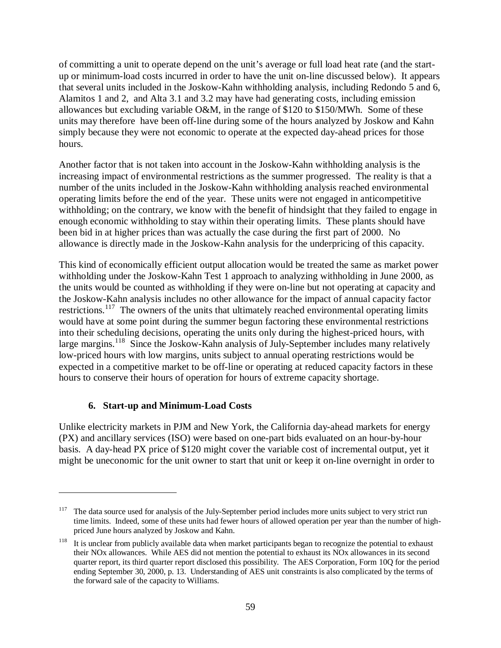of committing a unit to operate depend on the unit's average or full load heat rate (and the startup or minimum-load costs incurred in order to have the unit on-line discussed below). It appears that several units included in the Joskow-Kahn withholding analysis, including Redondo 5 and 6, Alamitos 1 and 2, and Alta 3.1 and 3.2 may have had generating costs, including emission allowances but excluding variable O&M, in the range of \$120 to \$150/MWh. Some of these units may therefore have been off-line during some of the hours analyzed by Joskow and Kahn simply because they were not economic to operate at the expected day-ahead prices for those hours.

Another factor that is not taken into account in the Joskow-Kahn withholding analysis is the increasing impact of environmental restrictions as the summer progressed. The reality is that a number of the units included in the Joskow-Kahn withholding analysis reached environmental operating limits before the end of the year. These units were not engaged in anticompetitive withholding; on the contrary, we know with the benefit of hindsight that they failed to engage in enough economic withholding to stay within their operating limits. These plants should have been bid in at higher prices than was actually the case during the first part of 2000. No allowance is directly made in the Joskow-Kahn analysis for the underpricing of this capacity.

This kind of economically efficient output allocation would be treated the same as market power withholding under the Joskow-Kahn Test 1 approach to analyzing withholding in June 2000, as the units would be counted as withholding if they were on-line but not operating at capacity and the Joskow-Kahn analysis includes no other allowance for the impact of annual capacity factor restrictions.<sup>117</sup> The owners of the units that ultimately reached environmental operating limits would have at some point during the summer begun factoring these environmental restrictions into their scheduling decisions, operating the units only during the highest-priced hours, with large margins.<sup>118</sup> Since the Joskow-Kahn analysis of July-September includes many relatively low-priced hours with low margins, units subject to annual operating restrictions would be expected in a competitive market to be off-line or operating at reduced capacity factors in these hours to conserve their hours of operation for hours of extreme capacity shortage.

### **6. Start-up and Minimum-Load Costs**

 $\overline{a}$ 

Unlike electricity markets in PJM and New York, the California day-ahead markets for energy (PX) and ancillary services (ISO) were based on one-part bids evaluated on an hour-by-hour basis. A day-head PX price of \$120 might cover the variable cost of incremental output, yet it might be uneconomic for the unit owner to start that unit or keep it on-line overnight in order to

<sup>117</sup> The data source used for analysis of the July-September period includes more units subject to very strict run time limits. Indeed, some of these units had fewer hours of allowed operation per year than the number of highpriced June hours analyzed by Joskow and Kahn.

 $118$  It is unclear from publicly available data when market participants began to recognize the potential to exhaust their NOx allowances. While AES did not mention the potential to exhaust its NOx allowances in its second quarter report, its third quarter report disclosed this possibility. The AES Corporation, Form 10Q for the period ending September 30, 2000, p. 13. Understanding of AES unit constraints is also complicated by the terms of the forward sale of the capacity to Williams.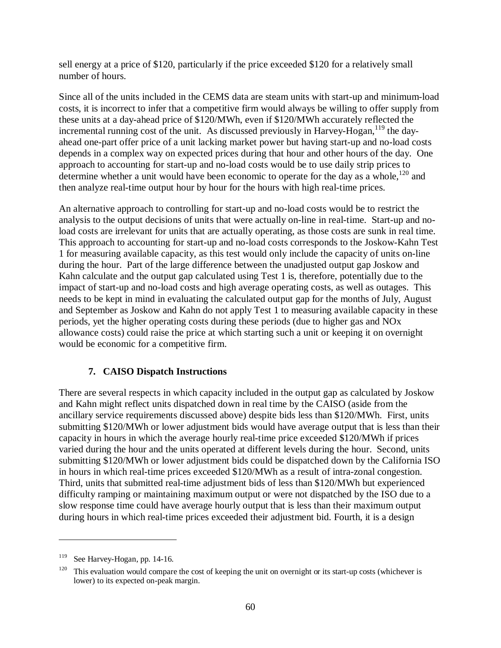sell energy at a price of \$120, particularly if the price exceeded \$120 for a relatively small number of hours.

Since all of the units included in the CEMS data are steam units with start-up and minimum-load costs, it is incorrect to infer that a competitive firm would always be willing to offer supply from these units at a day-ahead price of \$120/MWh, even if \$120/MWh accurately reflected the incremental running cost of the unit. As discussed previously in Harvey-Hogan,  $119$  the dayahead one-part offer price of a unit lacking market power but having start-up and no-load costs depends in a complex way on expected prices during that hour and other hours of the day. One approach to accounting for start-up and no-load costs would be to use daily strip prices to determine whether a unit would have been economic to operate for the day as a whole,  $^{120}$  and then analyze real-time output hour by hour for the hours with high real-time prices.

An alternative approach to controlling for start-up and no-load costs would be to restrict the analysis to the output decisions of units that were actually on-line in real-time. Start-up and noload costs are irrelevant for units that are actually operating, as those costs are sunk in real time. This approach to accounting for start-up and no-load costs corresponds to the Joskow-Kahn Test 1 for measuring available capacity, as this test would only include the capacity of units on-line during the hour. Part of the large difference between the unadjusted output gap Joskow and Kahn calculate and the output gap calculated using Test 1 is, therefore, potentially due to the impact of start-up and no-load costs and high average operating costs, as well as outages. This needs to be kept in mind in evaluating the calculated output gap for the months of July, August and September as Joskow and Kahn do not apply Test 1 to measuring available capacity in these periods, yet the higher operating costs during these periods (due to higher gas and NOx allowance costs) could raise the price at which starting such a unit or keeping it on overnight would be economic for a competitive firm.

### **7. CAISO Dispatch Instructions**

There are several respects in which capacity included in the output gap as calculated by Joskow and Kahn might reflect units dispatched down in real time by the CAISO (aside from the ancillary service requirements discussed above) despite bids less than \$120/MWh. First, units submitting \$120/MWh or lower adjustment bids would have average output that is less than their capacity in hours in which the average hourly real-time price exceeded \$120/MWh if prices varied during the hour and the units operated at different levels during the hour. Second, units submitting \$120/MWh or lower adjustment bids could be dispatched down by the California ISO in hours in which real-time prices exceeded \$120/MWh as a result of intra-zonal congestion. Third, units that submitted real-time adjustment bids of less than \$120/MWh but experienced difficulty ramping or maintaining maximum output or were not dispatched by the ISO due to a slow response time could have average hourly output that is less than their maximum output during hours in which real-time prices exceeded their adjustment bid. Fourth, it is a design

<sup>119</sup> See Harvey-Hogan, pp. 14-16.

 $120$  This evaluation would compare the cost of keeping the unit on overnight or its start-up costs (whichever is lower) to its expected on-peak margin.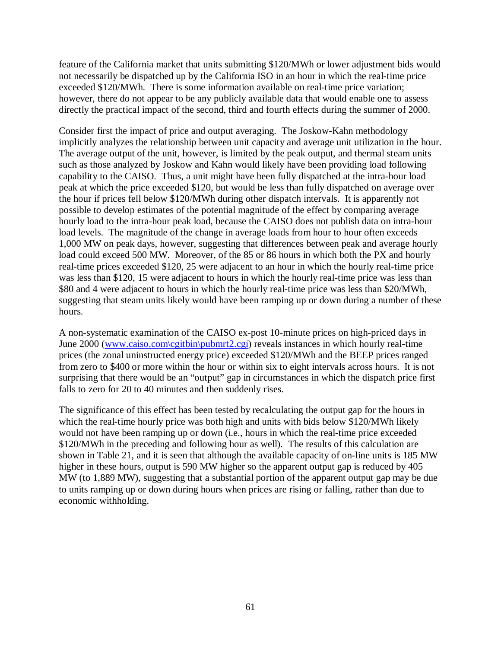feature of the California market that units submitting \$120/MWh or lower adjustment bids would not necessarily be dispatched up by the California ISO in an hour in which the real-time price exceeded \$120/MWh. There is some information available on real-time price variation; however, there do not appear to be any publicly available data that would enable one to assess directly the practical impact of the second, third and fourth effects during the summer of 2000.

Consider first the impact of price and output averaging. The Joskow-Kahn methodology implicitly analyzes the relationship between unit capacity and average unit utilization in the hour. The average output of the unit, however, is limited by the peak output, and thermal steam units such as those analyzed by Joskow and Kahn would likely have been providing load following capability to the CAISO. Thus, a unit might have been fully dispatched at the intra-hour load peak at which the price exceeded \$120, but would be less than fully dispatched on average over the hour if prices fell below \$120/MWh during other dispatch intervals. It is apparently not possible to develop estimates of the potential magnitude of the effect by comparing average hourly load to the intra-hour peak load, because the CAISO does not publish data on intra-hour load levels. The magnitude of the change in average loads from hour to hour often exceeds 1,000 MW on peak days, however, suggesting that differences between peak and average hourly load could exceed 500 MW. Moreover, of the 85 or 86 hours in which both the PX and hourly real-time prices exceeded \$120, 25 were adjacent to an hour in which the hourly real-time price was less than \$120, 15 were adjacent to hours in which the hourly real-time price was less than \$80 and 4 were adjacent to hours in which the hourly real-time price was less than \$20/MWh, suggesting that steam units likely would have been ramping up or down during a number of these hours.

A non-systematic examination of the CAISO ex-post 10-minute prices on high-priced days in June 2000 (www.caiso.com\cgitbin\pubmrt2.cgi) reveals instances in which hourly real-time prices (the zonal uninstructed energy price) exceeded \$120/MWh and the BEEP prices ranged from zero to \$400 or more within the hour or within six to eight intervals across hours. It is not surprising that there would be an "output" gap in circumstances in which the dispatch price first falls to zero for 20 to 40 minutes and then suddenly rises.

The significance of this effect has been tested by recalculating the output gap for the hours in which the real-time hourly price was both high and units with bids below \$120/MWh likely would not have been ramping up or down (i.e., hours in which the real-time price exceeded \$120/MWh in the preceding and following hour as well). The results of this calculation are shown in Table 21, and it is seen that although the available capacity of on-line units is 185 MW higher in these hours, output is 590 MW higher so the apparent output gap is reduced by 405 MW (to 1,889 MW), suggesting that a substantial portion of the apparent output gap may be due to units ramping up or down during hours when prices are rising or falling, rather than due to economic withholding.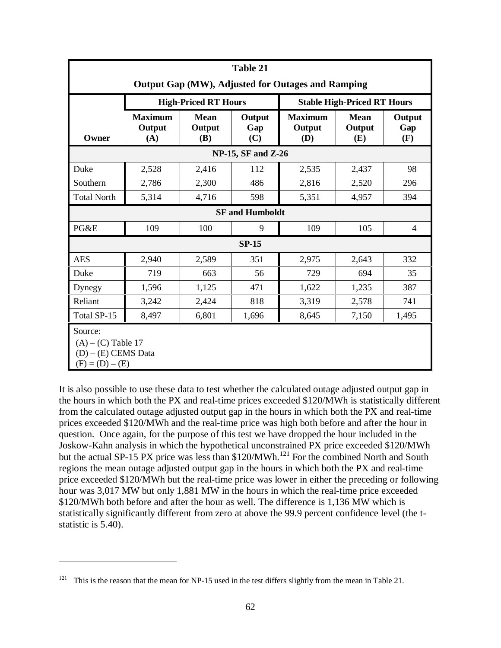| Table 21                                                                      |                                 |                              |                           |                                 |                                    |                      |  |  |
|-------------------------------------------------------------------------------|---------------------------------|------------------------------|---------------------------|---------------------------------|------------------------------------|----------------------|--|--|
| Output Gap (MW), Adjusted for Outages and Ramping                             |                                 |                              |                           |                                 |                                    |                      |  |  |
|                                                                               |                                 | <b>High-Priced RT Hours</b>  |                           |                                 | <b>Stable High-Priced RT Hours</b> |                      |  |  |
| Owner                                                                         | <b>Maximum</b><br>Output<br>(A) | <b>Mean</b><br>Output<br>(B) | Output<br>Gap<br>(C)      | <b>Maximum</b><br>Output<br>(D) | <b>Mean</b><br>Output<br>(E)       | Output<br>Gap<br>(F) |  |  |
|                                                                               |                                 |                              | <b>NP-15, SF and Z-26</b> |                                 |                                    |                      |  |  |
| Duke                                                                          | 2,528                           | 2,416                        | 112                       | 2,535                           | 2,437                              | 98                   |  |  |
| Southern                                                                      | 2,786                           | 2,300                        | 486                       | 2,816                           | 2,520                              | 296                  |  |  |
| <b>Total North</b>                                                            | 5,314                           | 4,716                        | 598                       | 5,351                           | 4,957                              | 394                  |  |  |
|                                                                               |                                 |                              | <b>SF</b> and Humboldt    |                                 |                                    |                      |  |  |
| PG&E                                                                          | 109                             | 100                          | 9                         | 109                             | 105                                | $\overline{4}$       |  |  |
|                                                                               |                                 |                              | <b>SP-15</b>              |                                 |                                    |                      |  |  |
| <b>AES</b>                                                                    | 2,940                           | 2,589                        | 351                       | 2,975                           | 2,643                              | 332                  |  |  |
| Duke                                                                          | 719                             | 663                          | 56                        | 729                             | 694                                | 35                   |  |  |
| Dynegy                                                                        | 1,596                           | 1,125                        | 471                       | 1,622                           | 1,235                              | 387                  |  |  |
| Reliant                                                                       | 3,242                           | 2,424                        | 818                       | 3,319                           | 2,578                              | 741                  |  |  |
| Total SP-15                                                                   | 8,497                           | 6,801                        | 1,696                     | 8,645                           | 7,150                              | 1,495                |  |  |
| Source:<br>$(A) - (C)$ Table 17<br>$(D) - (E)$ CEMS Data<br>$(F) = (D) - (E)$ |                                 |                              |                           |                                 |                                    |                      |  |  |

It is also possible to use these data to test whether the calculated outage adjusted output gap in the hours in which both the PX and real-time prices exceeded \$120/MWh is statistically different from the calculated outage adjusted output gap in the hours in which both the PX and real-time prices exceeded \$120/MWh and the real-time price was high both before and after the hour in question. Once again, for the purpose of this test we have dropped the hour included in the Joskow-Kahn analysis in which the hypothetical unconstrained PX price exceeded \$120/MWh but the actual SP-15 PX price was less than \$120/MWh.<sup>121</sup> For the combined North and South regions the mean outage adjusted output gap in the hours in which both the PX and real-time price exceeded \$120/MWh but the real-time price was lower in either the preceding or following hour was 3,017 MW but only 1,881 MW in the hours in which the real-time price exceeded \$120/MWh both before and after the hour as well. The difference is 1,136 MW which is statistically significantly different from zero at above the 99.9 percent confidence level (the tstatistic is 5.40).

<sup>&</sup>lt;sup>121</sup> This is the reason that the mean for NP-15 used in the test differs slightly from the mean in Table 21.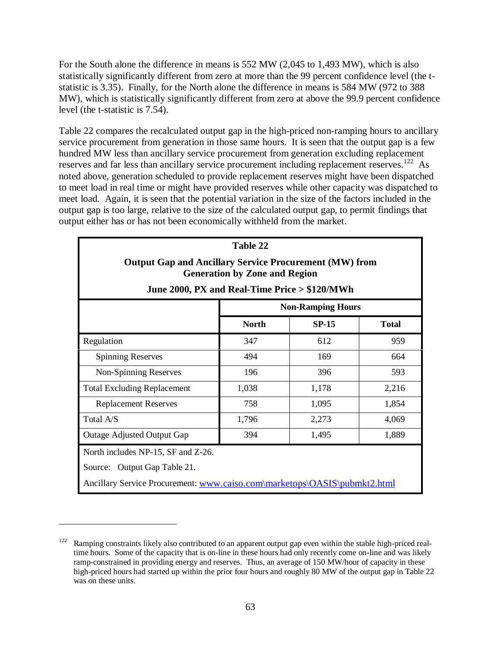For the South alone the difference in means is 552 MW (2,045 to 1,493 MW), which is also statistically significantly different from zero at more than the 99 percent confidence level (the tstatistic is 3.35). Finally, for the North alone the difference in means is 584 MW (972 to 388 MW), which is statistically significantly different from zero at above the 99.9 percent confidence level (the t-statistic is 7.54).

Table 22 compares the recalculated output gap in the high-priced non-ramping hours to ancillary service procurement from generation in those same hours. It is seen that the output gap is a few hundred MW less than ancillary service procurement from generation excluding replacement reserves and far less than ancillary service procurement including replacement reserves.<sup>122</sup> As noted above, generation scheduled to provide replacement reserves might have been dispatched to meet load in real time or might have provided reserves while other capacity was dispatched to meet load. Again, it is seen that the potential variation in the size of the factors included in the output gap is too large, relative to the size of the calculated output gap, to permit findings that output either has or has not been economically withheld from the market.

| Table 22                                                                                              |                                                                     |       |       |  |  |  |  |
|-------------------------------------------------------------------------------------------------------|---------------------------------------------------------------------|-------|-------|--|--|--|--|
| <b>Output Gap and Ancillary Service Procurement (MW) from</b><br><b>Generation by Zone and Region</b> |                                                                     |       |       |  |  |  |  |
| June 2000, PX and Real-Time Price > \$120/MWh                                                         |                                                                     |       |       |  |  |  |  |
|                                                                                                       | <b>Non-Ramping Hours</b><br><b>North</b><br>$SP-15$<br><b>Total</b> |       |       |  |  |  |  |
| Regulation                                                                                            | 347                                                                 | 612   | 959   |  |  |  |  |
| <b>Spinning Reserves</b>                                                                              | 494                                                                 | 169   | 664   |  |  |  |  |
| Non-Spinning Reserves                                                                                 | 196                                                                 | 396   | 593   |  |  |  |  |
| <b>Total Excluding Replacement</b>                                                                    | 1,038                                                               | 1,178 | 2,216 |  |  |  |  |
| <b>Replacement Reserves</b>                                                                           | 758                                                                 | 1,095 | 1,854 |  |  |  |  |
| Total A/S                                                                                             | 1,796                                                               | 2,273 | 4,069 |  |  |  |  |
| 394<br>Outage Adjusted Output Gap<br>1,495<br>1,889                                                   |                                                                     |       |       |  |  |  |  |
| North includes NP-15, SF and Z-26.                                                                    |                                                                     |       |       |  |  |  |  |
| Source: Output Gap Table 21.                                                                          |                                                                     |       |       |  |  |  |  |
| Ancillary Service Procurement: www.caiso.com\marketops\OASIS\pubmkt2.html                             |                                                                     |       |       |  |  |  |  |

 $122$  Ramping constraints likely also contributed to an apparent output gap even within the stable high-priced realtime hours. Some of the capacity that is on-line in these hours had only recently come on-line and was likely ramp-constrained in providing energy and reserves. Thus, an average of 150 MW/hour of capacity in these high-priced hours had started up within the prior four hours and roughly 80 MW of the output gap in Table 22 was on these units.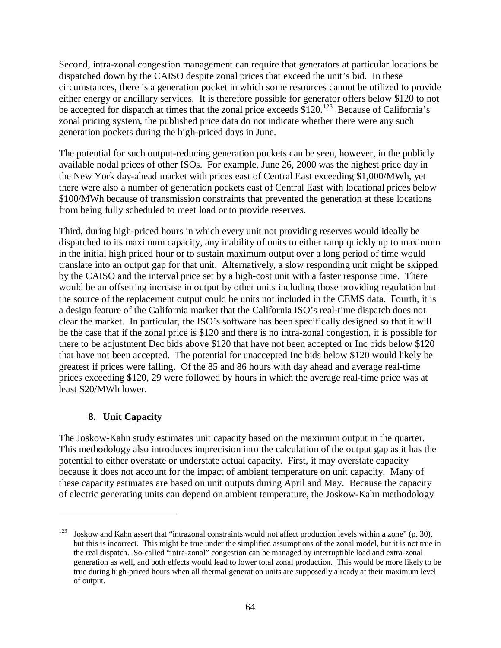Second, intra-zonal congestion management can require that generators at particular locations be dispatched down by the CAISO despite zonal prices that exceed the unit's bid. In these circumstances, there is a generation pocket in which some resources cannot be utilized to provide either energy or ancillary services. It is therefore possible for generator offers below \$120 to not be accepted for dispatch at times that the zonal price exceeds  $$120.<sup>123</sup>$  Because of California's zonal pricing system, the published price data do not indicate whether there were any such generation pockets during the high-priced days in June.

The potential for such output-reducing generation pockets can be seen, however, in the publicly available nodal prices of other ISOs. For example, June 26, 2000 was the highest price day in the New York day-ahead market with prices east of Central East exceeding \$1,000/MWh, yet there were also a number of generation pockets east of Central East with locational prices below \$100/MWh because of transmission constraints that prevented the generation at these locations from being fully scheduled to meet load or to provide reserves.

Third, during high-priced hours in which every unit not providing reserves would ideally be dispatched to its maximum capacity, any inability of units to either ramp quickly up to maximum in the initial high priced hour or to sustain maximum output over a long period of time would translate into an output gap for that unit. Alternatively, a slow responding unit might be skipped by the CAISO and the interval price set by a high-cost unit with a faster response time. There would be an offsetting increase in output by other units including those providing regulation but the source of the replacement output could be units not included in the CEMS data. Fourth, it is a design feature of the California market that the California ISO's real-time dispatch does not clear the market. In particular, the ISO's software has been specifically designed so that it will be the case that if the zonal price is \$120 and there is no intra-zonal congestion, it is possible for there to be adjustment Dec bids above \$120 that have not been accepted or Inc bids below \$120 that have not been accepted. The potential for unaccepted Inc bids below \$120 would likely be greatest if prices were falling. Of the 85 and 86 hours with day ahead and average real-time prices exceeding \$120, 29 were followed by hours in which the average real-time price was at least \$20/MWh lower.

# **8. Unit Capacity**

 $\overline{a}$ 

The Joskow-Kahn study estimates unit capacity based on the maximum output in the quarter. This methodology also introduces imprecision into the calculation of the output gap as it has the potential to either overstate or understate actual capacity. First, it may overstate capacity because it does not account for the impact of ambient temperature on unit capacity. Many of these capacity estimates are based on unit outputs during April and May. Because the capacity of electric generating units can depend on ambient temperature, the Joskow-Kahn methodology

 $123$  Joskow and Kahn assert that "intrazonal constraints would not affect production levels within a zone" (p. 30), but this is incorrect. This might be true under the simplified assumptions of the zonal model, but it is not true in the real dispatch. So-called "intra-zonal" congestion can be managed by interruptible load and extra-zonal generation as well, and both effects would lead to lower total zonal production. This would be more likely to be true during high-priced hours when all thermal generation units are supposedly already at their maximum level of output.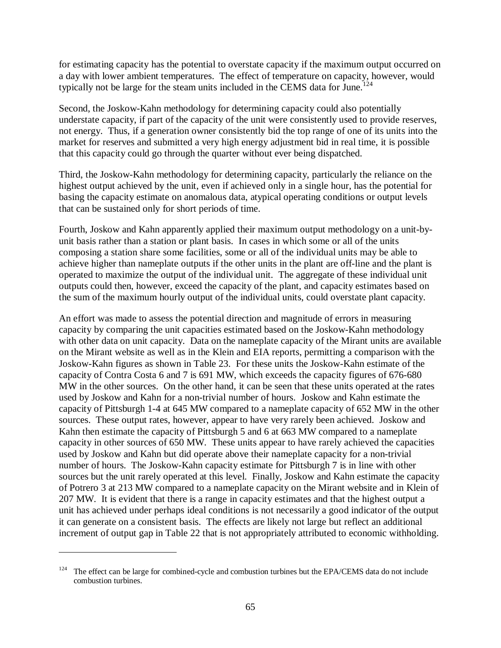for estimating capacity has the potential to overstate capacity if the maximum output occurred on a day with lower ambient temperatures. The effect of temperature on capacity, however, would typically not be large for the steam units included in the CEMS data for June.<sup>124</sup>

Second, the Joskow-Kahn methodology for determining capacity could also potentially understate capacity, if part of the capacity of the unit were consistently used to provide reserves, not energy. Thus, if a generation owner consistently bid the top range of one of its units into the market for reserves and submitted a very high energy adjustment bid in real time, it is possible that this capacity could go through the quarter without ever being dispatched.

Third, the Joskow-Kahn methodology for determining capacity, particularly the reliance on the highest output achieved by the unit, even if achieved only in a single hour, has the potential for basing the capacity estimate on anomalous data, atypical operating conditions or output levels that can be sustained only for short periods of time.

Fourth, Joskow and Kahn apparently applied their maximum output methodology on a unit-byunit basis rather than a station or plant basis. In cases in which some or all of the units composing a station share some facilities, some or all of the individual units may be able to achieve higher than nameplate outputs if the other units in the plant are off-line and the plant is operated to maximize the output of the individual unit. The aggregate of these individual unit outputs could then, however, exceed the capacity of the plant, and capacity estimates based on the sum of the maximum hourly output of the individual units, could overstate plant capacity.

An effort was made to assess the potential direction and magnitude of errors in measuring capacity by comparing the unit capacities estimated based on the Joskow-Kahn methodology with other data on unit capacity. Data on the nameplate capacity of the Mirant units are available on the Mirant website as well as in the Klein and EIA reports, permitting a comparison with the Joskow-Kahn figures as shown in Table 23. For these units the Joskow-Kahn estimate of the capacity of Contra Costa 6 and 7 is 691 MW, which exceeds the capacity figures of 676-680 MW in the other sources. On the other hand, it can be seen that these units operated at the rates used by Joskow and Kahn for a non-trivial number of hours. Joskow and Kahn estimate the capacity of Pittsburgh 1-4 at 645 MW compared to a nameplate capacity of 652 MW in the other sources. These output rates, however, appear to have very rarely been achieved. Joskow and Kahn then estimate the capacity of Pittsburgh 5 and 6 at 663 MW compared to a nameplate capacity in other sources of 650 MW. These units appear to have rarely achieved the capacities used by Joskow and Kahn but did operate above their nameplate capacity for a non-trivial number of hours. The Joskow-Kahn capacity estimate for Pittsburgh 7 is in line with other sources but the unit rarely operated at this level. Finally, Joskow and Kahn estimate the capacity of Potrero 3 at 213 MW compared to a nameplate capacity on the Mirant website and in Klein of 207 MW. It is evident that there is a range in capacity estimates and that the highest output a unit has achieved under perhaps ideal conditions is not necessarily a good indicator of the output it can generate on a consistent basis. The effects are likely not large but reflect an additional increment of output gap in Table 22 that is not appropriately attributed to economic withholding.

The effect can be large for combined-cycle and combustion turbines but the EPA/CEMS data do not include combustion turbines.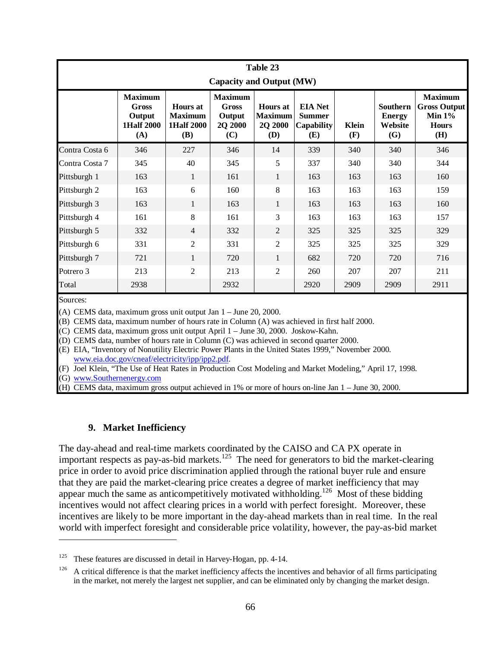| Table 23<br>Capacity and Output (MW) |                                                                      |                                                                      |                                                            |                                                     |                                                      |                     |                                             |                                                                           |  |
|--------------------------------------|----------------------------------------------------------------------|----------------------------------------------------------------------|------------------------------------------------------------|-----------------------------------------------------|------------------------------------------------------|---------------------|---------------------------------------------|---------------------------------------------------------------------------|--|
|                                      | <b>Maximum</b><br><b>Gross</b><br>Output<br><b>1Half 2000</b><br>(A) | <b>Hours</b> at<br><b>Maximum</b><br><b>1Half 2000</b><br><b>(B)</b> | <b>Maximum</b><br><b>Gross</b><br>Output<br>2Q 2000<br>(C) | <b>Hours</b> at<br><b>Maximum</b><br>2Q 2000<br>(D) | <b>EIA</b> Net<br><b>Summer</b><br>Capability<br>(E) | <b>Klein</b><br>(F) | Southern<br><b>Energy</b><br>Website<br>(G) | <b>Maximum</b><br><b>Gross Output</b><br>Min $1\%$<br><b>Hours</b><br>(H) |  |
| Contra Costa 6                       | 346                                                                  | 227                                                                  | 346                                                        | 14                                                  | 339                                                  | 340                 | 340                                         | 346                                                                       |  |
| Contra Costa 7                       | 345                                                                  | 40                                                                   | 345                                                        | 5                                                   | 337                                                  | 340                 | 340                                         | 344                                                                       |  |
| Pittsburgh 1                         | 163                                                                  | 1                                                                    | 161                                                        | $\mathbf{1}$                                        | 163                                                  | 163                 | 163                                         | 160                                                                       |  |
| Pittsburgh 2                         | 163                                                                  | 6                                                                    | 160                                                        | 8                                                   | 163                                                  | 163                 | 163                                         | 159                                                                       |  |
| Pittsburgh 3                         | 163                                                                  | 1                                                                    | 163                                                        | $\mathbf{1}$                                        | 163                                                  | 163                 | 163                                         | 160                                                                       |  |
| Pittsburgh 4                         | 161                                                                  | 8                                                                    | 161                                                        | 3                                                   | 163                                                  | 163                 | 163                                         | 157                                                                       |  |
| Pittsburgh 5                         | 332                                                                  | $\overline{4}$                                                       | 332                                                        | $\overline{2}$                                      | 325                                                  | 325                 | 325                                         | 329                                                                       |  |
| Pittsburgh 6                         | 331                                                                  | $\overline{2}$                                                       | 331                                                        | 2                                                   | 325                                                  | 325                 | 325                                         | 329                                                                       |  |
| Pittsburgh 7                         | 721                                                                  | 1                                                                    | 720                                                        | 1                                                   | 682                                                  | 720                 | 720                                         | 716                                                                       |  |
| Potrero 3                            | 213                                                                  | $\overline{2}$                                                       | 213                                                        | $\overline{c}$                                      | 260                                                  | 207                 | 207                                         | 211                                                                       |  |
| Total                                | 2938                                                                 |                                                                      | 2932                                                       |                                                     | 2920                                                 | 2909                | 2909                                        | 2911                                                                      |  |

Sources:

 $\overline{a}$ 

(A) CEMS data, maximum gross unit output Jan 1 – June 20, 2000.

(B) CEMS data, maximum number of hours rate in Column (A) was achieved in first half 2000.

(C) CEMS data, maximum gross unit output April 1 – June 30, 2000. Joskow-Kahn.

(D) CEMS data, number of hours rate in Column (C) was achieved in second quarter 2000.

(E) EIA, "Inventory of Nonutility Electric Power Plants in the United States 1999," November 2000. www.eia.doc.gov/cneaf/electricity/ipp/ipp2.pdf.

(F) Joel Klein, "The Use of Heat Rates in Production Cost Modeling and Market Modeling," April 17, 1998.

(G) www.Southernenergy.com

(H) CEMS data, maximum gross output achieved in 1% or more of hours on-line Jan 1 – June 30, 2000.

#### **9. Market Inefficiency**

The day-ahead and real-time markets coordinated by the CAISO and CA PX operate in important respects as pay-as-bid markets.<sup>125</sup> The need for generators to bid the market-clearing price in order to avoid price discrimination applied through the rational buyer rule and ensure that they are paid the market-clearing price creates a degree of market inefficiency that may appear much the same as anticompetitively motivated withholding.<sup>126</sup> Most of these bidding incentives would not affect clearing prices in a world with perfect foresight. Moreover, these incentives are likely to be more important in the day-ahead markets than in real time. In the real world with imperfect foresight and considerable price volatility, however, the pay-as-bid market

<sup>&</sup>lt;sup>125</sup> These features are discussed in detail in Harvey-Hogan, pp. 4-14.

 $126$  A critical difference is that the market inefficiency affects the incentives and behavior of all firms participating in the market, not merely the largest net supplier, and can be eliminated only by changing the market design.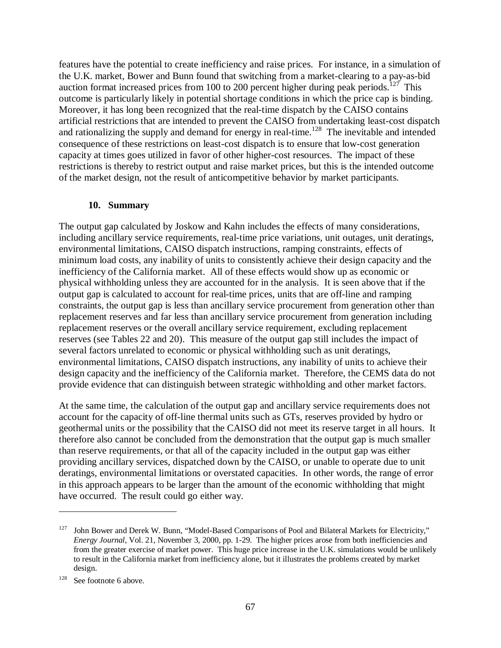features have the potential to create inefficiency and raise prices. For instance, in a simulation of the U.K. market, Bower and Bunn found that switching from a market-clearing to a pay-as-bid auction format increased prices from 100 to 200 percent higher during peak periods.<sup>127</sup> This outcome is particularly likely in potential shortage conditions in which the price cap is binding. Moreover, it has long been recognized that the real-time dispatch by the CAISO contains artificial restrictions that are intended to prevent the CAISO from undertaking least-cost dispatch and rationalizing the supply and demand for energy in real-time.<sup>128</sup> The inevitable and intended consequence of these restrictions on least-cost dispatch is to ensure that low-cost generation capacity at times goes utilized in favor of other higher-cost resources. The impact of these restrictions is thereby to restrict output and raise market prices, but this is the intended outcome of the market design, not the result of anticompetitive behavior by market participants.

#### **10. Summary**

The output gap calculated by Joskow and Kahn includes the effects of many considerations, including ancillary service requirements, real-time price variations, unit outages, unit deratings, environmental limitations, CAISO dispatch instructions, ramping constraints, effects of minimum load costs, any inability of units to consistently achieve their design capacity and the inefficiency of the California market. All of these effects would show up as economic or physical withholding unless they are accounted for in the analysis. It is seen above that if the output gap is calculated to account for real-time prices, units that are off-line and ramping constraints, the output gap is less than ancillary service procurement from generation other than replacement reserves and far less than ancillary service procurement from generation including replacement reserves or the overall ancillary service requirement, excluding replacement reserves (see Tables 22 and 20). This measure of the output gap still includes the impact of several factors unrelated to economic or physical withholding such as unit deratings, environmental limitations, CAISO dispatch instructions, any inability of units to achieve their design capacity and the inefficiency of the California market. Therefore, the CEMS data do not provide evidence that can distinguish between strategic withholding and other market factors.

At the same time, the calculation of the output gap and ancillary service requirements does not account for the capacity of off-line thermal units such as GTs, reserves provided by hydro or geothermal units or the possibility that the CAISO did not meet its reserve target in all hours. It therefore also cannot be concluded from the demonstration that the output gap is much smaller than reserve requirements, or that all of the capacity included in the output gap was either providing ancillary services, dispatched down by the CAISO, or unable to operate due to unit deratings, environmental limitations or overstated capacities. In other words, the range of error in this approach appears to be larger than the amount of the economic withholding that might have occurred. The result could go either way.

<sup>&</sup>lt;sup>127</sup> John Bower and Derek W. Bunn, "Model-Based Comparisons of Pool and Bilateral Markets for Electricity," *Energy Journal*, Vol. 21, November 3, 2000, pp. 1-29. The higher prices arose from both inefficiencies and from the greater exercise of market power. This huge price increase in the U.K. simulations would be unlikely to result in the California market from inefficiency alone, but it illustrates the problems created by market design.

<sup>&</sup>lt;sup>128</sup> See footnote 6 above.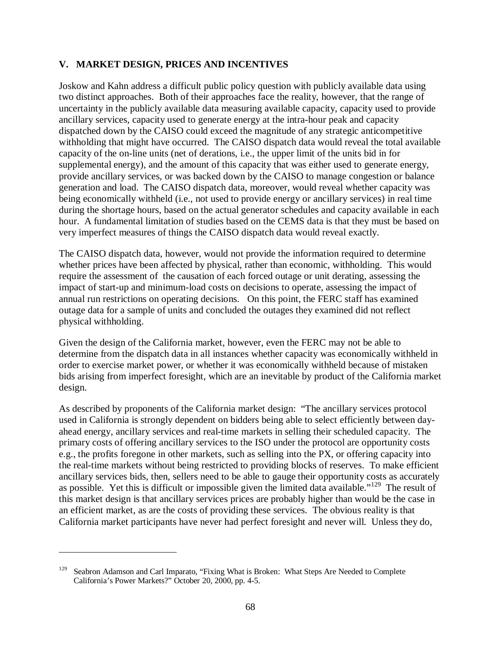### **V. MARKET DESIGN, PRICES AND INCENTIVES**

Joskow and Kahn address a difficult public policy question with publicly available data using two distinct approaches. Both of their approaches face the reality, however, that the range of uncertainty in the publicly available data measuring available capacity, capacity used to provide ancillary services, capacity used to generate energy at the intra-hour peak and capacity dispatched down by the CAISO could exceed the magnitude of any strategic anticompetitive withholding that might have occurred. The CAISO dispatch data would reveal the total available capacity of the on-line units (net of derations, i.e., the upper limit of the units bid in for supplemental energy), and the amount of this capacity that was either used to generate energy, provide ancillary services, or was backed down by the CAISO to manage congestion or balance generation and load. The CAISO dispatch data, moreover, would reveal whether capacity was being economically withheld (i.e., not used to provide energy or ancillary services) in real time during the shortage hours, based on the actual generator schedules and capacity available in each hour. A fundamental limitation of studies based on the CEMS data is that they must be based on very imperfect measures of things the CAISO dispatch data would reveal exactly.

The CAISO dispatch data, however, would not provide the information required to determine whether prices have been affected by physical, rather than economic, withholding. This would require the assessment of the causation of each forced outage or unit derating, assessing the impact of start-up and minimum-load costs on decisions to operate, assessing the impact of annual run restrictions on operating decisions. On this point, the FERC staff has examined outage data for a sample of units and concluded the outages they examined did not reflect physical withholding.

Given the design of the California market, however, even the FERC may not be able to determine from the dispatch data in all instances whether capacity was economically withheld in order to exercise market power, or whether it was economically withheld because of mistaken bids arising from imperfect foresight, which are an inevitable by product of the California market design.

As described by proponents of the California market design: "The ancillary services protocol used in California is strongly dependent on bidders being able to select efficiently between dayahead energy, ancillary services and real-time markets in selling their scheduled capacity. The primary costs of offering ancillary services to the ISO under the protocol are opportunity costs e.g., the profits foregone in other markets, such as selling into the PX, or offering capacity into the real-time markets without being restricted to providing blocks of reserves. To make efficient ancillary services bids, then, sellers need to be able to gauge their opportunity costs as accurately as possible. Yet this is difficult or impossible given the limited data available."<sup>129</sup> The result of this market design is that ancillary services prices are probably higher than would be the case in an efficient market, as are the costs of providing these services. The obvious reality is that California market participants have never had perfect foresight and never will. Unless they do,

<sup>&</sup>lt;sup>129</sup> Seabron Adamson and Carl Imparato, "Fixing What is Broken: What Steps Are Needed to Complete California's Power Markets?" October 20, 2000, pp. 4-5.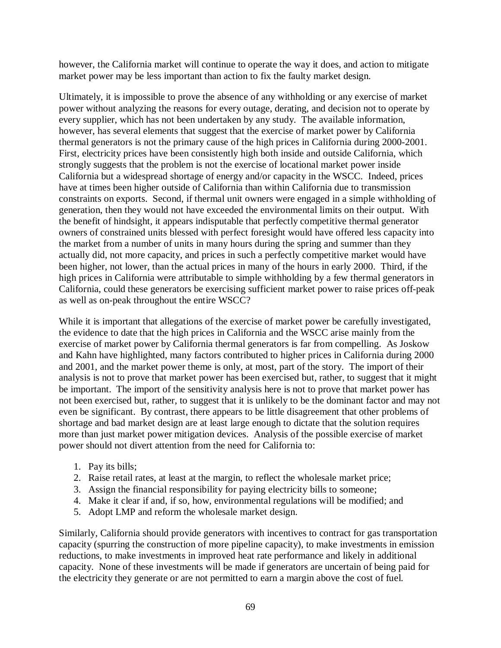however, the California market will continue to operate the way it does, and action to mitigate market power may be less important than action to fix the faulty market design.

Ultimately, it is impossible to prove the absence of any withholding or any exercise of market power without analyzing the reasons for every outage, derating, and decision not to operate by every supplier, which has not been undertaken by any study. The available information, however, has several elements that suggest that the exercise of market power by California thermal generators is not the primary cause of the high prices in California during 2000-2001. First, electricity prices have been consistently high both inside and outside California, which strongly suggests that the problem is not the exercise of locational market power inside California but a widespread shortage of energy and/or capacity in the WSCC. Indeed, prices have at times been higher outside of California than within California due to transmission constraints on exports. Second, if thermal unit owners were engaged in a simple withholding of generation, then they would not have exceeded the environmental limits on their output. With the benefit of hindsight, it appears indisputable that perfectly competitive thermal generator owners of constrained units blessed with perfect foresight would have offered less capacity into the market from a number of units in many hours during the spring and summer than they actually did, not more capacity, and prices in such a perfectly competitive market would have been higher, not lower, than the actual prices in many of the hours in early 2000. Third, if the high prices in California were attributable to simple withholding by a few thermal generators in California, could these generators be exercising sufficient market power to raise prices off-peak as well as on-peak throughout the entire WSCC?

While it is important that allegations of the exercise of market power be carefully investigated, the evidence to date that the high prices in California and the WSCC arise mainly from the exercise of market power by California thermal generators is far from compelling. As Joskow and Kahn have highlighted, many factors contributed to higher prices in California during 2000 and 2001, and the market power theme is only, at most, part of the story. The import of their analysis is not to prove that market power has been exercised but, rather, to suggest that it might be important. The import of the sensitivity analysis here is not to prove that market power has not been exercised but, rather, to suggest that it is unlikely to be the dominant factor and may not even be significant. By contrast, there appears to be little disagreement that other problems of shortage and bad market design are at least large enough to dictate that the solution requires more than just market power mitigation devices. Analysis of the possible exercise of market power should not divert attention from the need for California to:

- 1. Pay its bills;
- 2. Raise retail rates, at least at the margin, to reflect the wholesale market price;
- 3. Assign the financial responsibility for paying electricity bills to someone;
- 4. Make it clear if and, if so, how, environmental regulations will be modified; and
- 5. Adopt LMP and reform the wholesale market design.

Similarly, California should provide generators with incentives to contract for gas transportation capacity (spurring the construction of more pipeline capacity), to make investments in emission reductions, to make investments in improved heat rate performance and likely in additional capacity. None of these investments will be made if generators are uncertain of being paid for the electricity they generate or are not permitted to earn a margin above the cost of fuel.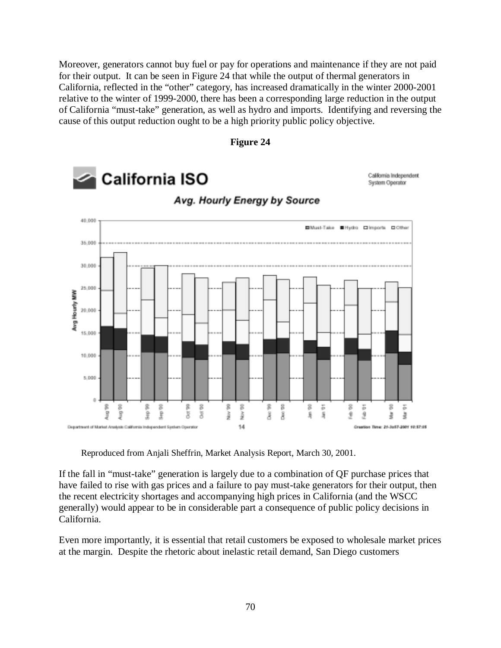Moreover, generators cannot buy fuel or pay for operations and maintenance if they are not paid for their output. It can be seen in Figure 24 that while the output of thermal generators in California, reflected in the "other" category, has increased dramatically in the winter 2000-2001 relative to the winter of 1999-2000, there has been a corresponding large reduction in the output of California "must-take" generation, as well as hydro and imports. Identifying and reversing the cause of this output reduction ought to be a high priority public policy objective.

**Figure 24**



Reproduced from Anjali Sheffrin, Market Analysis Report, March 30, 2001.

If the fall in "must-take" generation is largely due to a combination of QF purchase prices that have failed to rise with gas prices and a failure to pay must-take generators for their output, then the recent electricity shortages and accompanying high prices in California (and the WSCC generally) would appear to be in considerable part a consequence of public policy decisions in California.

Even more importantly, it is essential that retail customers be exposed to wholesale market prices at the margin. Despite the rhetoric about inelastic retail demand, San Diego customers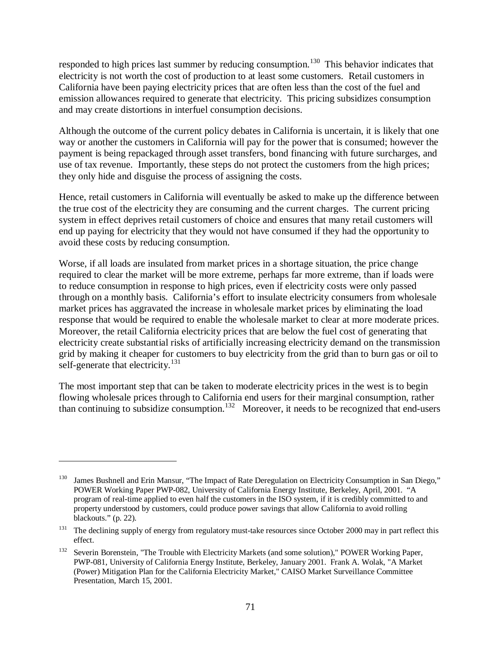responded to high prices last summer by reducing consumption.<sup>130</sup> This behavior indicates that electricity is not worth the cost of production to at least some customers. Retail customers in California have been paying electricity prices that are often less than the cost of the fuel and emission allowances required to generate that electricity. This pricing subsidizes consumption and may create distortions in interfuel consumption decisions.

Although the outcome of the current policy debates in California is uncertain, it is likely that one way or another the customers in California will pay for the power that is consumed; however the payment is being repackaged through asset transfers, bond financing with future surcharges, and use of tax revenue. Importantly, these steps do not protect the customers from the high prices; they only hide and disguise the process of assigning the costs.

Hence, retail customers in California will eventually be asked to make up the difference between the true cost of the electricity they are consuming and the current charges. The current pricing system in effect deprives retail customers of choice and ensures that many retail customers will end up paying for electricity that they would not have consumed if they had the opportunity to avoid these costs by reducing consumption.

Worse, if all loads are insulated from market prices in a shortage situation, the price change required to clear the market will be more extreme, perhaps far more extreme, than if loads were to reduce consumption in response to high prices, even if electricity costs were only passed through on a monthly basis. California's effort to insulate electricity consumers from wholesale market prices has aggravated the increase in wholesale market prices by eliminating the load response that would be required to enable the wholesale market to clear at more moderate prices. Moreover, the retail California electricity prices that are below the fuel cost of generating that electricity create substantial risks of artificially increasing electricity demand on the transmission grid by making it cheaper for customers to buy electricity from the grid than to burn gas or oil to self-generate that electricity.<sup>131</sup>

The most important step that can be taken to moderate electricity prices in the west is to begin flowing wholesale prices through to California end users for their marginal consumption, rather than continuing to subsidize consumption.<sup>132</sup> Moreover, it needs to be recognized that end-users

 $\overline{a}$ 

<sup>&</sup>lt;sup>130</sup> James Bushnell and Erin Mansur, "The Impact of Rate Deregulation on Electricity Consumption in San Diego," POWER Working Paper PWP-082, University of California Energy Institute, Berkeley, April, 2001. "A program of real-time applied to even half the customers in the ISO system, if it is credibly committed to and property understood by customers, could produce power savings that allow California to avoid rolling blackouts." (p. 22).

<sup>&</sup>lt;sup>131</sup> The declining supply of energy from regulatory must-take resources since October 2000 may in part reflect this effect.

<sup>&</sup>lt;sup>132</sup> Severin Borenstein, "The Trouble with Electricity Markets (and some solution)," POWER Working Paper, PWP-081, University of California Energy Institute, Berkeley, January 2001. Frank A. Wolak, "A Market (Power) Mitigation Plan for the California Electricity Market," CAISO Market Surveillance Committee Presentation, March 15, 2001.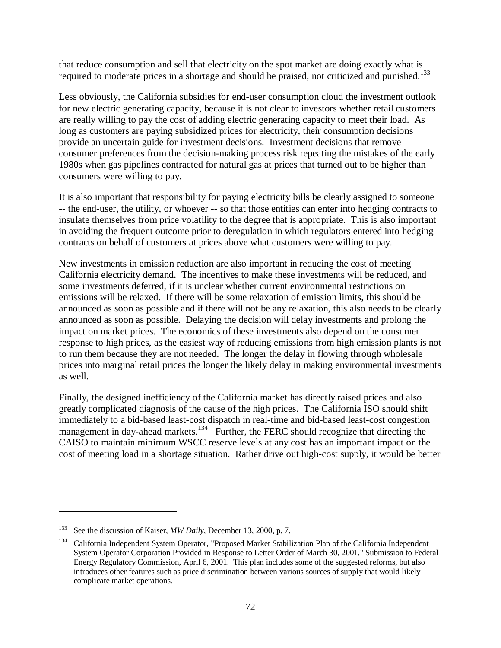that reduce consumption and sell that electricity on the spot market are doing exactly what is required to moderate prices in a shortage and should be praised, not criticized and punished.<sup>133</sup>

Less obviously, the California subsidies for end-user consumption cloud the investment outlook for new electric generating capacity, because it is not clear to investors whether retail customers are really willing to pay the cost of adding electric generating capacity to meet their load. As long as customers are paying subsidized prices for electricity, their consumption decisions provide an uncertain guide for investment decisions. Investment decisions that remove consumer preferences from the decision-making process risk repeating the mistakes of the early 1980s when gas pipelines contracted for natural gas at prices that turned out to be higher than consumers were willing to pay.

It is also important that responsibility for paying electricity bills be clearly assigned to someone -- the end-user, the utility, or whoever -- so that those entities can enter into hedging contracts to insulate themselves from price volatility to the degree that is appropriate. This is also important in avoiding the frequent outcome prior to deregulation in which regulators entered into hedging contracts on behalf of customers at prices above what customers were willing to pay.

New investments in emission reduction are also important in reducing the cost of meeting California electricity demand. The incentives to make these investments will be reduced, and some investments deferred, if it is unclear whether current environmental restrictions on emissions will be relaxed. If there will be some relaxation of emission limits, this should be announced as soon as possible and if there will not be any relaxation, this also needs to be clearly announced as soon as possible. Delaying the decision will delay investments and prolong the impact on market prices. The economics of these investments also depend on the consumer response to high prices, as the easiest way of reducing emissions from high emission plants is not to run them because they are not needed. The longer the delay in flowing through wholesale prices into marginal retail prices the longer the likely delay in making environmental investments as well.

Finally, the designed inefficiency of the California market has directly raised prices and also greatly complicated diagnosis of the cause of the high prices. The California ISO should shift immediately to a bid-based least-cost dispatch in real-time and bid-based least-cost congestion management in day-ahead markets.<sup>134</sup> Further, the FERC should recognize that directing the CAISO to maintain minimum WSCC reserve levels at any cost has an important impact on the cost of meeting load in a shortage situation. Rather drive out high-cost supply, it would be better

 $\overline{a}$ 

<sup>133</sup> See the discussion of Kaiser, *MW Daily*, December 13, 2000, p. 7.

<sup>&</sup>lt;sup>134</sup> California Independent System Operator, "Proposed Market Stabilization Plan of the California Independent System Operator Corporation Provided in Response to Letter Order of March 30, 2001," Submission to Federal Energy Regulatory Commission, April 6, 2001. This plan includes some of the suggested reforms, but also introduces other features such as price discrimination between various sources of supply that would likely complicate market operations.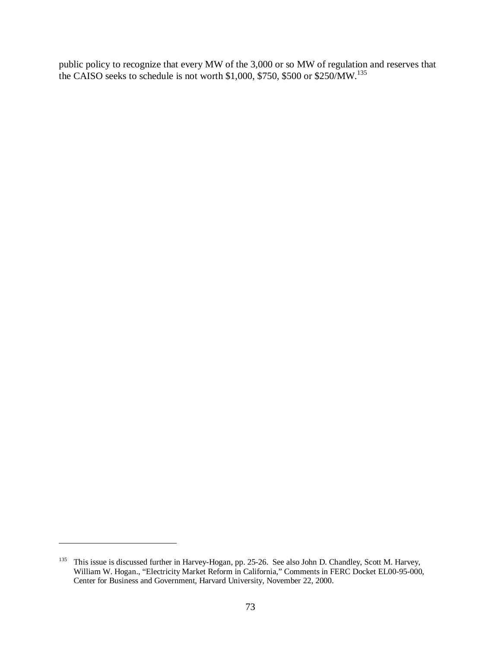public policy to recognize that every MW of the 3,000 or so MW of regulation and reserves that the CAISO seeks to schedule is not worth \$1,000, \$750, \$500 or \$250/MW.<sup>135</sup>

 $\overline{a}$ 

<sup>&</sup>lt;sup>135</sup> This issue is discussed further in Harvey-Hogan, pp. 25-26. See also John D. Chandley, Scott M. Harvey, William W. Hogan., "Electricity Market Reform in California," Comments in FERC Docket EL00-95-000, Center for Business and Government, Harvard University, November 22, 2000.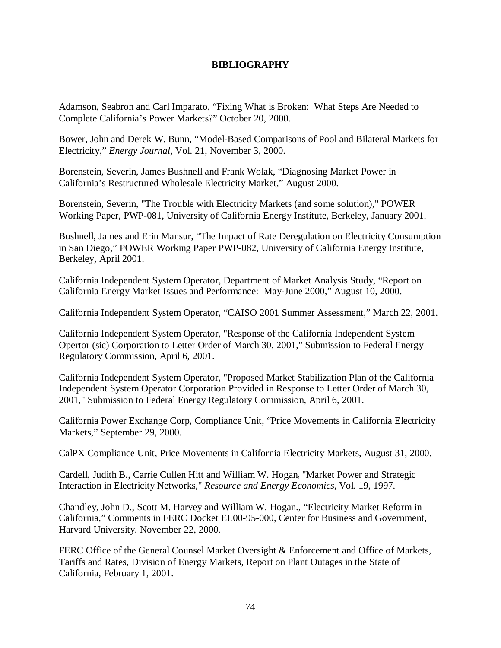## **BIBLIOGRAPHY**

Adamson, Seabron and Carl Imparato, "Fixing What is Broken: What Steps Are Needed to Complete California's Power Markets?" October 20, 2000.

Bower, John and Derek W. Bunn, "Model-Based Comparisons of Pool and Bilateral Markets for Electricity," *Energy Journal*, Vol. 21, November 3, 2000.

Borenstein, Severin, James Bushnell and Frank Wolak, "Diagnosing Market Power in California's Restructured Wholesale Electricity Market," August 2000.

Borenstein, Severin, "The Trouble with Electricity Markets (and some solution)," POWER Working Paper, PWP-081, University of California Energy Institute, Berkeley, January 2001.

Bushnell, James and Erin Mansur, "The Impact of Rate Deregulation on Electricity Consumption in San Diego," POWER Working Paper PWP-082, University of California Energy Institute, Berkeley, April 2001.

California Independent System Operator, Department of Market Analysis Study, "Report on California Energy Market Issues and Performance: May-June 2000," August 10, 2000.

California Independent System Operator, "CAISO 2001 Summer Assessment," March 22, 2001.

California Independent System Operator, "Response of the California Independent System Opertor (sic) Corporation to Letter Order of March 30, 2001," Submission to Federal Energy Regulatory Commission, April 6, 2001.

California Independent System Operator, "Proposed Market Stabilization Plan of the California Independent System Operator Corporation Provided in Response to Letter Order of March 30, 2001," Submission to Federal Energy Regulatory Commission, April 6, 2001.

California Power Exchange Corp, Compliance Unit, "Price Movements in California Electricity Markets," September 29, 2000.

CalPX Compliance Unit, Price Movements in California Electricity Markets, August 31, 2000.

Cardell, Judith B., Carrie Cullen Hitt and William W. Hogan, "Market Power and Strategic Interaction in Electricity Networks," *Resource and Energy Economics*, Vol. 19, 1997.

Chandley, John D., Scott M. Harvey and William W. Hogan., "Electricity Market Reform in California," Comments in FERC Docket EL00-95-000, Center for Business and Government, Harvard University, November 22, 2000.

FERC Office of the General Counsel Market Oversight & Enforcement and Office of Markets, Tariffs and Rates, Division of Energy Markets, Report on Plant Outages in the State of California, February 1, 2001.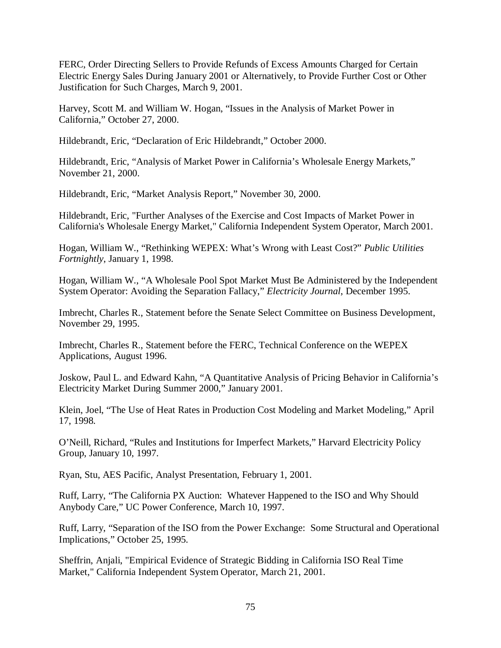FERC, Order Directing Sellers to Provide Refunds of Excess Amounts Charged for Certain Electric Energy Sales During January 2001 or Alternatively, to Provide Further Cost or Other Justification for Such Charges, March 9, 2001.

Harvey, Scott M. and William W. Hogan, "Issues in the Analysis of Market Power in California," October 27, 2000.

Hildebrandt, Eric, "Declaration of Eric Hildebrandt," October 2000.

Hildebrandt, Eric, "Analysis of Market Power in California's Wholesale Energy Markets," November 21, 2000.

Hildebrandt, Eric, "Market Analysis Report," November 30, 2000.

Hildebrandt, Eric, "Further Analyses of the Exercise and Cost Impacts of Market Power in California's Wholesale Energy Market," California Independent System Operator, March 2001.

Hogan, William W., "Rethinking WEPEX: What's Wrong with Least Cost?" *Public Utilities Fortnightly*, January 1, 1998.

Hogan, William W., "A Wholesale Pool Spot Market Must Be Administered by the Independent System Operator: Avoiding the Separation Fallacy," *Electricity Journal*, December 1995.

Imbrecht, Charles R., Statement before the Senate Select Committee on Business Development, November 29, 1995.

Imbrecht, Charles R., Statement before the FERC, Technical Conference on the WEPEX Applications, August 1996.

Joskow, Paul L. and Edward Kahn, "A Quantitative Analysis of Pricing Behavior in California's Electricity Market During Summer 2000," January 2001.

Klein, Joel, "The Use of Heat Rates in Production Cost Modeling and Market Modeling," April 17, 1998.

O'Neill, Richard, "Rules and Institutions for Imperfect Markets," Harvard Electricity Policy Group, January 10, 1997.

Ryan, Stu, AES Pacific, Analyst Presentation, February 1, 2001.

Ruff, Larry, "The California PX Auction: Whatever Happened to the ISO and Why Should Anybody Care," UC Power Conference, March 10, 1997.

Ruff, Larry, "Separation of the ISO from the Power Exchange: Some Structural and Operational Implications," October 25, 1995.

Sheffrin, Anjali, "Empirical Evidence of Strategic Bidding in California ISO Real Time Market," California Independent System Operator, March 21, 2001.